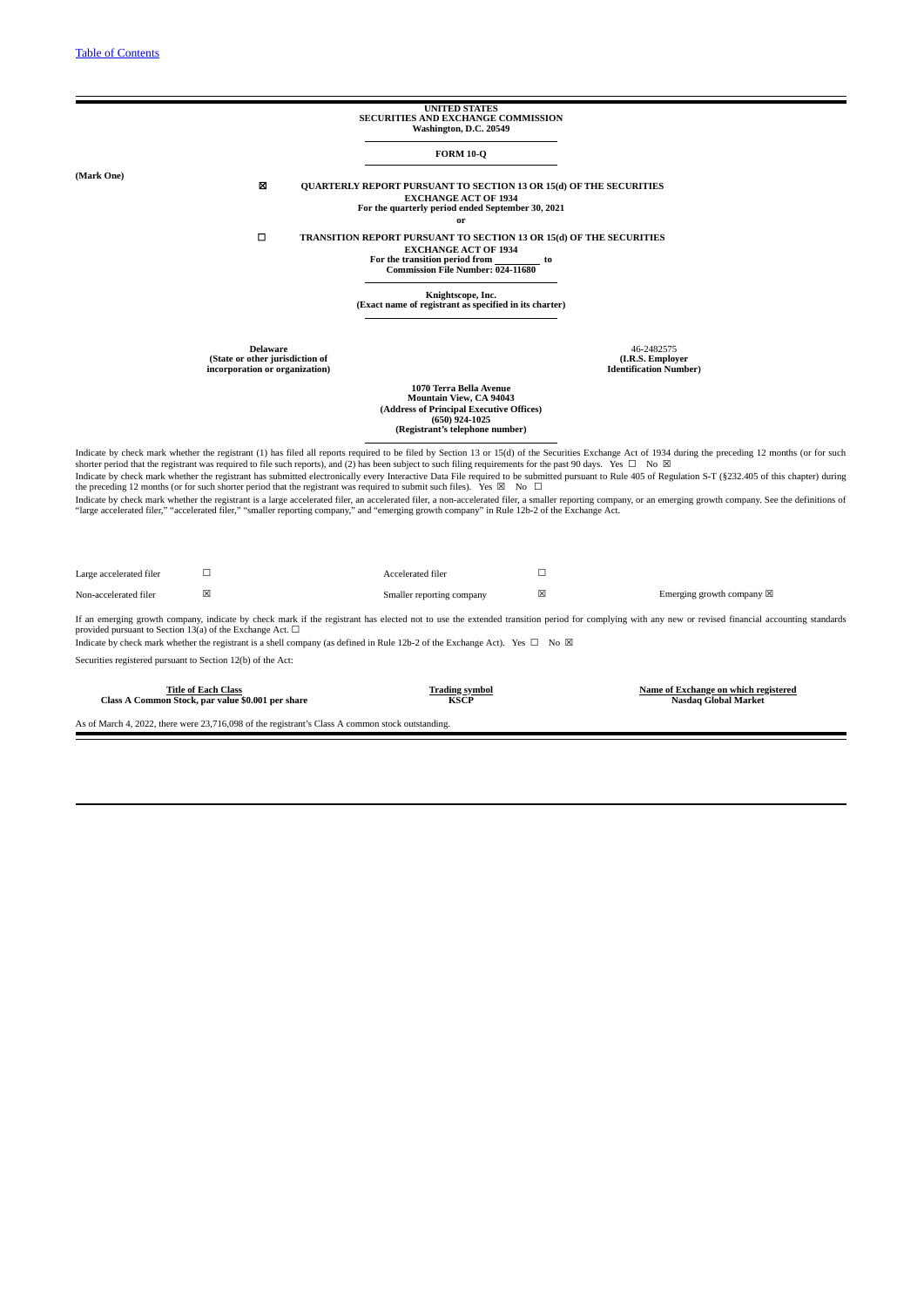|                                                                   |                                                                                 | <b>UNITED STATES</b>                                                                                                                                                        |        |                                                                                                                                                                                                               |
|-------------------------------------------------------------------|---------------------------------------------------------------------------------|-----------------------------------------------------------------------------------------------------------------------------------------------------------------------------|--------|---------------------------------------------------------------------------------------------------------------------------------------------------------------------------------------------------------------|
|                                                                   |                                                                                 | SECURITIES AND EXCHANGE COMMISSION<br>Washington, D.C. 20549                                                                                                                |        |                                                                                                                                                                                                               |
|                                                                   |                                                                                 |                                                                                                                                                                             |        |                                                                                                                                                                                                               |
|                                                                   |                                                                                 | <b>FORM 10-Q</b>                                                                                                                                                            |        |                                                                                                                                                                                                               |
| (Mark One)                                                        |                                                                                 |                                                                                                                                                                             |        |                                                                                                                                                                                                               |
|                                                                   | ×                                                                               | <b>QUARTERLY REPORT PURSUANT TO SECTION 13 OR 15(d) OF THE SECURITIES</b>                                                                                                   |        |                                                                                                                                                                                                               |
|                                                                   |                                                                                 | <b>EXCHANGE ACT OF 1934</b><br>For the quarterly period ended September 30, 2021                                                                                            |        |                                                                                                                                                                                                               |
|                                                                   |                                                                                 | or                                                                                                                                                                          |        |                                                                                                                                                                                                               |
|                                                                   | ο                                                                               | <b>TRANSITION REPORT PURSUANT TO SECTION 13 OR 15(d) OF THE SECURITIES</b>                                                                                                  |        |                                                                                                                                                                                                               |
|                                                                   |                                                                                 | <b>EXCHANGE ACT OF 1934</b>                                                                                                                                                 |        |                                                                                                                                                                                                               |
|                                                                   |                                                                                 | For the transition period from<br><b>Commission File Number: 024-11680</b>                                                                                                  | to     |                                                                                                                                                                                                               |
|                                                                   |                                                                                 |                                                                                                                                                                             |        |                                                                                                                                                                                                               |
|                                                                   |                                                                                 | Knightscope, Inc.<br>(Exact name of registrant as specified in its charter)                                                                                                 |        |                                                                                                                                                                                                               |
|                                                                   |                                                                                 |                                                                                                                                                                             |        |                                                                                                                                                                                                               |
|                                                                   |                                                                                 |                                                                                                                                                                             |        |                                                                                                                                                                                                               |
|                                                                   | <b>Delaware</b><br>(State or other jurisdiction of                              |                                                                                                                                                                             |        | 46-2482575<br>(I.R.S. Employer                                                                                                                                                                                |
|                                                                   | incorporation or organization)                                                  |                                                                                                                                                                             |        | <b>Identification Number)</b>                                                                                                                                                                                 |
|                                                                   |                                                                                 | 1070 Terra Bella Avenue                                                                                                                                                     |        |                                                                                                                                                                                                               |
|                                                                   |                                                                                 | Mountain View, CA 94043                                                                                                                                                     |        |                                                                                                                                                                                                               |
|                                                                   |                                                                                 | (Address of Principal Executive Offices)<br>$(650)$ 924-1025                                                                                                                |        |                                                                                                                                                                                                               |
|                                                                   |                                                                                 | (Registrant's telephone number)                                                                                                                                             |        |                                                                                                                                                                                                               |
|                                                                   |                                                                                 |                                                                                                                                                                             |        | Indicate by check mark whether the registrant (1) has filed all reports required to be filed by Section 13 or 15(d) of the Securities Exchange Act of 1934 during the preceding 12 months (or for such        |
|                                                                   |                                                                                 | shorter period that the registrant was required to file such reports), and (2) has been subject to such filing requirements for the past 90 days. Yes $\Box$ No $\boxtimes$ |        |                                                                                                                                                                                                               |
|                                                                   |                                                                                 |                                                                                                                                                                             |        | Indicate by check mark whether the registrant has submitted electronically every Interactive Data File required to be submitted pursuant to Rule 405 of Regulation S-T (§232.405 of this chapter) during      |
|                                                                   |                                                                                 | the preceding 12 months (or for such shorter period that the registrant was required to submit such files). Yes $\boxtimes$ No $\Box$                                       |        | Indicate by check mark whether the registrant is a large accelerated filer, an accelerated filer, a non-accelerated filer, a smaller reporting company, or an emerging growth company. See the definitions of |
|                                                                   |                                                                                 | "large accelerated filer," "accelerated filer," "smaller reporting company," and "emerging growth company" in Rule 12b-2 of the Exchange Act.                               |        |                                                                                                                                                                                                               |
|                                                                   |                                                                                 |                                                                                                                                                                             |        |                                                                                                                                                                                                               |
|                                                                   |                                                                                 |                                                                                                                                                                             |        |                                                                                                                                                                                                               |
|                                                                   |                                                                                 |                                                                                                                                                                             |        |                                                                                                                                                                                                               |
| Large accelerated filer                                           | □                                                                               | Accelerated filer                                                                                                                                                           | $\Box$ |                                                                                                                                                                                                               |
|                                                                   | ×                                                                               |                                                                                                                                                                             | X      |                                                                                                                                                                                                               |
| Non-accelerated filer                                             |                                                                                 | Smaller reporting company                                                                                                                                                   |        | Emerging growth company $\boxtimes$                                                                                                                                                                           |
| provided pursuant to Section 13(a) of the Exchange Act. $\square$ |                                                                                 |                                                                                                                                                                             |        | If an emerging growth company, indicate by check mark if the registrant has elected not to use the extended transition period for complying with any new or revised financial accounting standards            |
|                                                                   |                                                                                 | Indicate by check mark whether the registrant is a shell company (as defined in Rule 12b-2 of the Exchange Act). Yes $\Box$ No $\boxtimes$                                  |        |                                                                                                                                                                                                               |
| Securities registered pursuant to Section 12(b) of the Act:       |                                                                                 |                                                                                                                                                                             |        |                                                                                                                                                                                                               |
|                                                                   |                                                                                 |                                                                                                                                                                             |        |                                                                                                                                                                                                               |
|                                                                   | <b>Title of Each Class</b><br>Class A Common Stock, par value \$0.001 per share | <b>Trading symbol</b><br><b>KSCP</b>                                                                                                                                        |        | Name of Exchange on which registered<br>Nasdaq Global Market                                                                                                                                                  |
|                                                                   |                                                                                 |                                                                                                                                                                             |        |                                                                                                                                                                                                               |

.

As of March 4, 2022, there were 23,716,098 of the registrant's Class A common stock outstanding.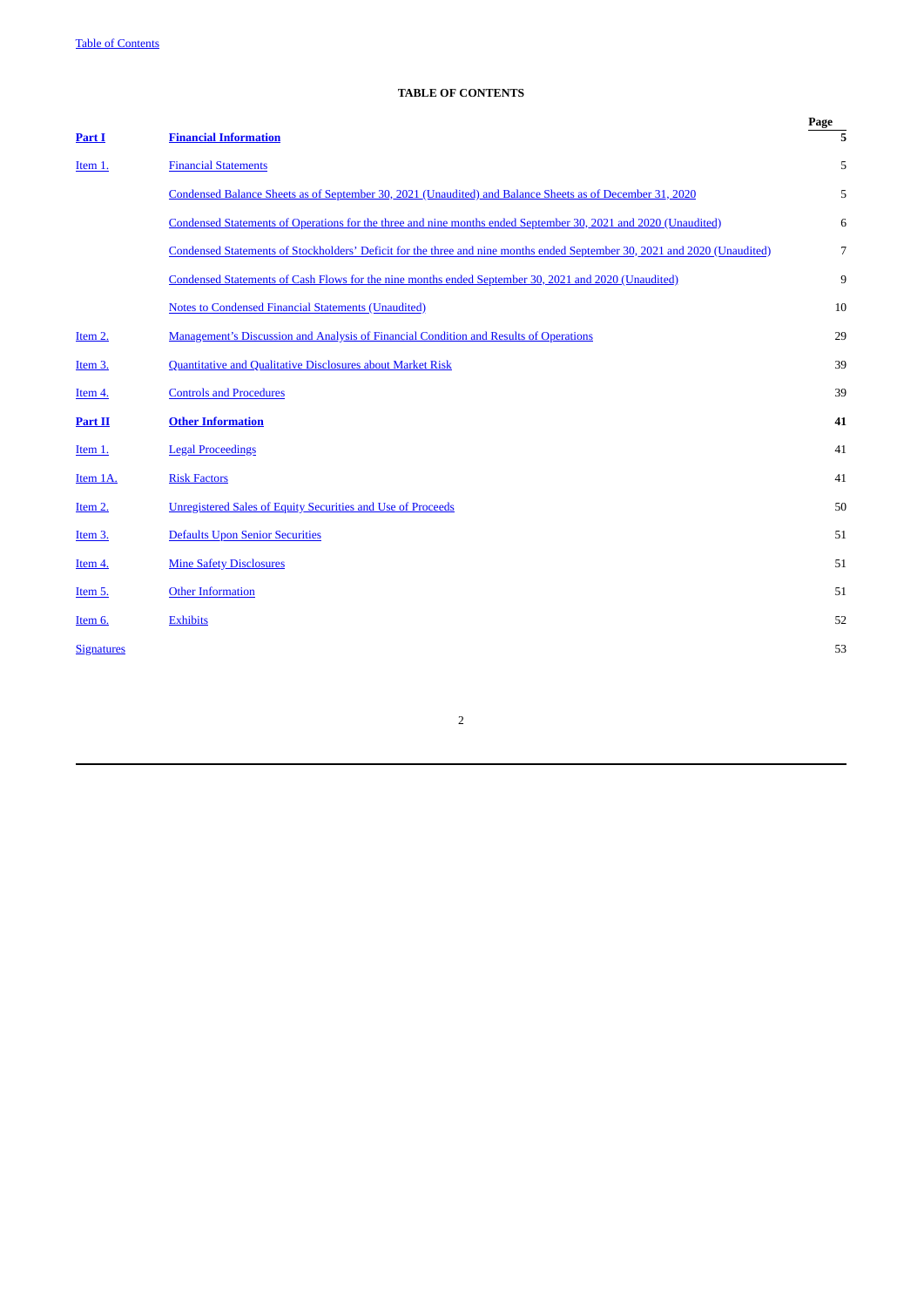# **TABLE OF CONTENTS**

<span id="page-1-0"></span>

| Part I            | <b>Financial Information</b>                                                                                              | Page<br>5 |
|-------------------|---------------------------------------------------------------------------------------------------------------------------|-----------|
| Item 1.           | <b>Financial Statements</b>                                                                                               | 5         |
|                   | Condensed Balance Sheets as of September 30, 2021 (Unaudited) and Balance Sheets as of December 31, 2020                  | 5         |
|                   | Condensed Statements of Operations for the three and nine months ended September 30, 2021 and 2020 (Unaudited)            | 6         |
|                   | Condensed Statements of Stockholders' Deficit for the three and nine months ended September 30, 2021 and 2020 (Unaudited) | 7         |
|                   | Condensed Statements of Cash Flows for the nine months ended September 30, 2021 and 2020 (Unaudited)                      | 9         |
|                   | <b>Notes to Condensed Financial Statements (Unaudited)</b>                                                                | 10        |
| Item 2.           | <b>Management's Discussion and Analysis of Financial Condition and Results of Operations</b>                              | 29        |
| Item 3.           | Quantitative and Qualitative Disclosures about Market Risk                                                                | 39        |
| Item 4.           | <b>Controls and Procedures</b>                                                                                            | 39        |
| Part II           | <b>Other Information</b>                                                                                                  | 41        |
| Item 1.           | <b>Legal Proceedings</b>                                                                                                  | 41        |
| Item 1A.          | <b>Risk Factors</b>                                                                                                       | 41        |
| Item 2.           | <b>Unregistered Sales of Equity Securities and Use of Proceeds</b>                                                        | 50        |
| Item 3.           | <b>Defaults Upon Senior Securities</b>                                                                                    | 51        |
| Item 4.           | <b>Mine Safety Disclosures</b>                                                                                            | 51        |
| Item 5.           | <b>Other Information</b>                                                                                                  | 51        |
| Item 6.           | <b>Exhibits</b>                                                                                                           | 52        |
| <b>Signatures</b> |                                                                                                                           | 53        |
|                   |                                                                                                                           |           |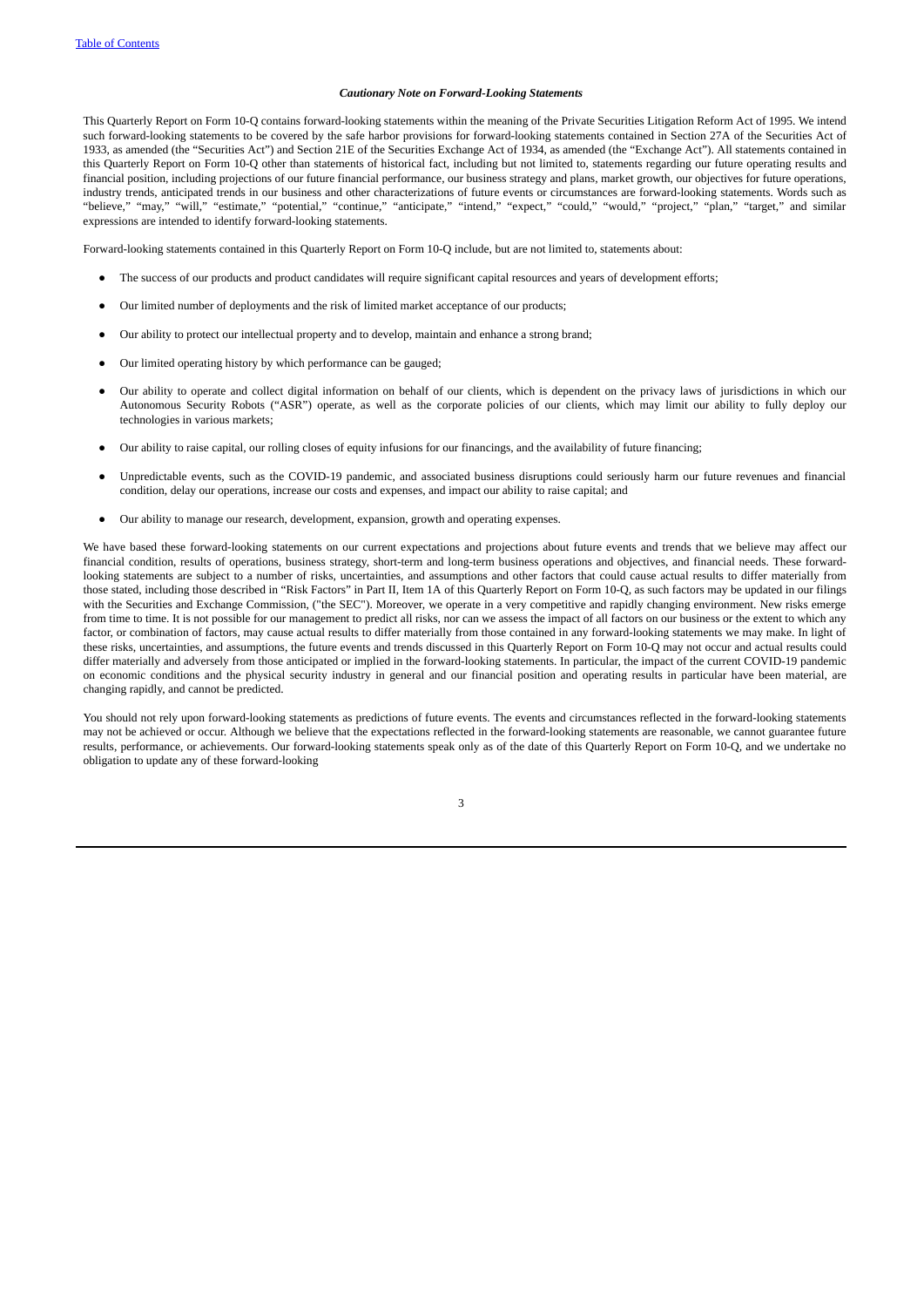#### *Cautionary Note on Forward-Looking Statements*

This Quarterly Report on Form 10-Q contains forward-looking statements within the meaning of the Private Securities Litigation Reform Act of 1995. We intend such forward-looking statements to be covered by the safe harbor provisions for forward-looking statements contained in Section 27A of the Securities Act of 1933, as amended (the "Securities Act") and Section 21E of the Securities Exchange Act of 1934, as amended (the "Exchange Act"). All statements contained in this Quarterly Report on Form 10-Q other than statements of historical fact, including but not limited to, statements regarding our future operating results and financial position, including projections of our future financial performance, our business strategy and plans, market growth, our objectives for future operations, industry trends, anticipated trends in our business and other characterizations of future events or circumstances are forward-looking statements. Words such as "believe," "may," "will," "estimate," "potential," "continue," "anticipate," "intend," "expect," "could," "would," "project," "plan," "target," and similar expressions are intended to identify forward-looking statements.

Forward-looking statements contained in this Quarterly Report on Form 10-Q include, but are not limited to, statements about:

- The success of our products and product candidates will require significant capital resources and years of development efforts;
- Our limited number of deployments and the risk of limited market acceptance of our products;
- Our ability to protect our intellectual property and to develop, maintain and enhance a strong brand;
- Our limited operating history by which performance can be gauged;
- Our ability to operate and collect digital information on behalf of our clients, which is dependent on the privacy laws of jurisdictions in which our Autonomous Security Robots ("ASR") operate, as well as the corporate policies of our clients, which may limit our ability to fully deploy our technologies in various markets;
- Our ability to raise capital, our rolling closes of equity infusions for our financings, and the availability of future financing;
- Unpredictable events, such as the COVID-19 pandemic, and associated business disruptions could seriously harm our future revenues and financial condition, delay our operations, increase our costs and expenses, and impact our ability to raise capital; and
- Our ability to manage our research, development, expansion, growth and operating expenses.

We have based these forward-looking statements on our current expectations and projections about future events and trends that we believe may affect our financial condition, results of operations, business strategy, short-term and long-term business operations and objectives, and financial needs. These forwardlooking statements are subject to a number of risks, uncertainties, and assumptions and other factors that could cause actual results to differ materially from those stated, including those described in "Risk Factors" in Part II, Item 1A of this Quarterly Report on Form 10-Q, as such factors may be updated in our filings with the Securities and Exchange Commission, ("the SEC"). Moreover, we operate in a very competitive and rapidly changing environment. New risks emerge from time to time. It is not possible for our management to predict all risks, nor can we assess the impact of all factors on our business or the extent to which any factor, or combination of factors, may cause actual results to differ materially from those contained in any forward-looking statements we may make. In light of these risks, uncertainties, and assumptions, the future events and trends discussed in this Quarterly Report on Form 10-Q may not occur and actual results could differ materially and adversely from those anticipated or implied in the forward-looking statements. In particular, the impact of the current COVID-19 pandemic on economic conditions and the physical security industry in general and our financial position and operating results in particular have been material, are changing rapidly, and cannot be predicted.

You should not rely upon forward-looking statements as predictions of future events. The events and circumstances reflected in the forward-looking statements may not be achieved or occur. Although we believe that the expectations reflected in the forward-looking statements are reasonable, we cannot guarantee future results, performance, or achievements. Our forward-looking statements speak only as of the date of this Quarterly Report on Form 10-Q, and we undertake no obligation to update any of these forward-looking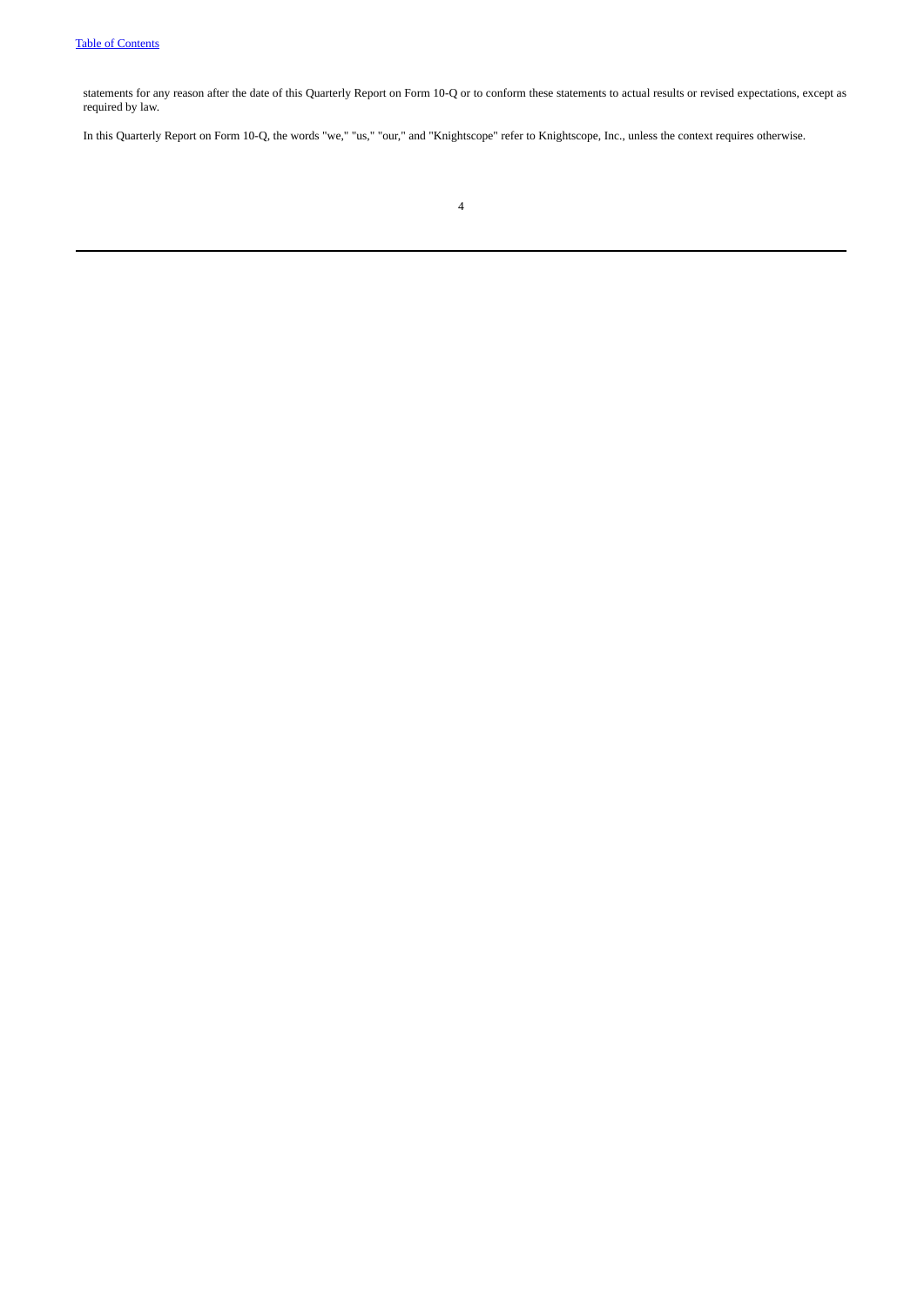statements for any reason after the date of this Quarterly Report on Form 10-Q or to conform these statements to actual results or revised expectations, except as required by law.

In this Quarterly Report on Form 10-Q, the words "we," "us," "our," and "Knightscope" refer to Knightscope, Inc., unless the context requires otherwise.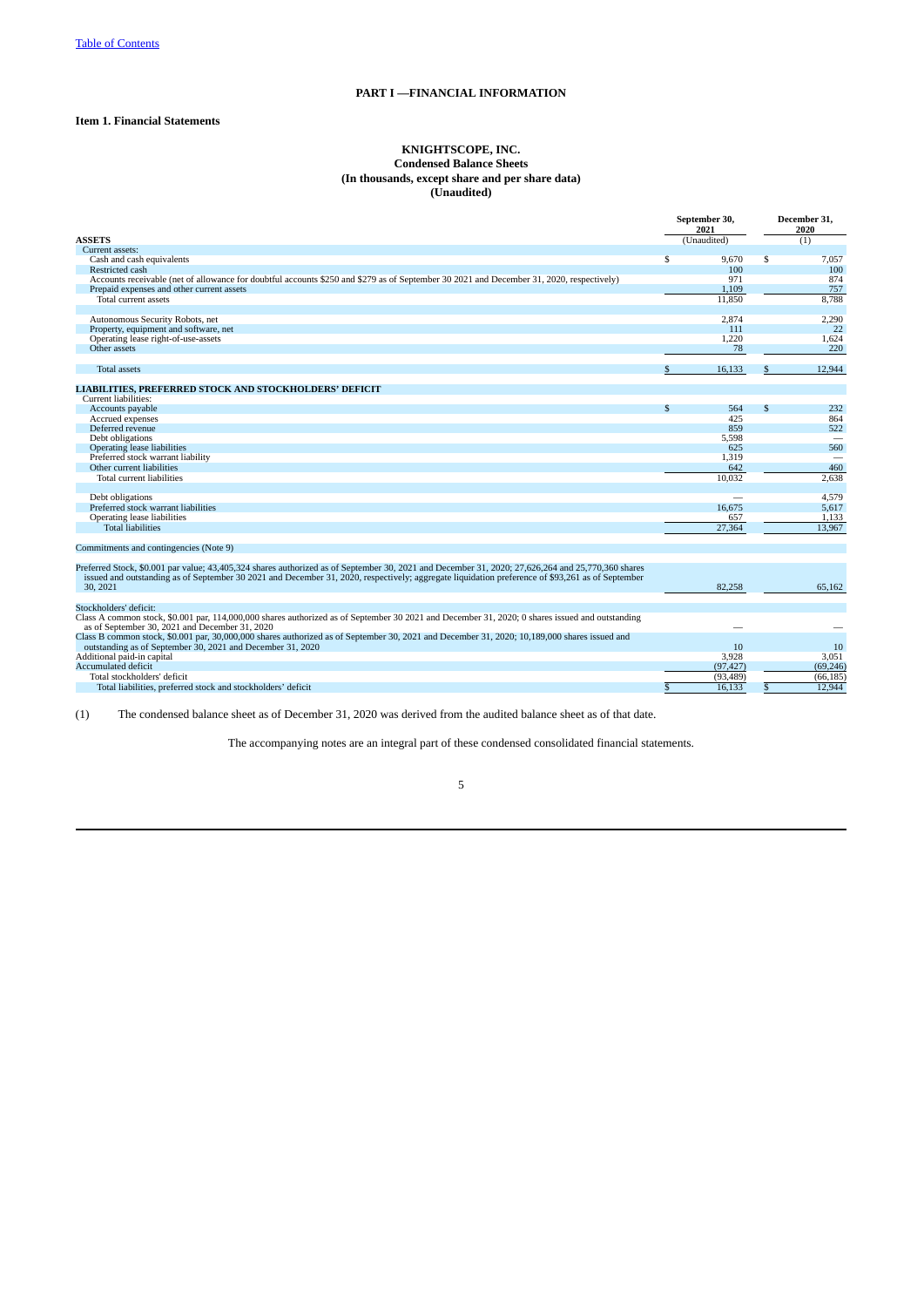# **PART I —FINANCIAL INFORMATION**

# <span id="page-4-2"></span><span id="page-4-1"></span><span id="page-4-0"></span>**Item 1. Financial Statements**

# **KNIGHTSCOPE, INC. Condensed Balance Sheets (In thousands, except share and per share data) (Unaudited)**

|                                                                                                                                                   |                         | September 30,<br>2021 |               | December 31,<br>2020     |
|---------------------------------------------------------------------------------------------------------------------------------------------------|-------------------------|-----------------------|---------------|--------------------------|
| <b>ASSETS</b>                                                                                                                                     |                         | (Unaudited)           |               | (1)                      |
| Current assets:                                                                                                                                   |                         |                       |               |                          |
| Cash and cash equivalents                                                                                                                         | \$                      | 9.670                 | \$            | 7,057                    |
| Restricted cash                                                                                                                                   |                         | 100                   |               | 100                      |
| Accounts receivable (net of allowance for doubtful accounts \$250 and \$279 as of September 30 2021 and December 31, 2020, respectively)          |                         | 971                   |               | 874                      |
| Prepaid expenses and other current assets                                                                                                         |                         | 1,109                 |               | 757                      |
| Total current assets                                                                                                                              |                         | 11,850                |               | 8,788                    |
| Autonomous Security Robots, net                                                                                                                   |                         |                       |               |                          |
|                                                                                                                                                   |                         | 2,874                 |               | 2,290                    |
| Property, equipment and software, net                                                                                                             |                         | 111                   |               | 22                       |
| Operating lease right-of-use-assets                                                                                                               |                         | 1,220                 |               | 1,624                    |
| Other assets                                                                                                                                      |                         | 78                    |               | 220                      |
| <b>Total assets</b>                                                                                                                               | \$.                     | 16.133                |               | 12.944                   |
|                                                                                                                                                   |                         |                       |               |                          |
| <b>LIABILITIES, PREFERRED STOCK AND STOCKHOLDERS' DEFICIT</b>                                                                                     |                         |                       |               |                          |
| Current liabilities:                                                                                                                              |                         |                       |               |                          |
| Accounts payable                                                                                                                                  | \$                      | 564                   | $\mathcal{S}$ | 232                      |
| Accrued expenses                                                                                                                                  |                         | 425                   |               | 864                      |
| Deferred revenue                                                                                                                                  |                         | 859                   |               | 522                      |
| Debt obligations                                                                                                                                  |                         | 5,598                 |               | $\overline{\phantom{0}}$ |
| Operating lease liabilities                                                                                                                       |                         | 625                   |               | 560                      |
| Preferred stock warrant liability                                                                                                                 |                         | 1,319                 |               |                          |
|                                                                                                                                                   |                         | 642                   |               |                          |
| Other current liabilities                                                                                                                         |                         |                       |               | 460                      |
| Total current liabilities                                                                                                                         |                         | 10.032                |               | 2.638                    |
| Debt obligations                                                                                                                                  |                         |                       |               | 4,579                    |
| Preferred stock warrant liabilities                                                                                                               |                         | 16.675                |               | 5.617                    |
| Operating lease liabilities                                                                                                                       |                         | 657                   |               | 1,133                    |
| <b>Total liabilities</b>                                                                                                                          |                         | 27,364                |               | 13,967                   |
|                                                                                                                                                   |                         |                       |               |                          |
| Commitments and contingencies (Note 9)                                                                                                            |                         |                       |               |                          |
| Preferred Stock, \$0.001 par value; 43,405,324 shares authorized as of September 30, 2021 and December 31, 2020; 27,626,264 and 25,770,360 shares |                         |                       |               |                          |
| issued and outstanding as of September 30 2021 and December 31, 2020, respectively; aggregate liquidation preference of \$93,261 as of September  |                         |                       |               |                          |
| 30, 2021                                                                                                                                          |                         | 82,258                |               | 65.162                   |
|                                                                                                                                                   |                         |                       |               |                          |
| Stockholders' deficit:                                                                                                                            |                         |                       |               |                          |
| Class A common stock, \$0.001 par, 114,000,000 shares authorized as of September 30 2021 and December 31, 2020; 0 shares issued and outstanding   |                         |                       |               |                          |
| as of September 30, 2021 and December 31, 2020                                                                                                    |                         |                       |               |                          |
| Class B common stock, \$0.001 par, 30,000,000 shares authorized as of September 30, 2021 and December 31, 2020; 10,189,000 shares issued and      |                         |                       |               |                          |
| outstanding as of September 30, 2021 and December 31, 2020                                                                                        |                         | 10                    |               | 10                       |
| Additional paid-in capital                                                                                                                        |                         | 3,928                 |               | 3,051                    |
| <b>Accumulated deficit</b>                                                                                                                        |                         | (97, 427)             |               | (69, 246)                |
| Total stockholders' deficit                                                                                                                       |                         | (93.489)              |               | (66.185)                 |
| Total liabilities, preferred stock and stockholders' deficit                                                                                      | $\overline{\mathbb{S}}$ | 16.133                | \$            | 12.944                   |

(1) The condensed balance sheet as of December 31, 2020 was derived from the audited balance sheet as of that date.

The accompanying notes are an integral part of these condensed consolidated financial statements.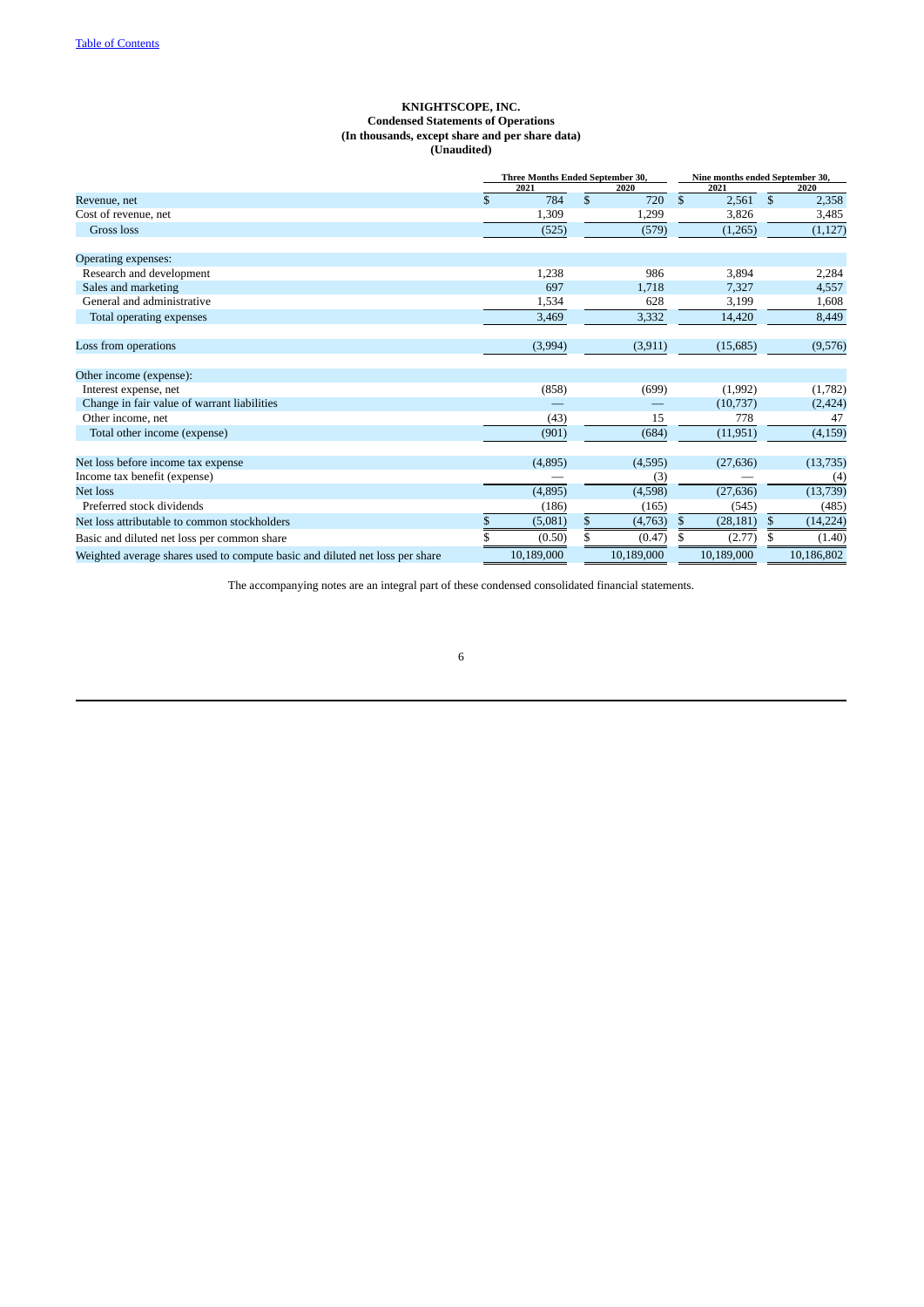# **KNIGHTSCOPE, INC. Condensed Statements of Operations (In thousands, except share and per share data) (Unaudited)**

<span id="page-5-0"></span>

|                                                                              | Three Months Ended September 30,<br>2021<br>2020 |    |            |              | Nine months ended September 30,<br>2021 | 2020 |            |  |
|------------------------------------------------------------------------------|--------------------------------------------------|----|------------|--------------|-----------------------------------------|------|------------|--|
| Revenue, net                                                                 | 784                                              | \$ | 720        | \$           | 2,561                                   | \$   | 2,358      |  |
| Cost of revenue, net                                                         | 1,309                                            |    | 1,299      |              | 3,826                                   |      | 3,485      |  |
| Gross loss                                                                   |                                                  |    |            |              |                                         |      |            |  |
|                                                                              | (525)                                            |    | (579)      |              | (1,265)                                 |      | (1, 127)   |  |
| Operating expenses:                                                          |                                                  |    |            |              |                                         |      |            |  |
| Research and development                                                     | 1,238                                            |    | 986        |              | 3,894                                   |      | 2,284      |  |
| Sales and marketing                                                          | 697                                              |    | 1.718      |              | 7,327                                   |      | 4,557      |  |
| General and administrative                                                   | 1,534                                            |    | 628        |              | 3,199                                   |      | 1,608      |  |
| Total operating expenses                                                     | 3,469                                            |    | 3,332      |              | 14,420                                  |      | 8,449      |  |
| Loss from operations                                                         | (3,994)                                          |    | (3, 911)   |              | (15,685)                                |      | (9,576)    |  |
| Other income (expense):                                                      |                                                  |    |            |              |                                         |      |            |  |
| Interest expense, net                                                        | (858)                                            |    | (699)      |              | (1,992)                                 |      | (1,782)    |  |
| Change in fair value of warrant liabilities                                  |                                                  |    |            |              | (10,737)                                |      | (2, 424)   |  |
| Other income, net                                                            | (43)                                             |    | 15         |              | 778                                     |      | 47         |  |
| Total other income (expense)                                                 | (901)                                            |    | (684)      |              | (11, 951)                               |      | (4, 159)   |  |
| Net loss before income tax expense                                           | (4,895)                                          |    | (4,595)    |              | (27, 636)                               |      | (13, 735)  |  |
| Income tax benefit (expense)                                                 |                                                  |    | (3)        |              |                                         |      | (4)        |  |
| <b>Net loss</b>                                                              | (4,895)                                          |    | (4,598)    |              | (27, 636)                               |      | (13, 739)  |  |
| Preferred stock dividends                                                    | (186)                                            |    | (165)      |              | (545)                                   |      | (485)      |  |
| Net loss attributable to common stockholders                                 | \$<br>(5,081)                                    | \$ | (4,763)    | $\mathbb{S}$ | (28, 181)                               | \$   | (14, 224)  |  |
| Basic and diluted net loss per common share                                  | (0.50)                                           | \$ | (0.47)     | S            | (2.77)                                  | \$   | (1.40)     |  |
| Weighted average shares used to compute basic and diluted net loss per share | 10,189,000                                       |    | 10.189.000 |              | 10,189,000                              |      | 10,186,802 |  |

The accompanying notes are an integral part of these condensed consolidated financial statements.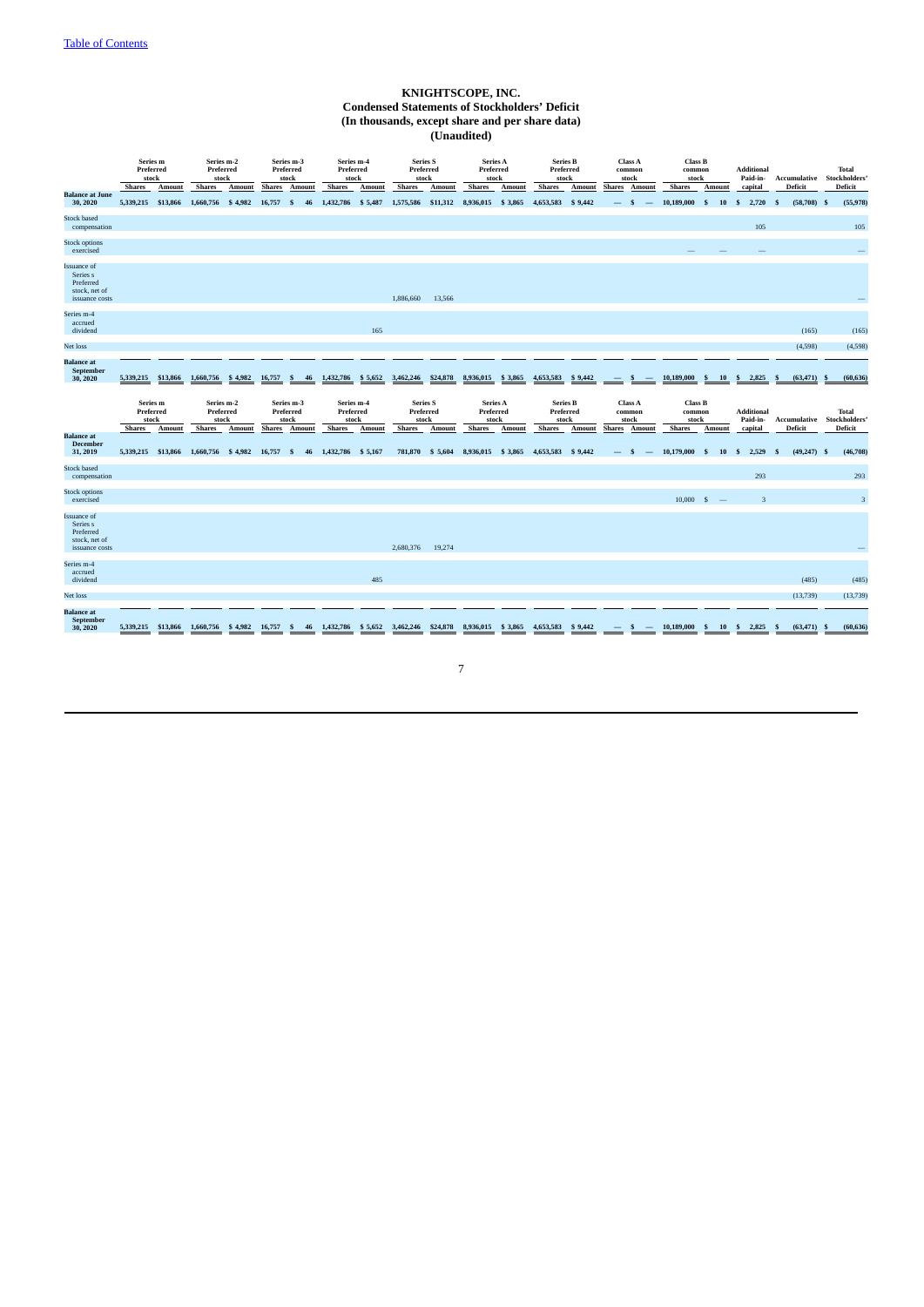# **KNIGHTSCOPE, INC. Condensed Statements of Stockholders' Deficit (In thousands, except share and per share data) (Unaudited)**

<span id="page-6-0"></span>

|                                                                         | Series m<br>Preferred<br>stock<br><b>Shares</b> | Amount   | Series m-2<br>Preferred<br>stock<br><b>Shares</b> | Amount  |               | Series m-3<br>Preferred<br>stock<br>Shares Amount | Series m-4<br>Preferred<br>stock<br><b>Shares</b> | Amount  | <b>Series S</b><br>Preferred<br>stock<br><b>Shares</b> | Amount   | <b>Series A</b><br>Preferred<br>stock<br><b>Shares</b> | Amount | <b>Series B</b><br>Preferred<br>stock<br><b>Shares</b> | Amount  |                          | <b>Class A</b><br>common<br>stock<br>Shares Amount | <b>Class B</b><br>common<br>stock<br><b>Shares</b> | Amount         | Additional<br>Paid-in-<br>capital | <b>Accumulative Stockholders'</b><br>Deficit |    | <b>Total</b><br>Deficit       |
|-------------------------------------------------------------------------|-------------------------------------------------|----------|---------------------------------------------------|---------|---------------|---------------------------------------------------|---------------------------------------------------|---------|--------------------------------------------------------|----------|--------------------------------------------------------|--------|--------------------------------------------------------|---------|--------------------------|----------------------------------------------------|----------------------------------------------------|----------------|-----------------------------------|----------------------------------------------|----|-------------------------------|
| <b>Balance at June</b><br>30, 2020                                      | 5,339,215                                       | \$13,866 | 1,660,756 \$4,982                                 |         | 16,757 \$     | 46                                                | 1,432,786 \$5,487                                 |         | 1,575,586                                              |          | \$11,312 8,936,015 \$3,865                             |        | 4,653,583 \$9,442                                      |         | $-$ \$                   | $\sim$                                             |                                                    |                | 10,189,000 \$ 10 \$ 2,720 \$      | $(58,708)$ \$                                |    | (55, 978)                     |
| <b>Stock based</b><br>compensation                                      |                                                 |          |                                                   |         |               |                                                   |                                                   |         |                                                        |          |                                                        |        |                                                        |         |                          |                                                    |                                                    |                | 105                               |                                              |    | 105                           |
| <b>Stock options</b><br>exercised                                       |                                                 |          |                                                   |         |               |                                                   |                                                   |         |                                                        |          |                                                        |        |                                                        |         |                          |                                                    |                                                    |                |                                   |                                              |    |                               |
| Issuance of<br>Series s<br>Preferred<br>stock, net of<br>issuance costs |                                                 |          |                                                   |         |               |                                                   |                                                   |         | 1,886,660                                              | 13,566   |                                                        |        |                                                        |         |                          |                                                    |                                                    |                |                                   |                                              |    |                               |
| Series m-4<br>accrued<br>dividend                                       |                                                 |          |                                                   |         |               |                                                   |                                                   | 165     |                                                        |          |                                                        |        |                                                        |         |                          |                                                    |                                                    |                |                                   | (165)                                        |    | (165)                         |
| Net loss                                                                |                                                 |          |                                                   |         |               |                                                   |                                                   |         |                                                        |          |                                                        |        |                                                        |         |                          |                                                    |                                                    |                |                                   | (4,598)                                      |    | (4,598)                       |
| <b>Balance</b> at<br>September<br>30, 2020                              | 5,339,215                                       | \$13,866 | 1,660,756                                         | \$4,982 | 16,757        | S.<br>46                                          | 1,432,786                                         | \$5,652 | 3,462,246                                              | \$24,878 | 8,936,015 \$3,865                                      |        | 4,653,583                                              | \$9,442 | $\qquad \qquad -$        | $\mathbf{s}$<br>$\hspace{0.1mm}-\hspace{0.1mm}$    | 10,189,000                                         | 10<br>s.       | $5 \quad 2,825$                   | (63, 471)<br>-S                              | -S | (60, 636)                     |
|                                                                         | Series m<br>Preferred<br>stock                  |          | Series m-2<br>Preferred<br>stock                  |         |               | Series m-3<br>Preferred<br>stock                  | Series m-4<br>Preferred<br>stock                  |         | <b>Series S</b><br>Preferred<br>stock                  |          | <b>Series A</b><br>Preferred<br>stock                  |        | <b>Series B</b><br>Preferred<br>stock                  |         |                          | Class A<br>common<br>stock                         | Class B<br>common<br>stock                         |                | <b>Additional</b><br>Paid-in-     | Accumulative                                 |    | <b>Total</b><br>Stockholders' |
| <b>Balance</b> at                                                       | <b>Shares</b>                                   | Amount   | <b>Shares</b>                                     | Amount  | <b>Shares</b> | Amount                                            | <b>Shares</b>                                     | Amount  | <b>Shares</b>                                          | Amount   | <b>Shares</b>                                          | Amount | <b>Shares</b>                                          | Amount  |                          | Shares Amount                                      | <b>Shares</b>                                      | Amount         | capital                           | Deficit                                      |    | Deficit                       |
| December<br>31, 2019                                                    | 5,339,215 \$13,866                              |          | 1,660,756 \$4,982                                 |         | 16,757 \$     | 46                                                | 1,432,786 \$5,167                                 |         | 781,870                                                | \$ 5,604 | 8,936,015 \$3,865                                      |        | 4,653,583 \$9,442                                      |         | $\overline{\phantom{0}}$ | - \$<br>$\overline{\phantom{a}}$                   | 10,179,000                                         | <b>S</b><br>10 | $S = 2,529$                       | $(49,247)$ \$<br><b>S</b>                    |    | (46, 708)                     |
| <b>Stock based</b><br>compensation                                      |                                                 |          |                                                   |         |               |                                                   |                                                   |         |                                                        |          |                                                        |        |                                                        |         |                          |                                                    |                                                    |                |                                   |                                              |    |                               |
| <b>Stock options</b><br>exercised                                       |                                                 |          |                                                   |         |               |                                                   |                                                   |         |                                                        |          |                                                        |        |                                                        |         |                          |                                                    |                                                    |                | 293                               |                                              |    | 293                           |
|                                                                         |                                                 |          |                                                   |         |               |                                                   |                                                   |         |                                                        |          |                                                        |        |                                                        |         |                          |                                                    |                                                    | $10,000 S$ -   | $\overline{\mathbf{3}}$           |                                              |    | $\overline{\mathbf{3}}$       |
| Issuance of<br>Series s<br>Preferred<br>stock, net of<br>issuance costs |                                                 |          |                                                   |         |               |                                                   |                                                   |         | 2.680.376                                              | 19,274   |                                                        |        |                                                        |         |                          |                                                    |                                                    |                |                                   |                                              |    |                               |
| Series m-4<br>accrued                                                   |                                                 |          |                                                   |         |               |                                                   |                                                   |         |                                                        |          |                                                        |        |                                                        |         |                          |                                                    |                                                    |                |                                   |                                              |    |                               |
| dividend<br>Net loss                                                    |                                                 |          |                                                   |         |               |                                                   |                                                   | 485     |                                                        |          |                                                        |        |                                                        |         |                          |                                                    |                                                    |                |                                   | (485)<br>(13,739)                            |    | (485)<br>(13, 739)            |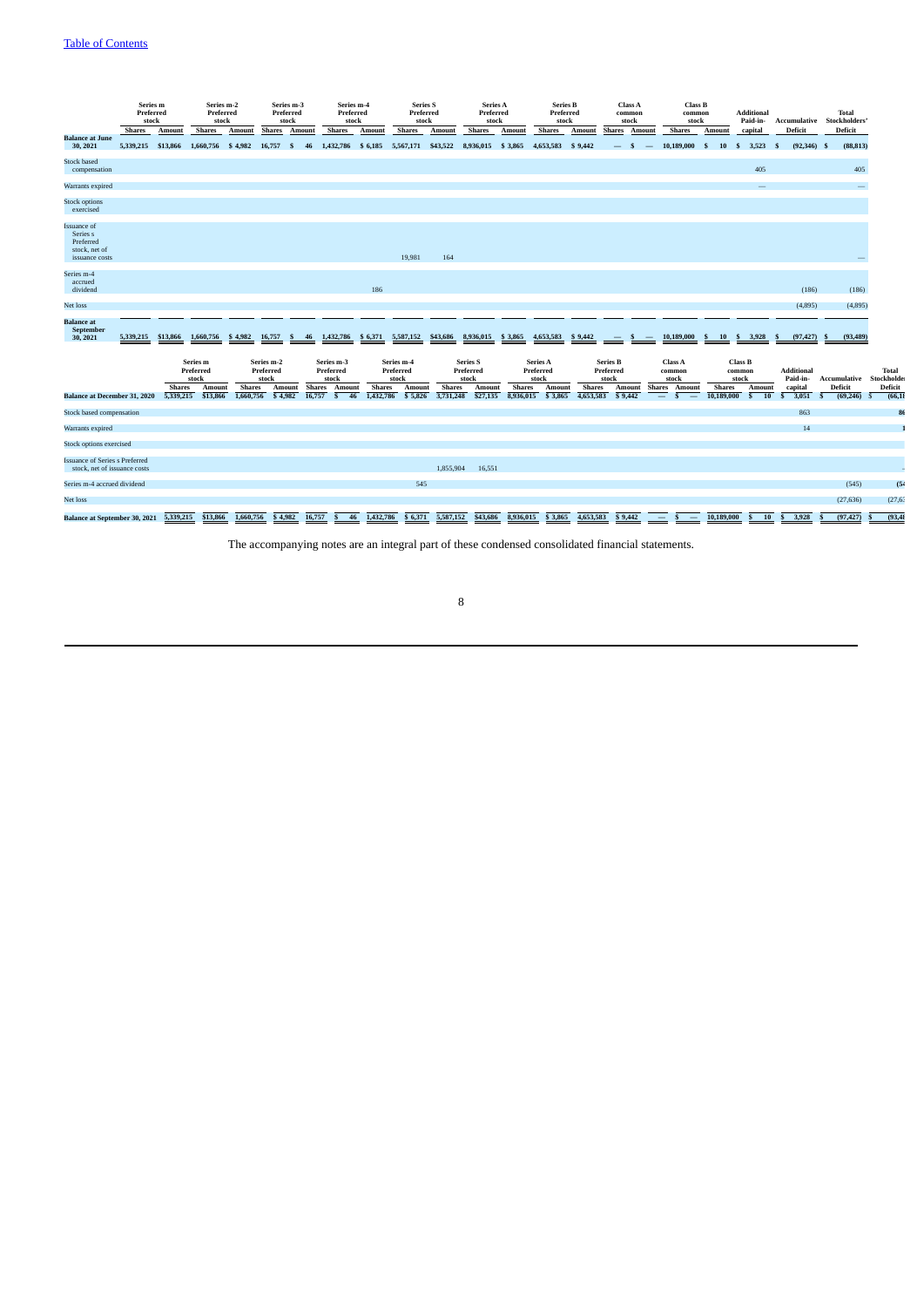|                                                                         | Series m<br>Preferred<br>stock<br><b>Shares</b> | Amount                     | Series m-2<br>Preferred<br>stock<br><b>Shares</b>    |                            | Preferred                                                    | Series m-3<br>stock     | Series m-4<br>Preferred<br>stock<br><b>Shares</b>                  |                            | <b>Series S</b><br>Preferred<br>stock<br><b>Shares</b> |                            | Series A<br>Preferred<br>stock<br><b>Shares</b>      |               | <b>Series B</b><br>Preferred<br>stock<br><b>Shares</b>               |                            |                                                  | Class A<br>common<br>stock                | Class B<br>common<br>stock<br><b>Shares</b>                                                                    |                             | <b>Additional</b><br>Paid-in-                                              |    | Accumulative                                      | <b>Total</b><br>Stockholders'                              |                                     |
|-------------------------------------------------------------------------|-------------------------------------------------|----------------------------|------------------------------------------------------|----------------------------|--------------------------------------------------------------|-------------------------|--------------------------------------------------------------------|----------------------------|--------------------------------------------------------|----------------------------|------------------------------------------------------|---------------|----------------------------------------------------------------------|----------------------------|--------------------------------------------------|-------------------------------------------|----------------------------------------------------------------------------------------------------------------|-----------------------------|----------------------------------------------------------------------------|----|---------------------------------------------------|------------------------------------------------------------|-------------------------------------|
| <b>Balance at June</b><br>30, 2021                                      | 5,339,215 \$13,866                              |                            | 1,660,756 \$4,982                                    | Amount                     | $16,757$ \$                                                  | Shares Amount<br>- 46   | 1,432,786                                                          | Amount                     | \$6,185 5,567,171                                      | Amount<br>\$43,522         | 8,936,015 \$3,865                                    | Amount        | 4,653,583 \$9,442                                                    | Amount                     | $-$ s                                            | Shares Amount<br>$\overline{\phantom{0}}$ | 10,189,000                                                                                                     | Amount<br>-S<br>10          | capital<br>$3,523$ \$<br>-S                                                |    | Deficit<br>$(92.346)$ S                           | Deficit<br>(88, 813)                                       |                                     |
| <b>Stock based</b><br>compensation                                      |                                                 |                            |                                                      |                            |                                                              |                         |                                                                    |                            |                                                        |                            |                                                      |               |                                                                      |                            |                                                  |                                           |                                                                                                                |                             | 405                                                                        |    |                                                   | 405                                                        |                                     |
| Warrants expired                                                        |                                                 |                            |                                                      |                            |                                                              |                         |                                                                    |                            |                                                        |                            |                                                      |               |                                                                      |                            |                                                  |                                           |                                                                                                                |                             | -                                                                          |    |                                                   | $\overline{\phantom{a}}$                                   |                                     |
| <b>Stock options</b><br>exercised                                       |                                                 |                            |                                                      |                            |                                                              |                         |                                                                    |                            |                                                        |                            |                                                      |               |                                                                      |                            |                                                  |                                           |                                                                                                                |                             |                                                                            |    |                                                   |                                                            |                                     |
| Issuance of<br>Series s<br>Preferred<br>stock, net of<br>issuance costs |                                                 |                            |                                                      |                            |                                                              |                         |                                                                    |                            | 19,981                                                 | 164                        |                                                      |               |                                                                      |                            |                                                  |                                           |                                                                                                                |                             |                                                                            |    |                                                   |                                                            |                                     |
| Series m-4<br>accrued<br>dividend                                       |                                                 |                            |                                                      |                            |                                                              |                         |                                                                    | 186                        |                                                        |                            |                                                      |               |                                                                      |                            |                                                  |                                           |                                                                                                                |                             |                                                                            |    | (186)                                             | (186)                                                      |                                     |
| Net loss                                                                |                                                 |                            |                                                      |                            |                                                              |                         |                                                                    |                            |                                                        |                            |                                                      |               |                                                                      |                            |                                                  |                                           |                                                                                                                |                             |                                                                            |    | (4,895)                                           | (4,895)                                                    |                                     |
| <b>Balance</b> at<br>September<br>30, 2021                              | 5,339,215                                       | \$13,866                   | 1,660,756                                            | \$4,982                    | 16,757                                                       | 46<br>-S                | 1,432,786                                                          | \$6,371                    | 5,587,152                                              | \$43,686                   | 8,936,015                                            | \$ 3,865      | 4,653,583                                                            | \$9,442                    | $\qquad \qquad -$                                | - \$<br>$\overline{\phantom{a}}$          | 10,189,000                                                                                                     | 10<br>S.                    | 3,928<br>-S                                                                | -S | (97, 427)                                         | (93, 489)<br><b>S</b>                                      |                                     |
| <b>Balance at December 31, 2020</b>                                     |                                                 | <b>Shares</b><br>5.339.215 | Series m<br>Preferred<br>stock<br>Amount<br>\$13,866 | <b>Shares</b><br>1,660,756 | Series m-2<br>Preferred<br>stock<br><b>Amount</b><br>\$4,982 | <b>Shares</b><br>16,757 | Series m-3<br>Preferred<br>stock<br>Amount<br>$\overline{s}$<br>46 | <b>Shares</b><br>1,432,786 | Series m-4<br>Preferred<br>stock<br>Amount<br>\$5,826  | <b>Shares</b><br>3,731,248 | Series S<br>Preferred<br>stock<br>Amount<br>\$27,135 | <b>Shares</b> | <b>Series A</b><br>Preferred<br>stock<br>Amount<br>8,936,015 \$3,865 | <b>Shares</b><br>4,653,583 | <b>Series B</b><br>Preferred<br>stock<br>\$9,442 | Amount                                    | Class A<br>common<br>stock<br>Shares Amount<br>$\overline{\mathbf{s}}$<br>$\equiv$<br>$\overline{\phantom{0}}$ | <b>Shares</b><br>10,189,000 | <b>Class B</b><br>common<br>stock<br><b>Amount</b><br>$\overline{s}$<br>10 | S. | <b>Additional</b><br>Paid-in-<br>capital<br>3,051 | Accumulative Stockholder<br>Deficit<br>$(69,246)$ \$<br>-S | <b>Total</b><br>Deficit<br>(66, 18) |
| Stock based compensation                                                |                                                 |                            |                                                      |                            |                                                              |                         |                                                                    |                            |                                                        |                            |                                                      |               |                                                                      |                            |                                                  |                                           |                                                                                                                |                             |                                                                            |    | 863                                               |                                                            |                                     |
| Warrants expired                                                        |                                                 |                            |                                                      |                            |                                                              |                         |                                                                    |                            |                                                        |                            |                                                      |               |                                                                      |                            |                                                  |                                           |                                                                                                                |                             |                                                                            |    | 14                                                |                                                            |                                     |
| Stock options exercised                                                 |                                                 |                            |                                                      |                            |                                                              |                         |                                                                    |                            |                                                        |                            |                                                      |               |                                                                      |                            |                                                  |                                           |                                                                                                                |                             |                                                                            |    |                                                   |                                                            |                                     |
| <b>Issuance of Series s Preferred</b><br>stock, net of issuance costs   |                                                 |                            |                                                      |                            |                                                              |                         |                                                                    |                            |                                                        | 1.855.904                  | 16,551                                               |               |                                                                      |                            |                                                  |                                           |                                                                                                                |                             |                                                                            |    |                                                   |                                                            |                                     |
| Series m-4 accrued dividend                                             |                                                 |                            |                                                      |                            |                                                              |                         |                                                                    |                            | 545                                                    |                            |                                                      |               |                                                                      |                            |                                                  |                                           |                                                                                                                |                             |                                                                            |    |                                                   | (545)                                                      |                                     |
| Net loss                                                                |                                                 |                            |                                                      |                            |                                                              |                         |                                                                    |                            |                                                        |                            |                                                      |               |                                                                      |                            |                                                  |                                           |                                                                                                                |                             |                                                                            |    |                                                   | (27, 636)                                                  | (27, 63)                            |
| <b>Balance at September 30, 2021</b>                                    |                                                 | 5.339.215                  | \$13,866                                             | 1,660,756                  | \$4,982                                                      | 16,757                  | 46<br>-S                                                           | 1,432,786                  | \$6,371                                                | 5.587,152                  | \$43,686                                             | 8,936,015     | \$3,865                                                              | 4,653,583                  | \$9,442                                          |                                           | $-$ s<br>$\overline{\phantom{0}}$                                                                              | 10,189,000                  | $\mathbf{s}$<br>10                                                         |    | $\frac{1}{2}$ 3.928                               | (97, 427)<br>-S                                            | (93, 48)<br>-S                      |

The accompanying notes are an integral part of these condensed consolidated financial statements.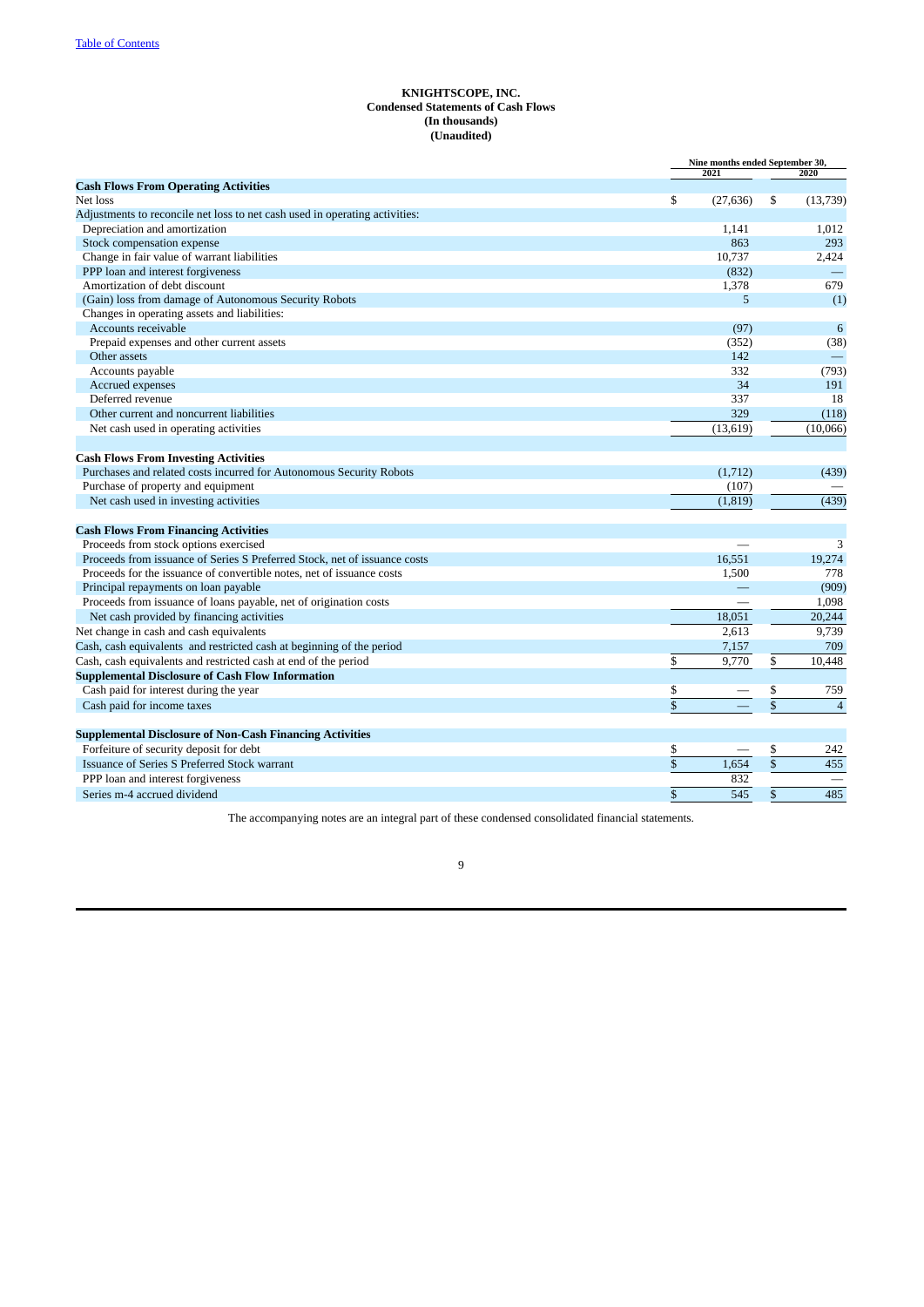# **KNIGHTSCOPE, INC. Condensed Statements of Cash Flows (In thousands) (Unaudited)**

<span id="page-8-0"></span>

|                                                                             |                         |                                  | Nine months ended September 30, |  |  |
|-----------------------------------------------------------------------------|-------------------------|----------------------------------|---------------------------------|--|--|
|                                                                             | 2021                    |                                  | 2020                            |  |  |
| <b>Cash Flows From Operating Activities</b><br>Net loss                     | \$                      | \$                               |                                 |  |  |
| Adjustments to reconcile net loss to net cash used in operating activities: | (27, 636)               |                                  | (13,739)                        |  |  |
| Depreciation and amortization                                               |                         | 1,141                            | 1,012                           |  |  |
| Stock compensation expense                                                  |                         | 863                              | 293                             |  |  |
|                                                                             | 10,737                  |                                  |                                 |  |  |
| Change in fair value of warrant liabilities                                 |                         |                                  | 2,424                           |  |  |
| PPP loan and interest forgiveness                                           |                         | (832)                            |                                 |  |  |
| Amortization of debt discount                                               |                         | 1,378                            | 679                             |  |  |
| (Gain) loss from damage of Autonomous Security Robots                       |                         | 5                                | (1)                             |  |  |
| Changes in operating assets and liabilities:                                |                         |                                  |                                 |  |  |
| Accounts receivable                                                         |                         | (97)                             | 6                               |  |  |
| Prepaid expenses and other current assets                                   |                         | (352)                            | (38)                            |  |  |
| Other assets                                                                |                         | 142                              |                                 |  |  |
| Accounts payable                                                            |                         | 332                              | (793)                           |  |  |
| Accrued expenses                                                            |                         | 34                               | 191                             |  |  |
| Deferred revenue                                                            |                         | 337                              | 18                              |  |  |
| Other current and noncurrent liabilities                                    |                         | 329                              | (118)                           |  |  |
| Net cash used in operating activities                                       | (13,619)                |                                  | (10,066)                        |  |  |
|                                                                             |                         |                                  |                                 |  |  |
| <b>Cash Flows From Investing Activities</b>                                 |                         |                                  |                                 |  |  |
| Purchases and related costs incurred for Autonomous Security Robots         |                         | (1,712)                          | (439)                           |  |  |
| Purchase of property and equipment                                          |                         | (107)                            |                                 |  |  |
| Net cash used in investing activities                                       |                         | (1,819)                          | (439)                           |  |  |
| <b>Cash Flows From Financing Activities</b>                                 |                         |                                  |                                 |  |  |
| Proceeds from stock options exercised                                       |                         |                                  | 3                               |  |  |
| Proceeds from issuance of Series S Preferred Stock, net of issuance costs   | 16,551                  |                                  | 19,274                          |  |  |
| Proceeds for the issuance of convertible notes, net of issuance costs       |                         | 1,500                            | 778                             |  |  |
| Principal repayments on loan payable                                        |                         |                                  | (909)                           |  |  |
| Proceeds from issuance of loans payable, net of origination costs           |                         |                                  | 1,098                           |  |  |
| Net cash provided by financing activities                                   | 18,051                  |                                  | 20,244                          |  |  |
|                                                                             |                         | 2,613                            | 9,739                           |  |  |
| Net change in cash and cash equivalents                                     |                         |                                  |                                 |  |  |
| Cash, cash equivalents and restricted cash at beginning of the period       |                         | 7,157                            | 709                             |  |  |
| Cash, cash equivalents and restricted cash at end of the period             | \$                      | 9.770<br>\$                      | 10,448                          |  |  |
| <b>Supplemental Disclosure of Cash Flow Information</b>                     |                         |                                  |                                 |  |  |
| Cash paid for interest during the year                                      | \$                      | \$                               | 759                             |  |  |
| Cash paid for income taxes                                                  | $\overline{\mathbb{S}}$ | $\overline{\$}$                  | $\overline{4}$                  |  |  |
| <b>Supplemental Disclosure of Non-Cash Financing Activities</b>             |                         |                                  |                                 |  |  |
| Forfeiture of security deposit for debt                                     | \$                      | \$                               | 242                             |  |  |
| Issuance of Series S Preferred Stock warrant                                | $\overline{\mathbb{S}}$ | $\overline{\mathbb{S}}$<br>1.654 | 455                             |  |  |
| PPP loan and interest forgiveness                                           |                         | 832                              |                                 |  |  |
| Series m-4 accrued dividend                                                 | \$                      | 545<br>\$                        | 485                             |  |  |
|                                                                             |                         |                                  |                                 |  |  |

The accompanying notes are an integral part of these condensed consolidated financial statements.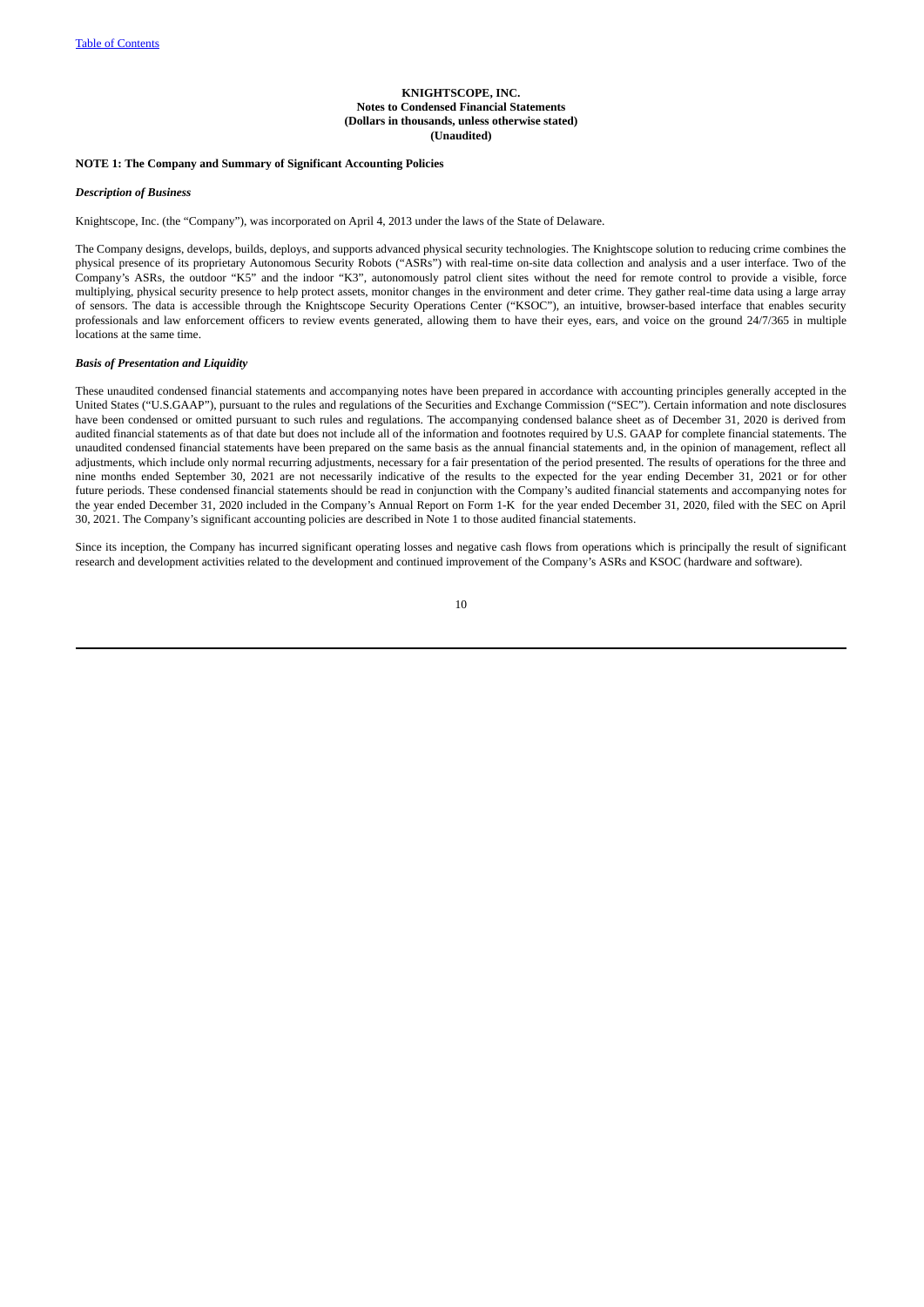# **KNIGHTSCOPE, INC. Notes to Condensed Financial Statements (Dollars in thousands, unless otherwise stated) (Unaudited)**

# <span id="page-9-0"></span>**NOTE 1: The Company and Summary of Significant Accounting Policies**

# *Description of Business*

Knightscope, Inc. (the "Company"), was incorporated on April 4, 2013 under the laws of the State of Delaware.

The Company designs, develops, builds, deploys, and supports advanced physical security technologies. The Knightscope solution to reducing crime combines the physical presence of its proprietary Autonomous Security Robots ("ASRs") with real-time on-site data collection and analysis and a user interface. Two of the Company's ASRs, the outdoor "K5" and the indoor "K3", autonomously patrol client sites without the need for remote control to provide a visible, force multiplying, physical security presence to help protect assets, monitor changes in the environment and deter crime. They gather real-time data using a large array of sensors. The data is accessible through the Knightscope Security Operations Center ("KSOC"), an intuitive, browser-based interface that enables security professionals and law enforcement officers to review events generated, allowing them to have their eyes, ears, and voice on the ground 24/7/365 in multiple locations at the same time.

### *Basis of Presentation and Liquidity*

These unaudited condensed financial statements and accompanying notes have been prepared in accordance with accounting principles generally accepted in the United States ("U.S.GAAP"), pursuant to the rules and regulations of the Securities and Exchange Commission ("SEC"). Certain information and note disclosures have been condensed or omitted pursuant to such rules and regulations. The accompanying condensed balance sheet as of December 31, 2020 is derived from audited financial statements as of that date but does not include all of the information and footnotes required by U.S. GAAP for complete financial statements. The unaudited condensed financial statements have been prepared on the same basis as the annual financial statements and, in the opinion of management, reflect all adjustments, which include only normal recurring adjustments, necessary for a fair presentation of the period presented. The results of operations for the three and nine months ended September 30, 2021 are not necessarily indicative of the results to the expected for the year ending December 31, 2021 or for other future periods. These condensed financial statements should be read in conjunction with the Company's audited financial statements and accompanying notes for the year ended December 31, 2020 included in the Company's Annual Report on Form 1-K for the year ended December 31, 2020, filed with the SEC on April 30, 2021. The Company's significant accounting policies are described in Note 1 to those audited financial statements.

Since its inception, the Company has incurred significant operating losses and negative cash flows from operations which is principally the result of significant research and development activities related to the development and continued improvement of the Company's ASRs and KSOC (hardware and software).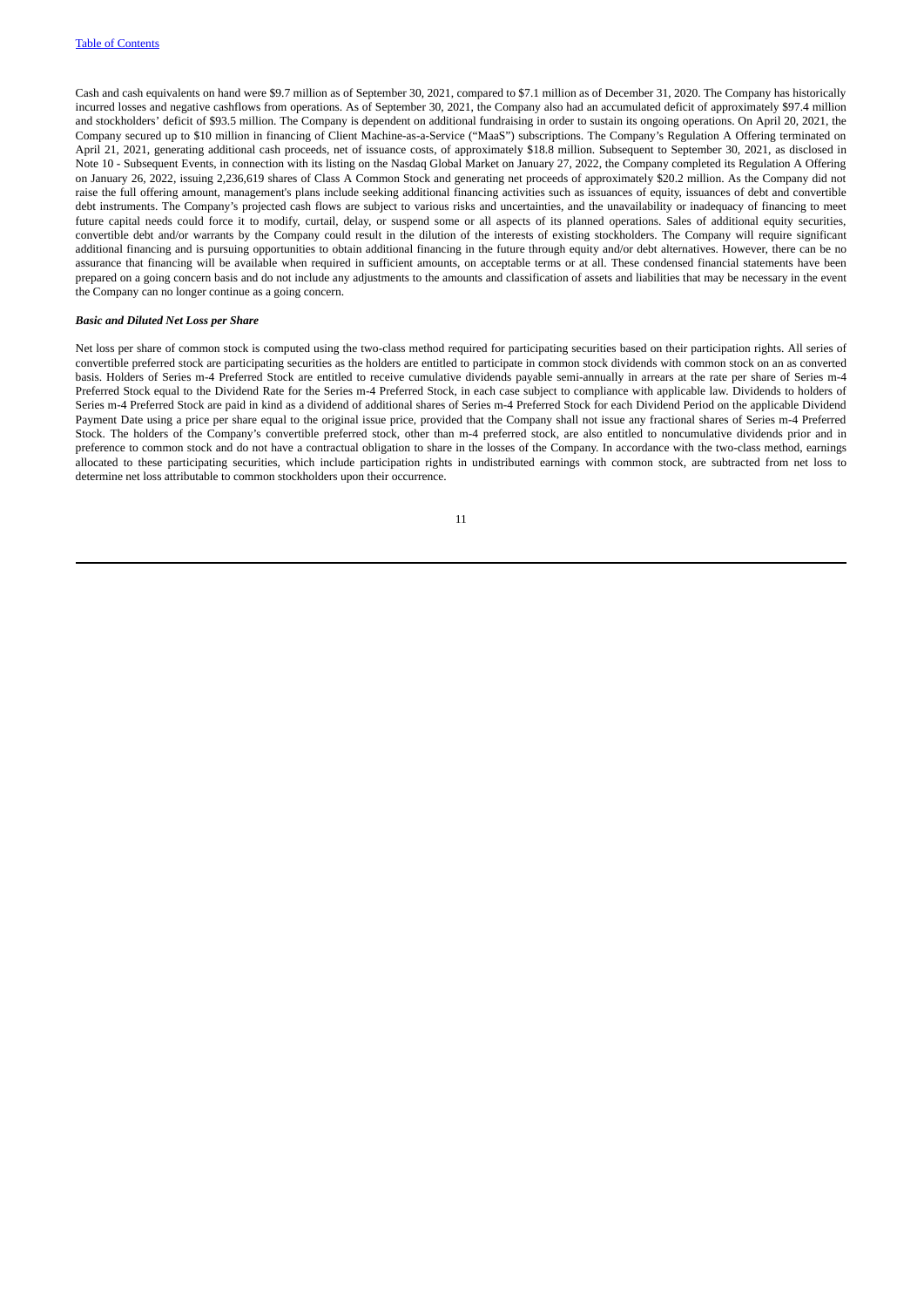Cash and cash equivalents on hand were \$9.7 million as of September 30, 2021, compared to \$7.1 million as of December 31, 2020. The Company has historically incurred losses and negative cashflows from operations. As of September 30, 2021, the Company also had an accumulated deficit of approximately \$97.4 million and stockholders' deficit of \$93.5 million. The Company is dependent on additional fundraising in order to sustain its ongoing operations. On April 20, 2021, the Company secured up to \$10 million in financing of Client Machine-as-a-Service ("MaaS") subscriptions. The Company's Regulation A Offering terminated on April 21, 2021, generating additional cash proceeds, net of issuance costs, of approximately \$18.8 million. Subsequent to September 30, 2021, as disclosed in Note 10 - Subsequent Events, in connection with its listing on the Nasdaq Global Market on January 27, 2022, the Company completed its Regulation A Offering on January 26, 2022, issuing 2,236,619 shares of Class A Common Stock and generating net proceeds of approximately \$20.2 million. As the Company did not raise the full offering amount, management's plans include seeking additional financing activities such as issuances of equity, issuances of debt and convertible debt instruments. The Company's projected cash flows are subject to various risks and uncertainties, and the unavailability or inadequacy of financing to meet future capital needs could force it to modify, curtail, delay, or suspend some or all aspects of its planned operations. Sales of additional equity securities, convertible debt and/or warrants by the Company could result in the dilution of the interests of existing stockholders. The Company will require significant additional financing and is pursuing opportunities to obtain additional financing in the future through equity and/or debt alternatives. However, there can be no assurance that financing will be available when required in sufficient amounts, on acceptable terms or at all. These condensed financial statements have been prepared on a going concern basis and do not include any adjustments to the amounts and classification of assets and liabilities that may be necessary in the event the Company can no longer continue as a going concern.

#### *Basic and Diluted Net Loss per Share*

Net loss per share of common stock is computed using the two-class method required for participating securities based on their participation rights. All series of convertible preferred stock are participating securities as the holders are entitled to participate in common stock dividends with common stock on an as converted basis. Holders of Series m-4 Preferred Stock are entitled to receive cumulative dividends payable semi-annually in arrears at the rate per share of Series m-4 Preferred Stock equal to the Dividend Rate for the Series m-4 Preferred Stock, in each case subject to compliance with applicable law. Dividends to holders of Series m-4 Preferred Stock are paid in kind as a dividend of additional shares of Series m-4 Preferred Stock for each Dividend Period on the applicable Dividend Payment Date using a price per share equal to the original issue price, provided that the Company shall not issue any fractional shares of Series m-4 Preferred Stock. The holders of the Company's convertible preferred stock, other than m-4 preferred stock, are also entitled to noncumulative dividends prior and in preference to common stock and do not have a contractual obligation to share in the losses of the Company. In accordance with the two-class method, earnings allocated to these participating securities, which include participation rights in undistributed earnings with common stock, are subtracted from net loss to determine net loss attributable to common stockholders upon their occurrence.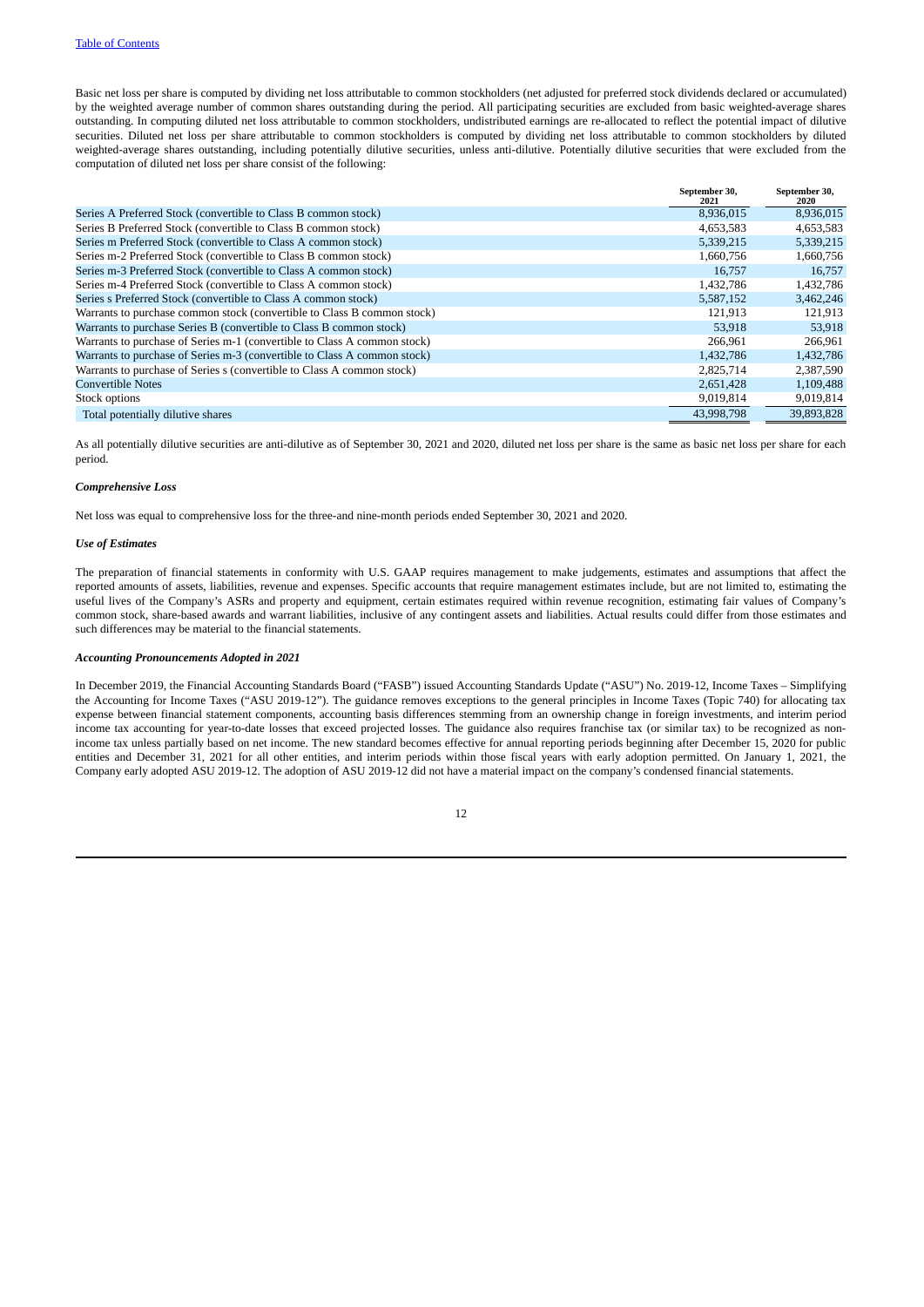Basic net loss per share is computed by dividing net loss attributable to common stockholders (net adjusted for preferred stock dividends declared or accumulated) by the weighted average number of common shares outstanding during the period. All participating securities are excluded from basic weighted-average shares outstanding. In computing diluted net loss attributable to common stockholders, undistributed earnings are re-allocated to reflect the potential impact of dilutive securities. Diluted net loss per share attributable to common stockholders is computed by dividing net loss attributable to common stockholders by diluted weighted-average shares outstanding, including potentially dilutive securities, unless anti-dilutive. Potentially dilutive securities that were excluded from the computation of diluted net loss per share consist of the following:

|                                                                          | September 30,<br>2021 | September 30,<br>2020 |
|--------------------------------------------------------------------------|-----------------------|-----------------------|
| Series A Preferred Stock (convertible to Class B common stock)           | 8,936,015             | 8,936,015             |
| Series B Preferred Stock (convertible to Class B common stock)           | 4,653,583             | 4,653,583             |
| Series m Preferred Stock (convertible to Class A common stock)           | 5,339,215             | 5,339,215             |
| Series m-2 Preferred Stock (convertible to Class B common stock)         | 1,660,756             | 1,660,756             |
| Series m-3 Preferred Stock (convertible to Class A common stock)         | 16.757                | 16,757                |
| Series m-4 Preferred Stock (convertible to Class A common stock)         | 1,432,786             | 1,432,786             |
| Series s Preferred Stock (convertible to Class A common stock)           | 5,587,152             | 3,462,246             |
| Warrants to purchase common stock (convertible to Class B common stock)  | 121,913               | 121,913               |
| Warrants to purchase Series B (convertible to Class B common stock)      | 53,918                | 53,918                |
| Warrants to purchase of Series m-1 (convertible to Class A common stock) | 266,961               | 266,961               |
| Warrants to purchase of Series m-3 (convertible to Class A common stock) | 1,432,786             | 1,432,786             |
| Warrants to purchase of Series s (convertible to Class A common stock)   | 2,825,714             | 2,387,590             |
| <b>Convertible Notes</b>                                                 | 2,651,428             | 1,109,488             |
| Stock options                                                            | 9,019,814             | 9,019,814             |
| Total potentially dilutive shares                                        | 43,998,798            | 39.893.828            |

As all potentially dilutive securities are anti-dilutive as of September 30, 2021 and 2020, diluted net loss per share is the same as basic net loss per share for each period.

### *Comprehensive Loss*

Net loss was equal to comprehensive loss for the three-and nine-month periods ended September 30, 2021 and 2020.

#### *Use of Estimates*

The preparation of financial statements in conformity with U.S. GAAP requires management to make judgements, estimates and assumptions that affect the reported amounts of assets, liabilities, revenue and expenses. Specific accounts that require management estimates include, but are not limited to, estimating the useful lives of the Company's ASRs and property and equipment, certain estimates required within revenue recognition, estimating fair values of Company's common stock, share-based awards and warrant liabilities, inclusive of any contingent assets and liabilities. Actual results could differ from those estimates and such differences may be material to the financial statements.

## *Accounting Pronouncements Adopted in 2021*

In December 2019, the Financial Accounting Standards Board ("FASB") issued Accounting Standards Update ("ASU") No. 2019-12, Income Taxes – Simplifying the Accounting for Income Taxes ("ASU 2019-12"). The guidance removes exceptions to the general principles in Income Taxes (Topic 740) for allocating tax expense between financial statement components, accounting basis differences stemming from an ownership change in foreign investments, and interim period income tax accounting for year-to-date losses that exceed projected losses. The guidance also requires franchise tax (or similar tax) to be recognized as nonincome tax unless partially based on net income. The new standard becomes effective for annual reporting periods beginning after December 15, 2020 for public entities and December 31, 2021 for all other entities, and interim periods within those fiscal years with early adoption permitted. On January 1, 2021, the Company early adopted ASU 2019-12. The adoption of ASU 2019-12 did not have a material impact on the company's condensed financial statements.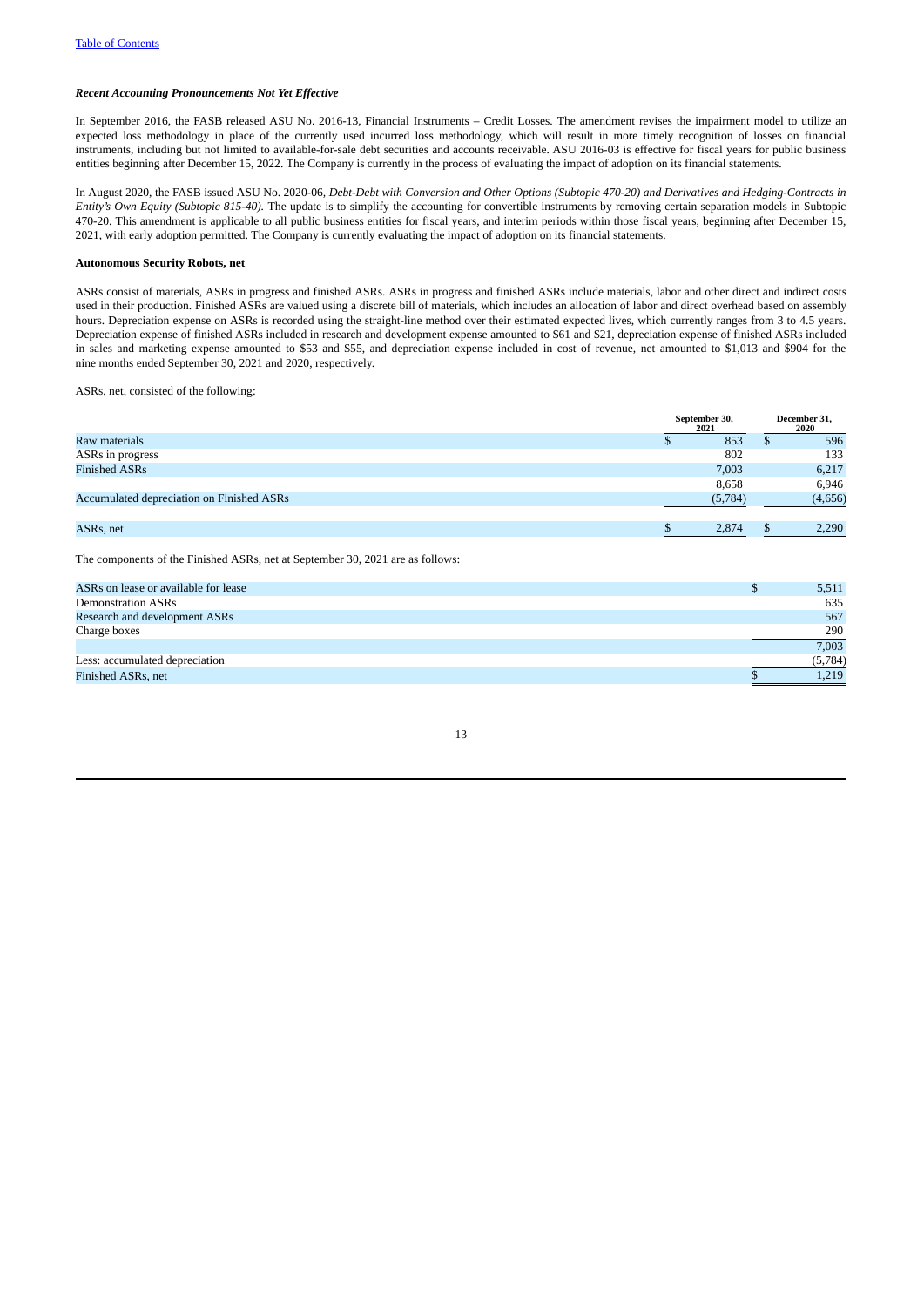# *Recent Accounting Pronouncements Not Yet Effective*

In September 2016, the FASB released ASU No. 2016-13*,* Financial Instruments – Credit Losses. The amendment revises the impairment model to utilize an expected loss methodology in place of the currently used incurred loss methodology, which will result in more timely recognition of losses on financial instruments, including but not limited to available-for-sale debt securities and accounts receivable. ASU 2016-03 is effective for fiscal years for public business entities beginning after December 15, 2022. The Company is currently in the process of evaluating the impact of adoption on its financial statements.

In August 2020, the FASB issued ASU No. 2020-06, Debt-Debt with Conversion and Other Options (Subtopic 470-20) and Derivatives and Hedaing-Contracts in *Entity's Own Equity (Subtopic 815-40).* The update is to simplify the accounting for convertible instruments by removing certain separation models in Subtopic 470-20. This amendment is applicable to all public business entities for fiscal years, and interim periods within those fiscal years, beginning after December 15, 2021, with early adoption permitted. The Company is currently evaluating the impact of adoption on its financial statements.

#### **Autonomous Security Robots, net**

ASRs consist of materials, ASRs in progress and finished ASRs. ASRs in progress and finished ASRs include materials, labor and other direct and indirect costs used in their production. Finished ASRs are valued using a discrete bill of materials, which includes an allocation of labor and direct overhead based on assembly hours. Depreciation expense on ASRs is recorded using the straight-line method over their estimated expected lives, which currently ranges from 3 to 4.5 years. Depreciation expense of finished ASRs included in research and development expense amounted to \$61 and \$21, depreciation expense of finished ASRs included in sales and marketing expense amounted to \$53 and \$55, and depreciation expense included in cost of revenue, net amounted to \$1,013 and \$904 for the nine months ended September 30, 2021 and 2020, respectively.

ASRs, net, consisted of the following:

|                                           | September 30,<br>2021 | December 31,<br>2020 |
|-------------------------------------------|-----------------------|----------------------|
| Raw materials                             | 853                   | 596                  |
| ASRs in progress                          | 802                   | 133                  |
| <b>Finished ASRs</b>                      | 7,003                 | 6,217                |
|                                           | 8,658                 | 6,946                |
| Accumulated depreciation on Finished ASRs | (5,784)               | (4,656)              |
|                                           |                       |                      |
| ASRs, net                                 | 2.874                 | 2,290                |

The components of the Finished ASRs, net at September 30, 2021 are as follows:

| ASRs on lease or available for lease | ъ | 5,511   |
|--------------------------------------|---|---------|
| <b>Demonstration ASRs</b>            |   | 635     |
| Research and development ASRs        |   | 567     |
| Charge boxes                         |   | 290     |
|                                      |   | 7,003   |
| Less: accumulated depreciation       |   | (5,784) |
| Finished ASRs, net                   |   | 1.219   |
|                                      |   |         |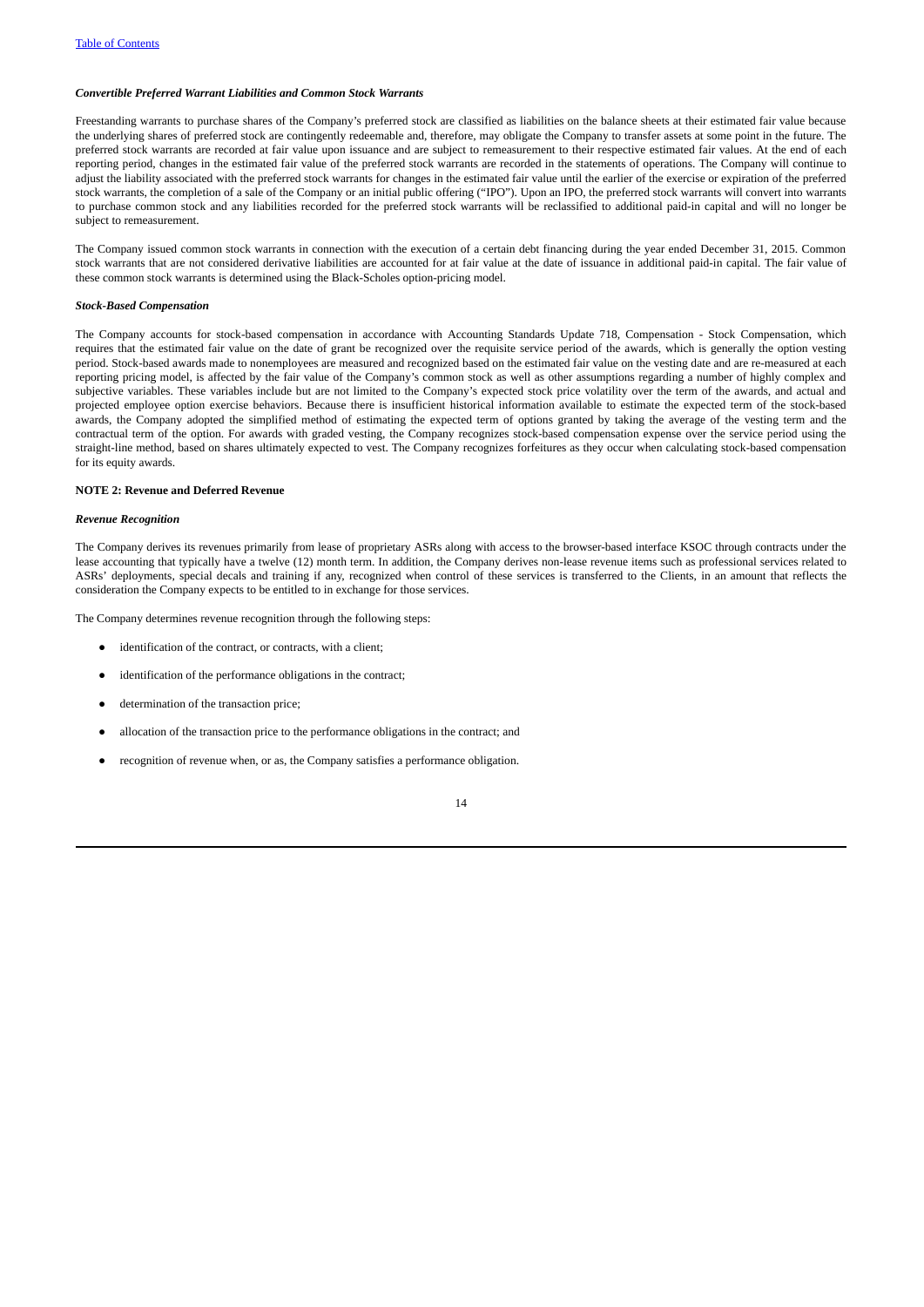# *Convertible Preferred Warrant Liabilities and Common Stock Warrants*

Freestanding warrants to purchase shares of the Company's preferred stock are classified as liabilities on the balance sheets at their estimated fair value because the underlying shares of preferred stock are contingently redeemable and, therefore, may obligate the Company to transfer assets at some point in the future. The preferred stock warrants are recorded at fair value upon issuance and are subject to remeasurement to their respective estimated fair values. At the end of each reporting period, changes in the estimated fair value of the preferred stock warrants are recorded in the statements of operations. The Company will continue to adjust the liability associated with the preferred stock warrants for changes in the estimated fair value until the earlier of the exercise or expiration of the preferred stock warrants, the completion of a sale of the Company or an initial public offering ("IPO"). Upon an IPO, the preferred stock warrants will convert into warrants to purchase common stock and any liabilities recorded for the preferred stock warrants will be reclassified to additional paid-in capital and will no longer be subject to remeasurement.

The Company issued common stock warrants in connection with the execution of a certain debt financing during the year ended December 31, 2015. Common stock warrants that are not considered derivative liabilities are accounted for at fair value at the date of issuance in additional paid-in capital. The fair value of these common stock warrants is determined using the Black-Scholes option-pricing model.

### *Stock-Based Compensation*

The Company accounts for stock-based compensation in accordance with Accounting Standards Update 718, Compensation - Stock Compensation, which requires that the estimated fair value on the date of grant be recognized over the requisite service period of the awards, which is generally the option vesting period. Stock-based awards made to nonemployees are measured and recognized based on the estimated fair value on the vesting date and are re-measured at each reporting pricing model, is affected by the fair value of the Company's common stock as well as other assumptions regarding a number of highly complex and subjective variables. These variables include but are not limited to the Company's expected stock price volatility over the term of the awards, and actual and projected employee option exercise behaviors. Because there is insufficient historical information available to estimate the expected term of the stock-based awards, the Company adopted the simplified method of estimating the expected term of options granted by taking the average of the vesting term and the contractual term of the option. For awards with graded vesting, the Company recognizes stock-based compensation expense over the service period using the straight-line method, based on shares ultimately expected to vest. The Company recognizes forfeitures as they occur when calculating stock-based compensation for its equity awards.

#### **NOTE 2: Revenue and Deferred Revenue**

## *Revenue Recognition*

The Company derives its revenues primarily from lease of proprietary ASRs along with access to the browser-based interface KSOC through contracts under the lease accounting that typically have a twelve (12) month term. In addition, the Company derives non-lease revenue items such as professional services related to ASRs' deployments, special decals and training if any, recognized when control of these services is transferred to the Clients, in an amount that reflects the consideration the Company expects to be entitled to in exchange for those services.

The Company determines revenue recognition through the following steps:

- identification of the contract, or contracts, with a client;
- identification of the performance obligations in the contract;
- determination of the transaction price;
- allocation of the transaction price to the performance obligations in the contract; and
- recognition of revenue when, or as, the Company satisfies a performance obligation.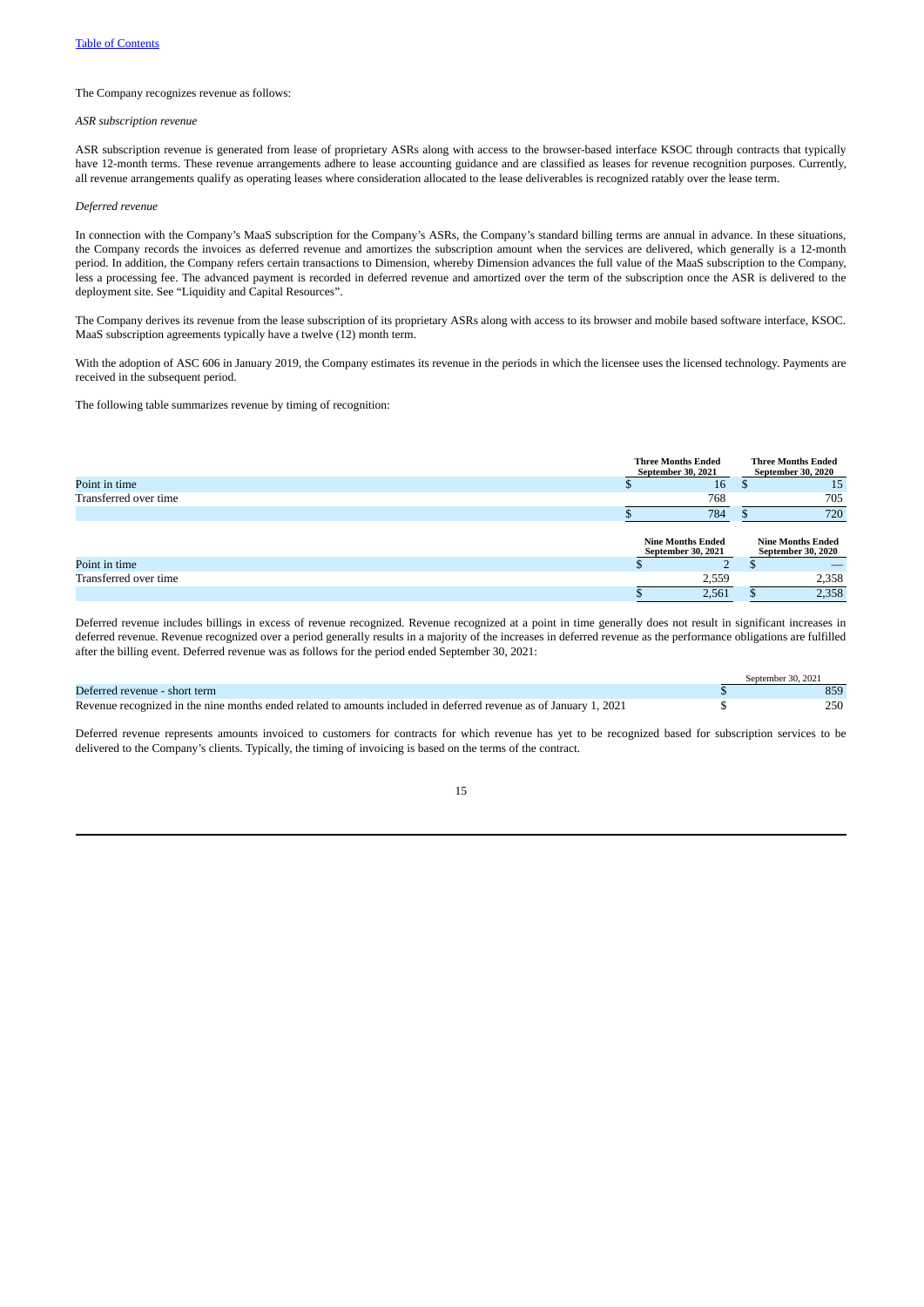# The Company recognizes revenue as follows:

### *ASR subscription revenue*

ASR subscription revenue is generated from lease of proprietary ASRs along with access to the browser-based interface KSOC through contracts that typically have 12-month terms. These revenue arrangements adhere to lease accounting guidance and are classified as leases for revenue recognition purposes. Currently, all revenue arrangements qualify as operating leases where consideration allocated to the lease deliverables is recognized ratably over the lease term.

#### *Deferred revenue*

In connection with the Company's MaaS subscription for the Company's ASRs, the Company's standard billing terms are annual in advance. In these situations, the Company records the invoices as deferred revenue and amortizes the subscription amount when the services are delivered, which generally is a 12-month period. In addition, the Company refers certain transactions to Dimension, whereby Dimension advances the full value of the MaaS subscription to the Company, less a processing fee. The advanced payment is recorded in deferred revenue and amortized over the term of the subscription once the ASR is delivered to the deployment site. See "Liquidity and Capital Resources".

The Company derives its revenue from the lease subscription of its proprietary ASRs along with access to its browser and mobile based software interface, KSOC. MaaS subscription agreements typically have a twelve (12) month term.

With the adoption of ASC 606 in January 2019, the Company estimates its revenue in the periods in which the licensee uses the licensed technology. Payments are received in the subsequent period.

The following table summarizes revenue by timing of recognition:

|                       | <b>Three Months Ended</b><br><b>September 30, 2021</b> | <b>Three Months Ended</b><br><b>September 30, 2020</b> |                                                       |
|-----------------------|--------------------------------------------------------|--------------------------------------------------------|-------------------------------------------------------|
| Point in time         |                                                        | 16                                                     | 15                                                    |
| Transferred over time |                                                        | 768                                                    | 705                                                   |
|                       |                                                        | 784                                                    | 720                                                   |
|                       |                                                        | <b>Nine Months Ended</b><br><b>September 30, 2021</b>  | <b>Nine Months Ended</b><br><b>September 30, 2020</b> |
| Point in time         |                                                        | $\sim$                                                 |                                                       |
| Transferred over time |                                                        | 2,559                                                  | 2,358                                                 |

Deferred revenue includes billings in excess of revenue recognized. Revenue recognized at a point in time generally does not result in significant increases in deferred revenue. Revenue recognized over a period generally results in a majority of the increases in deferred revenue as the performance obligations are fulfilled after the billing event. Deferred revenue was as follows for the period ended September 30, 2021:

 $\overline{\text{3}}$  2,561  $\overline{\text{3}}$  2,358

|                                                                                                                   | September 30, 2021 |
|-------------------------------------------------------------------------------------------------------------------|--------------------|
| Deferred revenue - short term                                                                                     |                    |
| Revenue recognized in the nine months ended related to amounts included in deferred revenue as of January 1, 2021 | 250                |

Deferred revenue represents amounts invoiced to customers for contracts for which revenue has yet to be recognized based for subscription services to be delivered to the Company's clients. Typically, the timing of invoicing is based on the terms of the contract.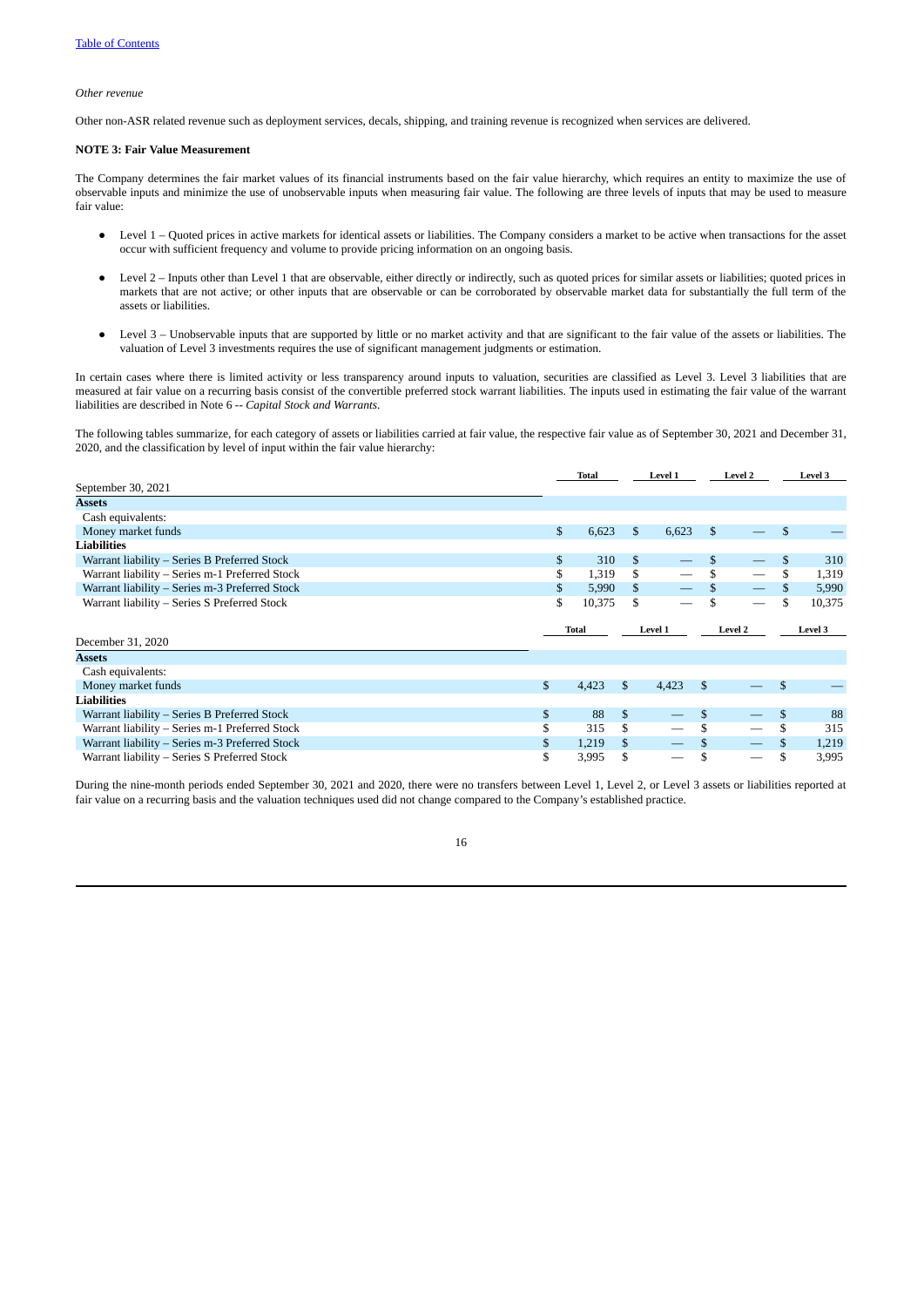# *Other revenue*

Other non-ASR related revenue such as deployment services, decals, shipping, and training revenue is recognized when services are delivered.

# **NOTE 3: Fair Value Measurement**

The Company determines the fair market values of its financial instruments based on the fair value hierarchy, which requires an entity to maximize the use of observable inputs and minimize the use of unobservable inputs when measuring fair value. The following are three levels of inputs that may be used to measure fair value:

- Level 1 Quoted prices in active markets for identical assets or liabilities. The Company considers a market to be active when transactions for the asset occur with sufficient frequency and volume to provide pricing information on an ongoing basis.
- Level 2 Inputs other than Level 1 that are observable, either directly or indirectly, such as quoted prices for similar assets or liabilities; quoted prices in markets that are not active; or other inputs that are observable or can be corroborated by observable market data for substantially the full term of the assets or liabilities.
- Level 3 Unobservable inputs that are supported by little or no market activity and that are significant to the fair value of the assets or liabilities. The valuation of Level 3 investments requires the use of significant management judgments or estimation.

In certain cases where there is limited activity or less transparency around inputs to valuation, securities are classified as Level 3. Level 3 liabilities that are measured at fair value on a recurring basis consist of the convertible preferred stock warrant liabilities. The inputs used in estimating the fair value of the warrant liabilities are described in Note 6 -- *Capital Stock and Warrants*.

The following tables summarize, for each category of assets or liabilities carried at fair value, the respective fair value as of September 30, 2021 and December 31, 2020, and the classification by level of input within the fair value hierarchy:

|                                                | <b>Total</b> |    | Level 1                  |               | <b>Level 2</b>                  |    | <b>Level 3</b> |  |
|------------------------------------------------|--------------|----|--------------------------|---------------|---------------------------------|----|----------------|--|
| September 30, 2021                             |              |    |                          |               |                                 |    |                |  |
| <b>Assets</b>                                  |              |    |                          |               |                                 |    |                |  |
| Cash equivalents:                              |              |    |                          |               |                                 |    |                |  |
| Money market funds                             | \$<br>6,623  | \$ | 6,623                    | <sup>\$</sup> |                                 | \$ |                |  |
| <b>Liabilities</b>                             |              |    |                          |               |                                 |    |                |  |
| Warrant liability - Series B Preferred Stock   | \$<br>310    | \$ |                          | \$            |                                 | \$ | 310            |  |
| Warrant liability - Series m-1 Preferred Stock | \$<br>1,319  | \$ |                          | \$            | $\hspace{0.1mm}-\hspace{0.1mm}$ | \$ | 1,319          |  |
| Warrant liability - Series m-3 Preferred Stock | \$<br>5,990  | \$ | $\overline{\phantom{0}}$ | \$            | $\qquad \qquad -$               | \$ | 5,990          |  |
| Warrant liability - Series S Preferred Stock   | \$<br>10,375 | \$ |                          | \$            | $\overline{\phantom{m}}$        | \$ | 10,375         |  |
|                                                | Total        |    | <b>Level 1</b>           |               | Level 2                         |    | Level 3        |  |
| December 31, 2020                              |              |    |                          |               |                                 |    |                |  |
| <b>Assets</b>                                  |              |    |                          |               |                                 |    |                |  |
| Cash equivalents:                              |              |    |                          |               |                                 |    |                |  |
| Money market funds                             | \$<br>4,423  | \$ | 4,423                    | -\$           |                                 | \$ |                |  |
| Liabilities                                    |              |    |                          |               |                                 |    |                |  |
| Warrant liability – Series B Preferred Stock   | \$<br>88     | \$ |                          | S             |                                 | S  | 88             |  |
| Warrant liability - Series m-1 Preferred Stock | \$<br>315    | \$ | $\overline{\phantom{m}}$ | \$            |                                 | \$ | 315            |  |
| Warrant liability - Series m-3 Preferred Stock | \$<br>1,219  | S  | $\overline{\phantom{m}}$ | \$            |                                 | \$ | 1,219          |  |
| Warrant liability - Series S Preferred Stock   | \$<br>3,995  | \$ |                          |               | $\overline{\phantom{0}}$        | \$ | 3,995          |  |

During the nine-month periods ended September 30, 2021 and 2020, there were no transfers between Level 1, Level 2, or Level 3 assets or liabilities reported at fair value on a recurring basis and the valuation techniques used did not change compared to the Company's established practice.

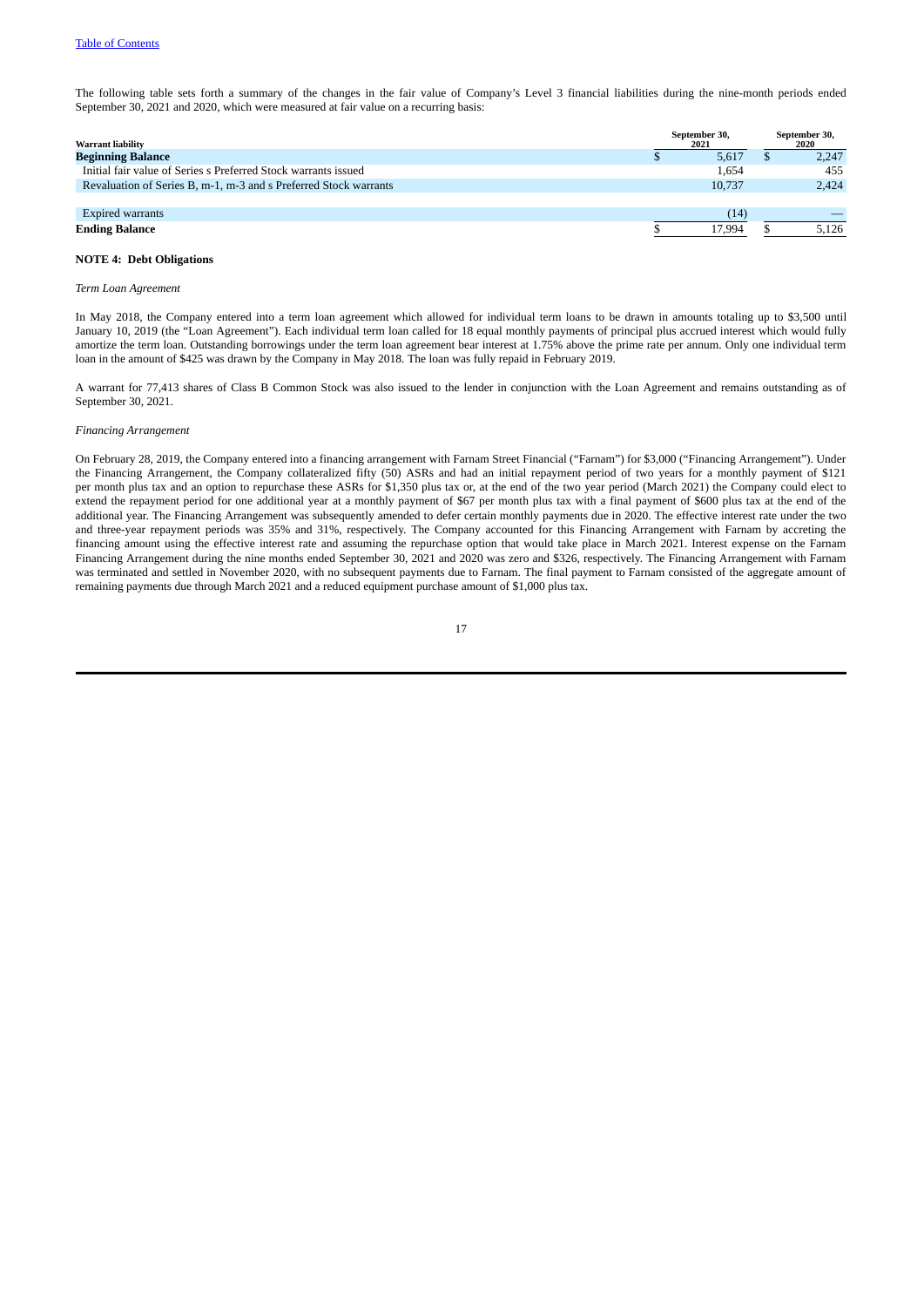The following table sets forth a summary of the changes in the fair value of Company's Level 3 financial liabilities during the nine-month periods ended September 30, 2021 and 2020, which were measured at fair value on a recurring basis:

| <b>Warrant liability</b>                                         | September 30,<br>2021 | September 30,<br>2020 |
|------------------------------------------------------------------|-----------------------|-----------------------|
| <b>Beginning Balance</b>                                         | 5.617                 | 2,247                 |
| Initial fair value of Series s Preferred Stock warrants issued   | 1,654                 | 455                   |
| Revaluation of Series B, m-1, m-3 and s Preferred Stock warrants | 10.737                | 2,424                 |
|                                                                  |                       |                       |
| <b>Expired warrants</b>                                          | (14)                  |                       |
| <b>Ending Balance</b>                                            | 17.994                | 5.126                 |

### **NOTE 4: Debt Obligations**

# *Term Loan Agreement*

In May 2018, the Company entered into a term loan agreement which allowed for individual term loans to be drawn in amounts totaling up to \$3,500 until January 10, 2019 (the "Loan Agreement"). Each individual term loan called for 18 equal monthly payments of principal plus accrued interest which would fully amortize the term loan. Outstanding borrowings under the term loan agreement bear interest at 1.75% above the prime rate per annum. Only one individual term loan in the amount of \$425 was drawn by the Company in May 2018. The loan was fully repaid in February 2019.

A warrant for 77,413 shares of Class B Common Stock was also issued to the lender in conjunction with the Loan Agreement and remains outstanding as of September 30, 2021.

# *Financing Arrangement*

On February 28, 2019, the Company entered into a financing arrangement with Farnam Street Financial ("Farnam") for \$3,000 ("Financing Arrangement"). Under the Financing Arrangement, the Company collateralized fifty (50) ASRs and had an initial repayment period of two years for a monthly payment of \$121 per month plus tax and an option to repurchase these ASRs for \$1,350 plus tax or, at the end of the two year period (March 2021) the Company could elect to extend the repayment period for one additional year at a monthly payment of \$67 per month plus tax with a final payment of \$600 plus tax at the end of the additional year. The Financing Arrangement was subsequently amended to defer certain monthly payments due in 2020. The effective interest rate under the two and three-year repayment periods was 35% and 31%, respectively. The Company accounted for this Financing Arrangement with Farnam by accreting the financing amount using the effective interest rate and assuming the repurchase option that would take place in March 2021. Interest expense on the Farnam Financing Arrangement during the nine months ended September 30, 2021 and 2020 was zero and \$326, respectively. The Financing Arrangement with Farnam was terminated and settled in November 2020, with no subsequent payments due to Farnam. The final payment to Farnam consisted of the aggregate amount of remaining payments due through March 2021 and a reduced equipment purchase amount of \$1,000 plus tax.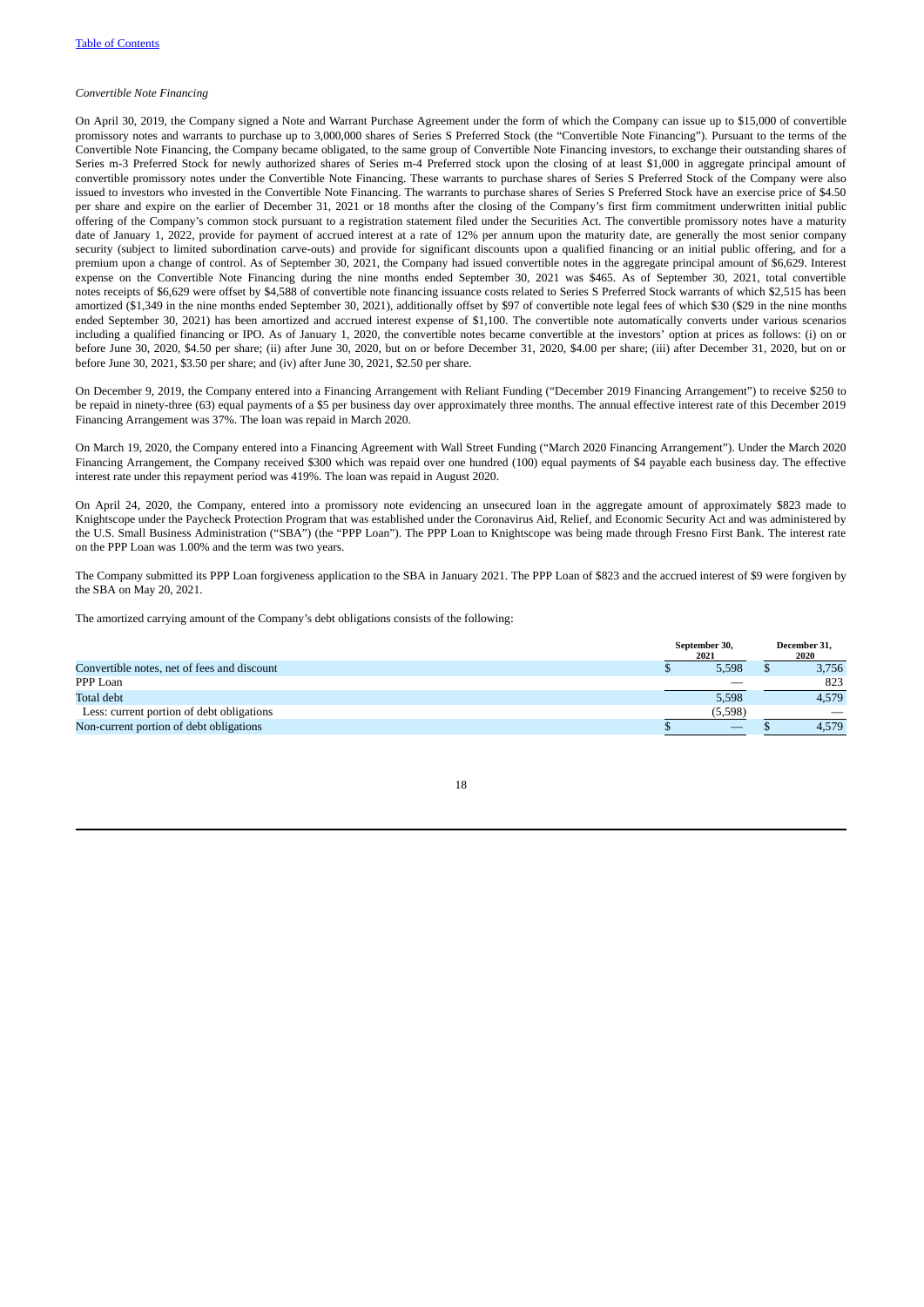# *Convertible Note Financing*

On April 30, 2019, the Company signed a Note and Warrant Purchase Agreement under the form of which the Company can issue up to \$15,000 of convertible promissory notes and warrants to purchase up to 3,000,000 shares of Series S Preferred Stock (the "Convertible Note Financing"). Pursuant to the terms of the Convertible Note Financing, the Company became obligated, to the same group of Convertible Note Financing investors, to exchange their outstanding shares of Series m-3 Preferred Stock for newly authorized shares of Series m-4 Preferred stock upon the closing of at least \$1,000 in aggregate principal amount of convertible promissory notes under the Convertible Note Financing. These warrants to purchase shares of Series S Preferred Stock of the Company were also issued to investors who invested in the Convertible Note Financing. The warrants to purchase shares of Series S Preferred Stock have an exercise price of \$4.50 per share and expire on the earlier of December 31, 2021 or 18 months after the closing of the Company's first firm commitment underwritten initial public offering of the Company's common stock pursuant to a registration statement filed under the Securities Act. The convertible promissory notes have a maturity date of January 1, 2022, provide for payment of accrued interest at a rate of 12% per annum upon the maturity date, are generally the most senior company security (subject to limited subordination carve-outs) and provide for significant discounts upon a qualified financing or an initial public offering, and for a premium upon a change of control. As of September 30, 2021, the Company had issued convertible notes in the aggregate principal amount of \$6,629. Interest expense on the Convertible Note Financing during the nine months ended September 30, 2021 was \$465. As of September 30, 2021, total convertible notes receipts of \$6,629 were offset by \$4,588 of convertible note financing issuance costs related to Series S Preferred Stock warrants of which \$2,515 has been amortized (\$1,349 in the nine months ended September 30, 2021), additionally offset by \$97 of convertible note legal fees of which \$30 (\$29 in the nine months ended September 30, 2021) has been amortized and accrued interest expense of \$1,100. The convertible note automatically converts under various scenarios including a qualified financing or IPO. As of January 1, 2020, the convertible notes became convertible at the investors' option at prices as follows: (i) on or before June 30, 2020, \$4.50 per share; (ii) after June 30, 2020, but on or before December 31, 2020, \$4.00 per share; (iii) after December 31, 2020, but on or before June 30, 2021, \$3.50 per share; and (iv) after June 30, 2021, \$2.50 per share.

On December 9, 2019, the Company entered into a Financing Arrangement with Reliant Funding ("December 2019 Financing Arrangement") to receive \$250 to be repaid in ninety-three (63) equal payments of a \$5 per business day over approximately three months. The annual effective interest rate of this December 2019 Financing Arrangement was 37%. The loan was repaid in March 2020.

On March 19, 2020, the Company entered into a Financing Agreement with Wall Street Funding ("March 2020 Financing Arrangement"). Under the March 2020 Financing Arrangement, the Company received \$300 which was repaid over one hundred (100) equal payments of \$4 payable each business day. The effective interest rate under this repayment period was 419%. The loan was repaid in August 2020.

On April 24, 2020, the Company, entered into a promissory note evidencing an unsecured loan in the aggregate amount of approximately \$823 made to Knightscope under the Paycheck Protection Program that was established under the Coronavirus Aid, Relief, and Economic Security Act and was administered by the U.S. Small Business Administration ("SBA") (the "PPP Loan"). The PPP Loan to Knightscope was being made through Fresno First Bank. The interest rate on the PPP Loan was 1.00% and the term was two years.

The Company submitted its PPP Loan forgiveness application to the SBA in January 2021. The PPP Loan of \$823 and the accrued interest of \$9 were forgiven by the SBA on May 20, 2021.

The amortized carrying amount of the Company's debt obligations consists of the following:

|                                             | September 30,<br>2021 | December 31.<br>2020 |
|---------------------------------------------|-----------------------|----------------------|
| Convertible notes, net of fees and discount | 5.598                 | 3,756                |
| PPP Loan                                    |                       | 823                  |
| Total debt                                  | 5,598                 | 4,579                |
| Less: current portion of debt obligations   | (5.598)               |                      |
| Non-current portion of debt obligations     | _                     | 4,579                |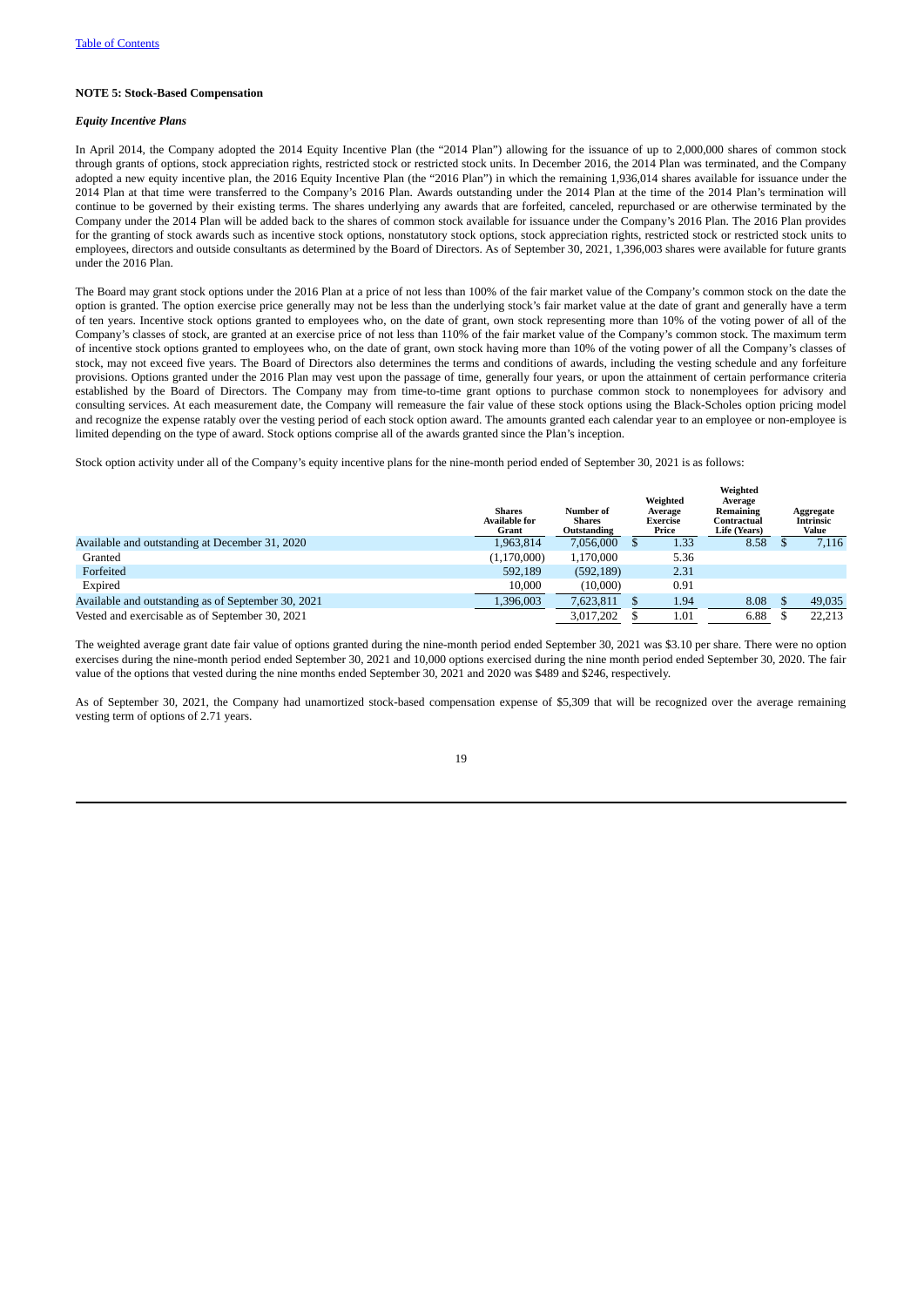# **NOTE 5: Stock-Based Compensation**

# *Equity Incentive Plans*

In April 2014, the Company adopted the 2014 Equity Incentive Plan (the "2014 Plan") allowing for the issuance of up to 2,000,000 shares of common stock through grants of options, stock appreciation rights, restricted stock or restricted stock units. In December 2016, the 2014 Plan was terminated, and the Company adopted a new equity incentive plan, the 2016 Equity Incentive Plan (the "2016 Plan") in which the remaining 1,936,014 shares available for issuance under the 2014 Plan at that time were transferred to the Company's 2016 Plan. Awards outstanding under the 2014 Plan at the time of the 2014 Plan's termination will continue to be governed by their existing terms. The shares underlying any awards that are forfeited, canceled, repurchased or are otherwise terminated by the Company under the 2014 Plan will be added back to the shares of common stock available for issuance under the Company's 2016 Plan. The 2016 Plan provides for the granting of stock awards such as incentive stock options, nonstatutory stock options, stock appreciation rights, restricted stock or restricted stock units to employees, directors and outside consultants as determined by the Board of Directors. As of September 30, 2021, 1,396,003 shares were available for future grants under the 2016 Plan.

The Board may grant stock options under the 2016 Plan at a price of not less than 100% of the fair market value of the Company's common stock on the date the option is granted. The option exercise price generally may not be less than the underlying stock's fair market value at the date of grant and generally have a term of ten years. Incentive stock options granted to employees who, on the date of grant, own stock representing more than 10% of the voting power of all of the Company's classes of stock, are granted at an exercise price of not less than 110% of the fair market value of the Company's common stock. The maximum term of incentive stock options granted to employees who, on the date of grant, own stock having more than 10% of the voting power of all the Company's classes of stock, may not exceed five years. The Board of Directors also determines the terms and conditions of awards, including the vesting schedule and any forfeiture provisions. Options granted under the 2016 Plan may vest upon the passage of time, generally four years, or upon the attainment of certain performance criteria established by the Board of Directors. The Company may from time-to-time grant options to purchase common stock to nonemployees for advisory and consulting services. At each measurement date, the Company will remeasure the fair value of these stock options using the Black-Scholes option pricing model and recognize the expense ratably over the vesting period of each stock option award. The amounts granted each calendar year to an employee or non-employee is limited depending on the type of award. Stock options comprise all of the awards granted since the Plan's inception.

Stock option activity under all of the Company's equity incentive plans for the nine-month period ended of September 30, 2021 is as follows:

|                                                    | <b>Shares</b><br><b>Available for</b><br>Grant | Number of<br><b>Shares</b><br>Outstanding |   | Weighted<br>Average<br><b>Exercise</b><br>Price | Weighted<br>Average<br>Remaining<br>Contractual<br>Life (Years) |   | Aggregate<br><b>Intrinsic</b><br>Value |
|----------------------------------------------------|------------------------------------------------|-------------------------------------------|---|-------------------------------------------------|-----------------------------------------------------------------|---|----------------------------------------|
| Available and outstanding at December 31, 2020     | 1,963,814                                      | 7,056,000                                 | S | 1.33                                            | 8.58                                                            |   | 7,116                                  |
| Granted                                            | (1,170,000)                                    | 1,170,000                                 |   | 5.36                                            |                                                                 |   |                                        |
| Forfeited                                          | 592,189                                        | (592, 189)                                |   | 2.31                                            |                                                                 |   |                                        |
| Expired                                            | 10,000                                         | (10,000)                                  |   | 0.91                                            |                                                                 |   |                                        |
| Available and outstanding as of September 30, 2021 | 1.396.003                                      | 7.623.811                                 |   | 1.94                                            | 8.08                                                            | S | 49,035                                 |
| Vested and exercisable as of September 30, 2021    |                                                | 3.017.202                                 |   | 1.01                                            | 6.88                                                            |   | 22.213                                 |

The weighted average grant date fair value of options granted during the nine-month period ended September 30, 2021 was \$3.10 per share. There were no option exercises during the nine-month period ended September 30, 2021 and 10,000 options exercised during the nine month period ended September 30, 2020. The fair value of the options that vested during the nine months ended September 30, 2021 and 2020 was \$489 and \$246, respectively.

As of September 30, 2021, the Company had unamortized stock-based compensation expense of \$5,309 that will be recognized over the average remaining vesting term of options of 2.71 years.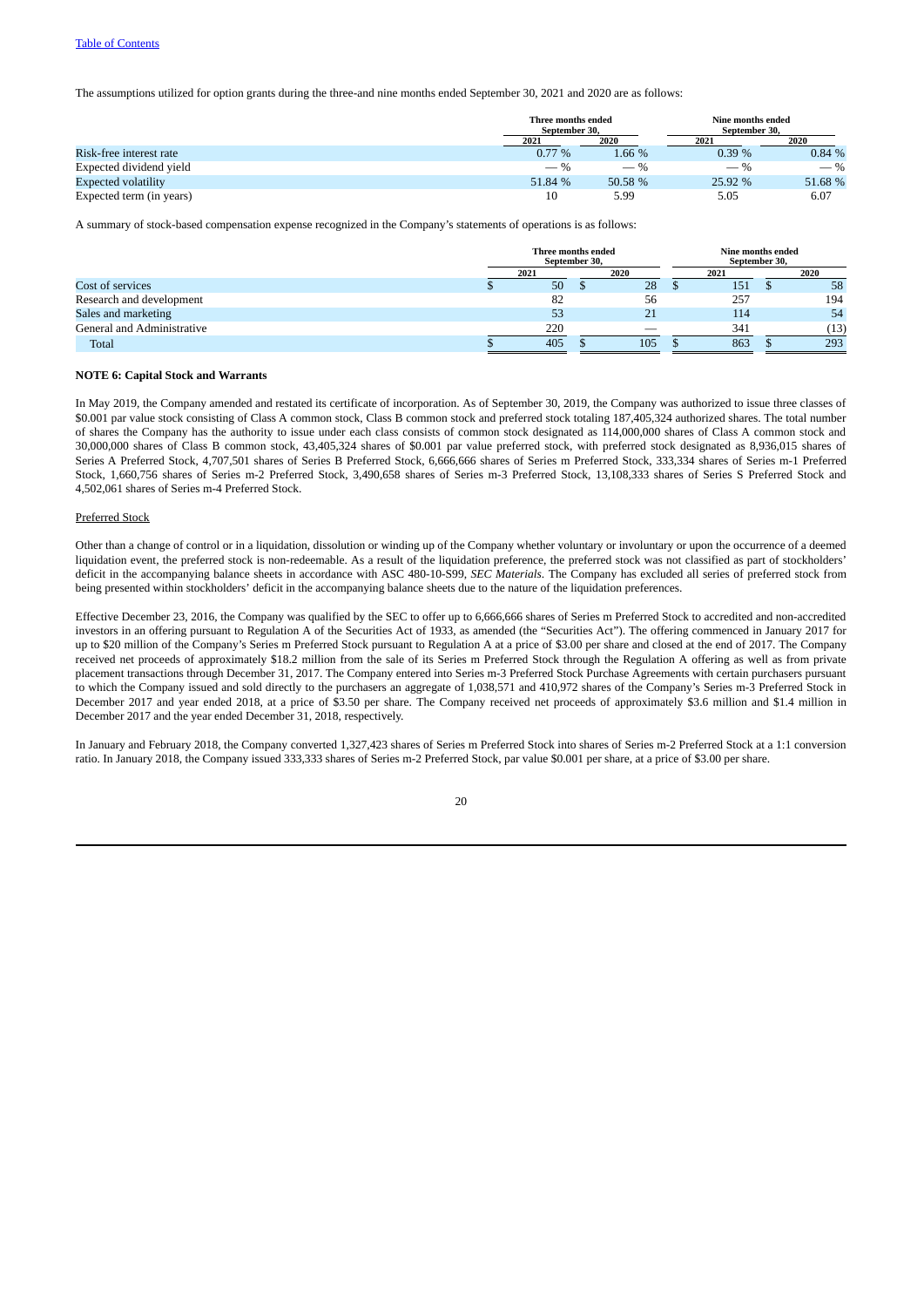The assumptions utilized for option grants during the three-and nine months ended September 30, 2021 and 2020 are as follows:

|                          |          | Three months ended<br>September 30. |          | Nine months ended<br>September 30. |
|--------------------------|----------|-------------------------------------|----------|------------------------------------|
|                          | 2021     | 2020                                | 2021     | 2020                               |
| Risk-free interest rate  | $0.77\%$ | 1.66%                               | $0.39\%$ | 0.84%                              |
| Expected dividend yield  | $-$ %    | $-$ %                               | $-$ %    | $-$ %                              |
| Expected volatility      | 51.84 %  | 50.58 %                             | 25.92 %  | 51.68 %                            |
| Expected term (in years) | 10       | 5.99                                | 5.05     | 6.07                               |

A summary of stock-based compensation expense recognized in the Company's statements of operations is as follows:

|                            | Three months ended<br>September 30, |  |      | Nine months ended<br>September 30, |      |  |      |
|----------------------------|-------------------------------------|--|------|------------------------------------|------|--|------|
|                            | 2021                                |  | 2020 |                                    | 2021 |  | 2020 |
| Cost of services           | 50                                  |  | 28   |                                    | 151  |  | 58   |
| Research and development   | 82                                  |  | 56   |                                    | 257  |  | 194  |
| Sales and marketing        | 53                                  |  | 21   |                                    | 114  |  | 54   |
| General and Administrative | 220                                 |  |      |                                    | 341  |  | (13) |
| Total                      | 405                                 |  | 105  |                                    | 863  |  | 293  |

### **NOTE 6: Capital Stock and Warrants**

In May 2019, the Company amended and restated its certificate of incorporation. As of September 30, 2019, the Company was authorized to issue three classes of \$0.001 par value stock consisting of Class A common stock, Class B common stock and preferred stock totaling 187,405,324 authorized shares. The total number of shares the Company has the authority to issue under each class consists of common stock designated as 114,000,000 shares of Class A common stock and 30,000,000 shares of Class B common stock, 43,405,324 shares of \$0.001 par value preferred stock, with preferred stock designated as 8,936,015 shares of Series A Preferred Stock, 4,707,501 shares of Series B Preferred Stock, 6,666,666 shares of Series m Preferred Stock, 333,334 shares of Series m-1 Preferred Stock, 1,660,756 shares of Series m-2 Preferred Stock, 3,490,658 shares of Series m-3 Preferred Stock, 13,108,333 shares of Series S Preferred Stock and 4,502,061 shares of Series m-4 Preferred Stock.

### Preferred Stock

Other than a change of control or in a liquidation, dissolution or winding up of the Company whether voluntary or involuntary or upon the occurrence of a deemed liquidation event, the preferred stock is non-redeemable. As a result of the liquidation preference, the preferred stock was not classified as part of stockholders' deficit in the accompanying balance sheets in accordance with ASC 480-10-S99, *SEC Materials*. The Company has excluded all series of preferred stock from being presented within stockholders' deficit in the accompanying balance sheets due to the nature of the liquidation preferences.

Effective December 23, 2016, the Company was qualified by the SEC to offer up to 6,666,666 shares of Series m Preferred Stock to accredited and non-accredited investors in an offering pursuant to Regulation A of the Securities Act of 1933, as amended (the "Securities Act"). The offering commenced in January 2017 for up to \$20 million of the Company's Series m Preferred Stock pursuant to Regulation A at a price of \$3.00 per share and closed at the end of 2017. The Company received net proceeds of approximately \$18.2 million from the sale of its Series m Preferred Stock through the Regulation A offering as well as from private placement transactions through December 31, 2017. The Company entered into Series m-3 Preferred Stock Purchase Agreements with certain purchasers pursuant to which the Company issued and sold directly to the purchasers an aggregate of 1,038,571 and 410,972 shares of the Company's Series m-3 Preferred Stock in December 2017 and year ended 2018, at a price of \$3.50 per share. The Company received net proceeds of approximately \$3.6 million and \$1.4 million in December 2017 and the year ended December 31, 2018, respectively.

In January and February 2018, the Company converted 1,327,423 shares of Series m Preferred Stock into shares of Series m-2 Preferred Stock at a 1:1 conversion ratio. In January 2018, the Company issued 333,333 shares of Series m-2 Preferred Stock, par value \$0.001 per share, at a price of \$3.00 per share.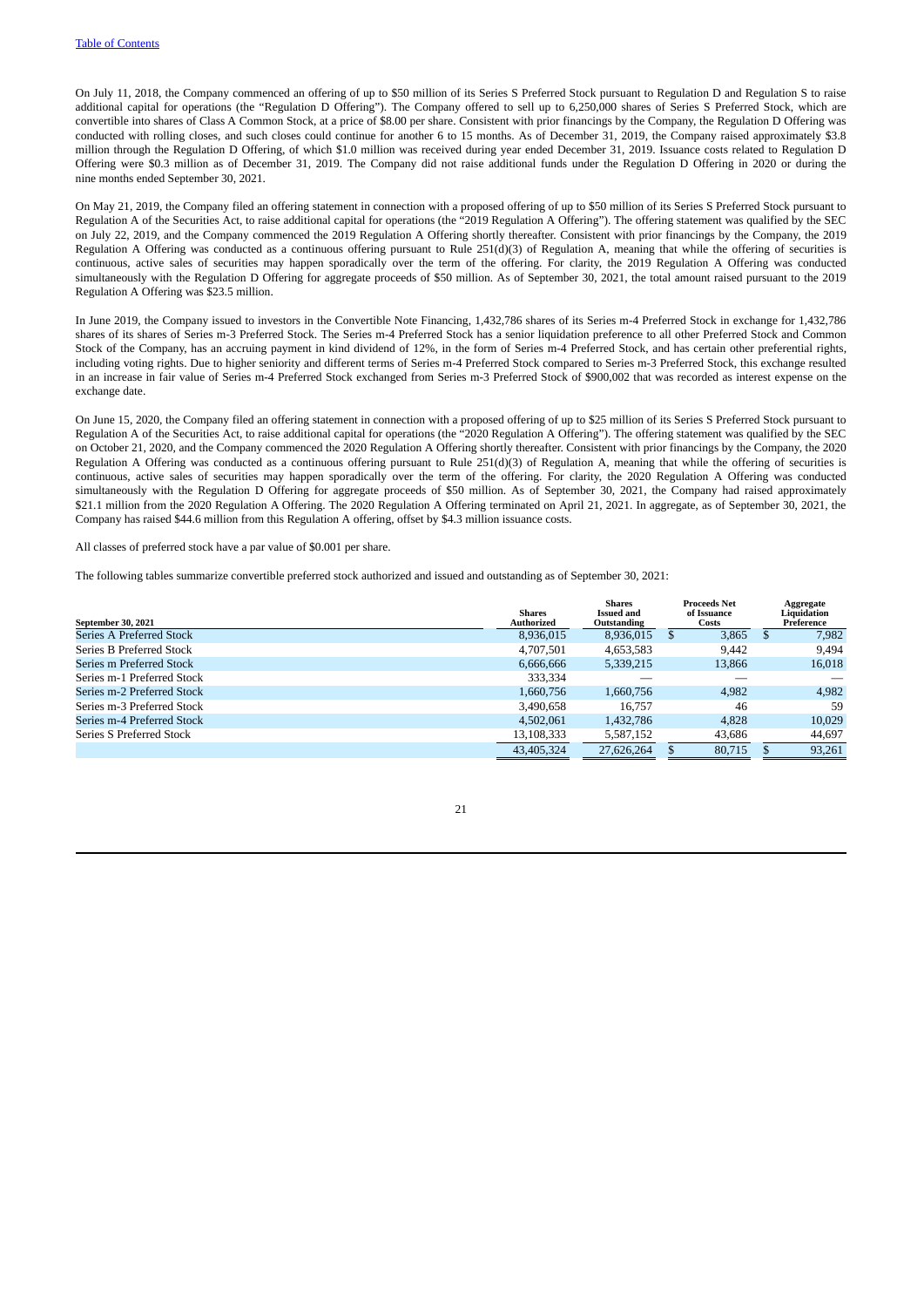On July 11, 2018, the Company commenced an offering of up to \$50 million of its Series S Preferred Stock pursuant to Regulation D and Regulation S to raise additional capital for operations (the "Regulation D Offering"). The Company offered to sell up to 6,250,000 shares of Series S Preferred Stock, which are convertible into shares of Class A Common Stock, at a price of \$8.00 per share. Consistent with prior financings by the Company, the Regulation D Offering was conducted with rolling closes, and such closes could continue for another 6 to 15 months. As of December 31, 2019, the Company raised approximately \$3.8 million through the Regulation D Offering, of which \$1.0 million was received during year ended December 31, 2019. Issuance costs related to Regulation D Offering were \$0.3 million as of December 31, 2019. The Company did not raise additional funds under the Regulation D Offering in 2020 or during the nine months ended September 30, 2021.

On May 21, 2019, the Company filed an offering statement in connection with a proposed offering of up to \$50 million of its Series S Preferred Stock pursuant to Regulation A of the Securities Act, to raise additional capital for operations (the "2019 Regulation A Offering"). The offering statement was qualified by the SEC on July 22, 2019, and the Company commenced the 2019 Regulation A Offering shortly thereafter. Consistent with prior financings by the Company, the 2019 Regulation A Offering was conducted as a continuous offering pursuant to Rule 251(d)(3) of Regulation A, meaning that while the offering of securities is continuous, active sales of securities may happen sporadically over the term of the offering. For clarity, the 2019 Regulation A Offering was conducted simultaneously with the Regulation D Offering for aggregate proceeds of \$50 million. As of September 30, 2021, the total amount raised pursuant to the 2019 Regulation A Offering was \$23.5 million.

In June 2019, the Company issued to investors in the Convertible Note Financing, 1,432,786 shares of its Series m-4 Preferred Stock in exchange for 1,432,786 shares of its shares of Series m-3 Preferred Stock. The Series m-4 Preferred Stock has a senior liquidation preference to all other Preferred Stock and Common Stock of the Company, has an accruing payment in kind dividend of 12%, in the form of Series m-4 Preferred Stock, and has certain other preferential rights, including voting rights. Due to higher seniority and different terms of Series m-4 Preferred Stock compared to Series m-3 Preferred Stock, this exchange resulted in an increase in fair value of Series m-4 Preferred Stock exchanged from Series m-3 Preferred Stock of \$900,002 that was recorded as interest expense on the exchange date.

On June 15, 2020, the Company filed an offering statement in connection with a proposed offering of up to \$25 million of its Series S Preferred Stock pursuant to Regulation A of the Securities Act, to raise additional capital for operations (the "2020 Regulation A Offering"). The offering statement was qualified by the SEC on October 21, 2020, and the Company commenced the 2020 Regulation A Offering shortly thereafter. Consistent with prior financings by the Company, the 2020 Regulation A Offering was conducted as a continuous offering pursuant to Rule 251(d)(3) of Regulation A, meaning that while the offering of securities is continuous, active sales of securities may happen sporadically over the term of the offering. For clarity, the 2020 Regulation A Offering was conducted simultaneously with the Regulation D Offering for aggregate proceeds of \$50 million. As of September 30, 2021, the Company had raised approximately \$21.1 million from the 2020 Regulation A Offering. The 2020 Regulation A Offering terminated on April 21, 2021. In aggregate, as of September 30, 2021, the Company has raised \$44.6 million from this Regulation A offering, offset by \$4.3 million issuance costs.

All classes of preferred stock have a par value of \$0.001 per share.

The following tables summarize convertible preferred stock authorized and issued and outstanding as of September 30, 2021:

| <b>September 30, 2021</b>  | <b>Shares</b><br><b>Authorized</b> | <b>Shares</b><br><b>Issued and</b><br>Outstanding | <b>Proceeds Net</b><br>of Issuance<br>Costs | Aggregate<br>Liquidation<br>Preference |
|----------------------------|------------------------------------|---------------------------------------------------|---------------------------------------------|----------------------------------------|
| Series A Preferred Stock   | 8,936,015                          | 8,936,015                                         | 3,865<br>æ,                                 | 7,982<br>ъ                             |
| Series B Preferred Stock   | 4.707.501                          | 4,653,583                                         | 9.442                                       | 9,494                                  |
| Series m Preferred Stock   | 6,666,666                          | 5,339,215                                         | 13,866                                      | 16,018                                 |
| Series m-1 Preferred Stock | 333.334                            |                                                   |                                             |                                        |
| Series m-2 Preferred Stock | 1,660,756                          | 1,660,756                                         | 4,982                                       | 4,982                                  |
| Series m-3 Preferred Stock | 3,490,658                          | 16.757                                            | 46                                          | 59                                     |
| Series m-4 Preferred Stock | 4.502.061                          | 1,432,786                                         | 4,828                                       | 10,029                                 |
| Series S Preferred Stock   | 13,108,333                         | 5,587,152                                         | 43,686                                      | 44,697                                 |
|                            | 43,405,324                         | 27.626.264                                        | 80,715                                      | 93,261                                 |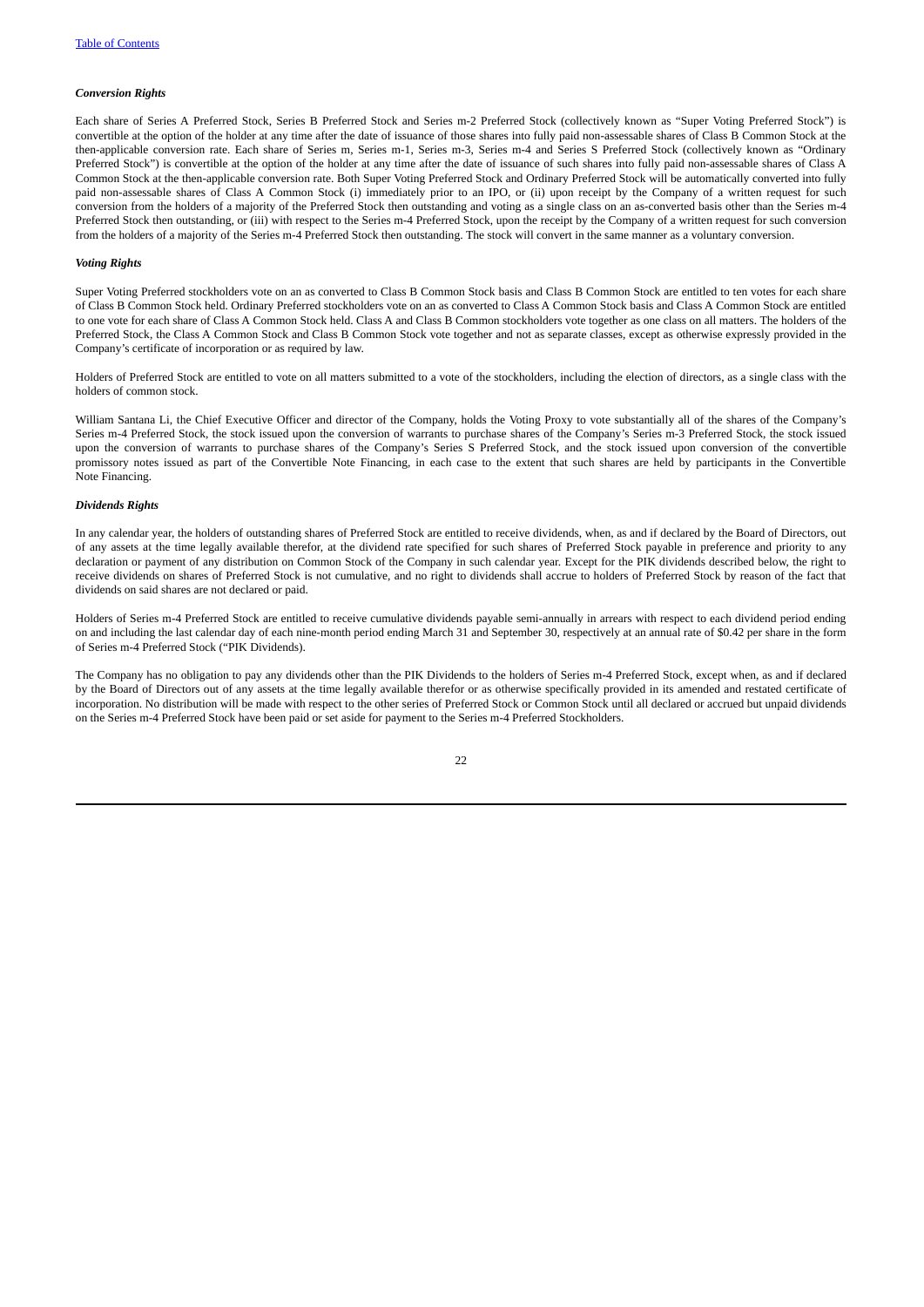# *Conversion Rights*

Each share of Series A Preferred Stock, Series B Preferred Stock and Series m-2 Preferred Stock (collectively known as "Super Voting Preferred Stock") is convertible at the option of the holder at any time after the date of issuance of those shares into fully paid non-assessable shares of Class B Common Stock at the then-applicable conversion rate. Each share of Series m, Series m-1, Series m-3, Series m-4 and Series S Preferred Stock (collectively known as "Ordinary Preferred Stock") is convertible at the option of the holder at any time after the date of issuance of such shares into fully paid non-assessable shares of Class A Common Stock at the then-applicable conversion rate. Both Super Voting Preferred Stock and Ordinary Preferred Stock will be automatically converted into fully paid non-assessable shares of Class A Common Stock (i) immediately prior to an IPO, or (ii) upon receipt by the Company of a written request for such conversion from the holders of a majority of the Preferred Stock then outstanding and voting as a single class on an as-converted basis other than the Series m-4 Preferred Stock then outstanding, or (iii) with respect to the Series m-4 Preferred Stock, upon the receipt by the Company of a written request for such conversion from the holders of a majority of the Series m-4 Preferred Stock then outstanding. The stock will convert in the same manner as a voluntary conversion.

#### *Voting Rights*

Super Voting Preferred stockholders vote on an as converted to Class B Common Stock basis and Class B Common Stock are entitled to ten votes for each share of Class B Common Stock held. Ordinary Preferred stockholders vote on an as converted to Class A Common Stock basis and Class A Common Stock are entitled to one vote for each share of Class A Common Stock held. Class A and Class B Common stockholders vote together as one class on all matters. The holders of the Preferred Stock, the Class A Common Stock and Class B Common Stock vote together and not as separate classes, except as otherwise expressly provided in the Company's certificate of incorporation or as required by law.

Holders of Preferred Stock are entitled to vote on all matters submitted to a vote of the stockholders, including the election of directors, as a single class with the holders of common stock.

William Santana Li, the Chief Executive Officer and director of the Company, holds the Voting Proxy to vote substantially all of the shares of the Company's Series m-4 Preferred Stock, the stock issued upon the conversion of warrants to purchase shares of the Company's Series m-3 Preferred Stock, the stock issued upon the conversion of warrants to purchase shares of the Company's Series S Preferred Stock, and the stock issued upon conversion of the convertible promissory notes issued as part of the Convertible Note Financing, in each case to the extent that such shares are held by participants in the Convertible Note Financing.

## *Dividends Rights*

In any calendar year, the holders of outstanding shares of Preferred Stock are entitled to receive dividends, when, as and if declared by the Board of Directors, out of any assets at the time legally available therefor, at the dividend rate specified for such shares of Preferred Stock payable in preference and priority to any declaration or payment of any distribution on Common Stock of the Company in such calendar year. Except for the PIK dividends described below, the right to receive dividends on shares of Preferred Stock is not cumulative, and no right to dividends shall accrue to holders of Preferred Stock by reason of the fact that dividends on said shares are not declared or paid.

Holders of Series m-4 Preferred Stock are entitled to receive cumulative dividends payable semi-annually in arrears with respect to each dividend period ending on and including the last calendar day of each nine-month period ending March 31 and September 30, respectively at an annual rate of \$0.42 per share in the form of Series m-4 Preferred Stock ("PIK Dividends).

The Company has no obligation to pay any dividends other than the PIK Dividends to the holders of Series m-4 Preferred Stock, except when, as and if declared by the Board of Directors out of any assets at the time legally available therefor or as otherwise specifically provided in its amended and restated certificate of incorporation. No distribution will be made with respect to the other series of Preferred Stock or Common Stock until all declared or accrued but unpaid dividends on the Series m-4 Preferred Stock have been paid or set aside for payment to the Series m-4 Preferred Stockholders.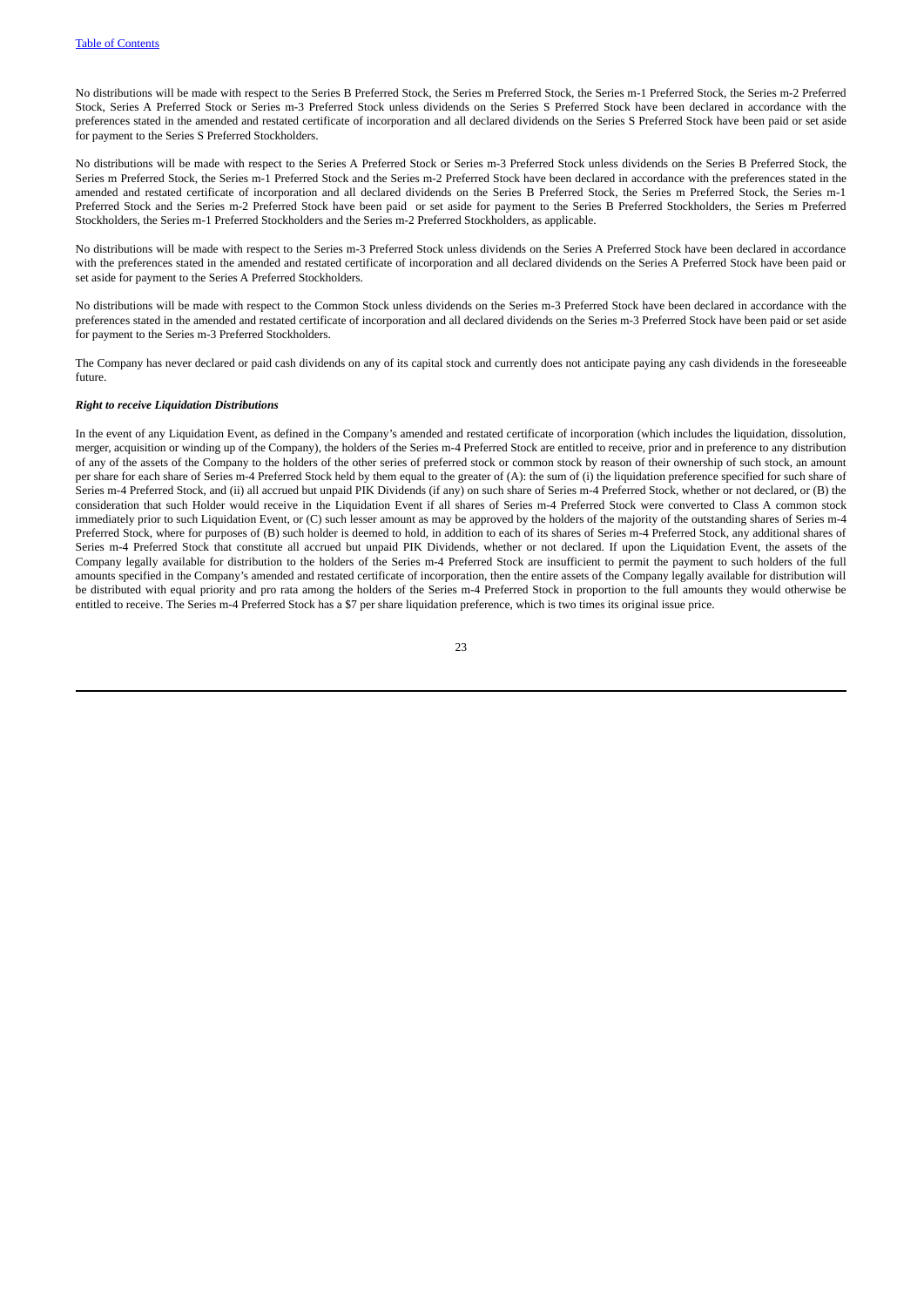No distributions will be made with respect to the Series B Preferred Stock, the Series m Preferred Stock, the Series m-1 Preferred Stock, the Series m-2 Preferred Stock, Series A Preferred Stock or Series m-3 Preferred Stock unless dividends on the Series S Preferred Stock have been declared in accordance with the preferences stated in the amended and restated certificate of incorporation and all declared dividends on the Series S Preferred Stock have been paid or set aside for payment to the Series S Preferred Stockholders.

No distributions will be made with respect to the Series A Preferred Stock or Series m-3 Preferred Stock unless dividends on the Series B Preferred Stock, the Series m Preferred Stock, the Series m-1 Preferred Stock and the Series m-2 Preferred Stock have been declared in accordance with the preferences stated in the amended and restated certificate of incorporation and all declared dividends on the Series B Preferred Stock, the Series m Preferred Stock, the Series m-1 Preferred Stock and the Series m-2 Preferred Stock have been paid or set aside for payment to the Series B Preferred Stockholders, the Series m Preferred Stockholders, the Series m-1 Preferred Stockholders and the Series m-2 Preferred Stockholders, as applicable.

No distributions will be made with respect to the Series m-3 Preferred Stock unless dividends on the Series A Preferred Stock have been declared in accordance with the preferences stated in the amended and restated certificate of incorporation and all declared dividends on the Series A Preferred Stock have been paid or set aside for payment to the Series A Preferred Stockholders.

No distributions will be made with respect to the Common Stock unless dividends on the Series m-3 Preferred Stock have been declared in accordance with the preferences stated in the amended and restated certificate of incorporation and all declared dividends on the Series m-3 Preferred Stock have been paid or set aside for payment to the Series m-3 Preferred Stockholders.

The Company has never declared or paid cash dividends on any of its capital stock and currently does not anticipate paying any cash dividends in the foreseeable future.

## *Right to receive Liquidation Distributions*

In the event of any Liquidation Event, as defined in the Company's amended and restated certificate of incorporation (which includes the liquidation, dissolution, merger, acquisition or winding up of the Company), the holders of the Series m-4 Preferred Stock are entitled to receive, prior and in preference to any distribution of any of the assets of the Company to the holders of the other series of preferred stock or common stock by reason of their ownership of such stock, an amount per share for each share of Series m-4 Preferred Stock held by them equal to the greater of (A): the sum of (i) the liquidation preference specified for such share of Series m-4 Preferred Stock, and (ii) all accrued but unpaid PIK Dividends (if any) on such share of Series m-4 Preferred Stock, whether or not declared, or (B) the consideration that such Holder would receive in the Liquidation Event if all shares of Series m-4 Preferred Stock were converted to Class A common stock immediately prior to such Liquidation Event, or (C) such lesser amount as may be approved by the holders of the majority of the outstanding shares of Series m-4 Preferred Stock, where for purposes of (B) such holder is deemed to hold, in addition to each of its shares of Series m-4 Preferred Stock, any additional shares of Series m-4 Preferred Stock that constitute all accrued but unpaid PIK Dividends, whether or not declared. If upon the Liquidation Event, the assets of the Company legally available for distribution to the holders of the Series m-4 Preferred Stock are insufficient to permit the payment to such holders of the full amounts specified in the Company's amended and restated certificate of incorporation, then the entire assets of the Company legally available for distribution will be distributed with equal priority and pro rata among the holders of the Series m-4 Preferred Stock in proportion to the full amounts they would otherwise be entitled to receive. The Series m-4 Preferred Stock has a \$7 per share liquidation preference, which is two times its original issue price.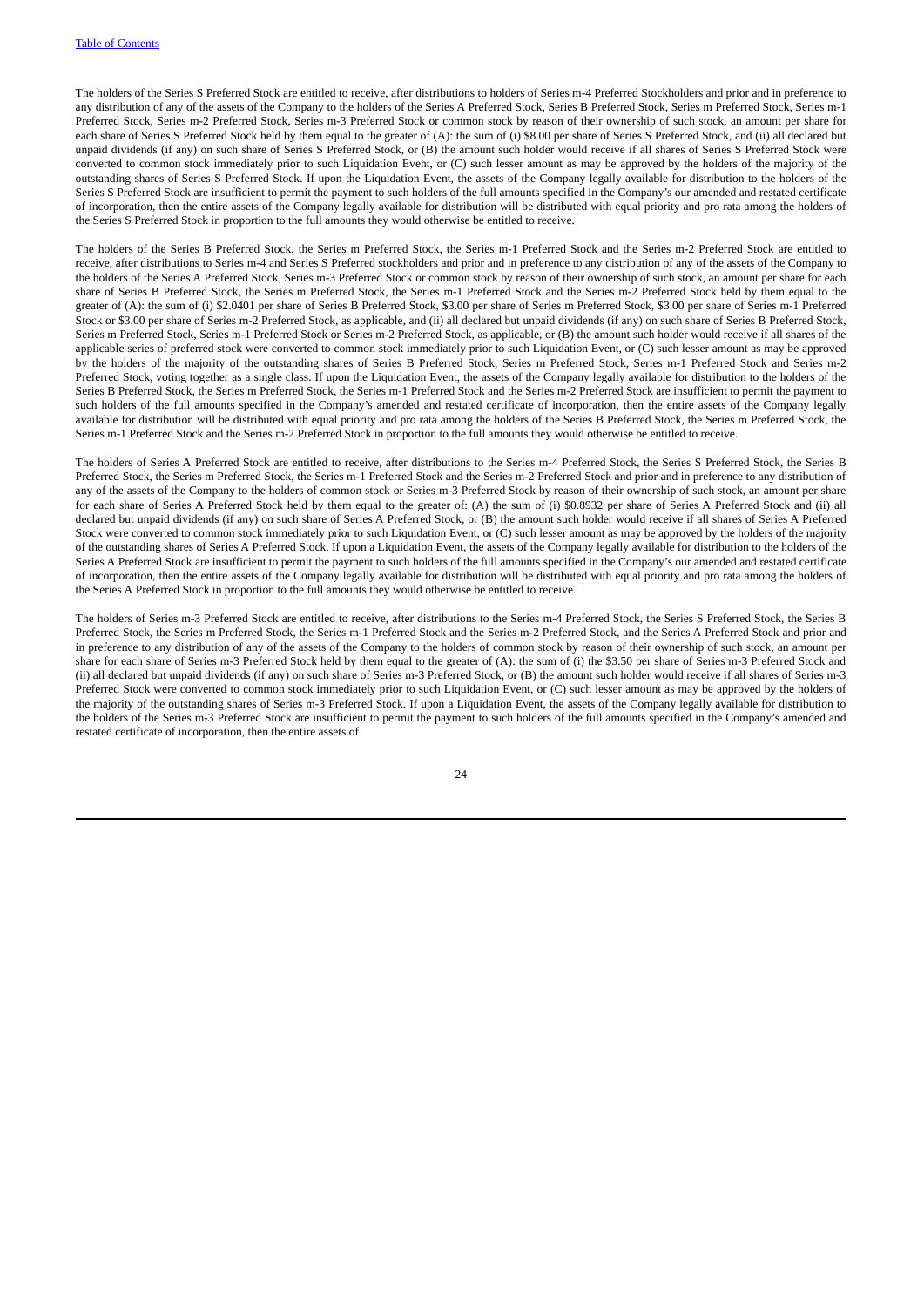The holders of the Series S Preferred Stock are entitled to receive, after distributions to holders of Series m-4 Preferred Stockholders and prior and in preference to any distribution of any of the assets of the Company to the holders of the Series A Preferred Stock, Series B Preferred Stock, Series m Preferred Stock, Series m-1 Preferred Stock, Series m-2 Preferred Stock, Series m-3 Preferred Stock or common stock by reason of their ownership of such stock, an amount per share for each share of Series S Preferred Stock held by them equal to the greater of (A): the sum of (i) \$8.00 per share of Series S Preferred Stock, and (ii) all declared but unpaid dividends (if any) on such share of Series S Preferred Stock, or (B) the amount such holder would receive if all shares of Series S Preferred Stock were converted to common stock immediately prior to such Liquidation Event, or (C) such lesser amount as may be approved by the holders of the majority of the outstanding shares of Series S Preferred Stock. If upon the Liquidation Event, the assets of the Company legally available for distribution to the holders of the Series S Preferred Stock are insufficient to permit the payment to such holders of the full amounts specified in the Company's our amended and restated certificate of incorporation, then the entire assets of the Company legally available for distribution will be distributed with equal priority and pro rata among the holders of the Series S Preferred Stock in proportion to the full amounts they would otherwise be entitled to receive.

The holders of the Series B Preferred Stock, the Series m Preferred Stock, the Series m-1 Preferred Stock and the Series m-2 Preferred Stock are entitled to receive, after distributions to Series m-4 and Series S Preferred stockholders and prior and in preference to any distribution of any of the assets of the Company to the holders of the Series A Preferred Stock, Series m-3 Preferred Stock or common stock by reason of their ownership of such stock, an amount per share for each share of Series B Preferred Stock, the Series m Preferred Stock, the Series m-1 Preferred Stock and the Series m-2 Preferred Stock held by them equal to the greater of (A): the sum of (i) \$2.0401 per share of Series B Preferred Stock, \$3.00 per share of Series m Preferred Stock, \$3.00 per share of Series m-1 Preferred Stock or \$3.00 per share of Series m-2 Preferred Stock, as applicable, and (ii) all declared but unpaid dividends (if any) on such share of Series B Preferred Stock, Series m Preferred Stock, Series m-1 Preferred Stock or Series m-2 Preferred Stock, as applicable, or (B) the amount such holder would receive if all shares of the applicable series of preferred stock were converted to common stock immediately prior to such Liquidation Event, or (C) such lesser amount as may be approved by the holders of the majority of the outstanding shares of Series B Preferred Stock, Series m Preferred Stock, Series m-1 Preferred Stock and Series m-2 Preferred Stock, voting together as a single class. If upon the Liquidation Event, the assets of the Company legally available for distribution to the holders of the Series B Preferred Stock, the Series m Preferred Stock, the Series m-1 Preferred Stock and the Series m-2 Preferred Stock are insufficient to permit the payment to such holders of the full amounts specified in the Company's amended and restated certificate of incorporation, then the entire assets of the Company legally available for distribution will be distributed with equal priority and pro rata among the holders of the Series B Preferred Stock, the Series m Preferred Stock, the Series m-1 Preferred Stock and the Series m-2 Preferred Stock in proportion to the full amounts they would otherwise be entitled to receive.

The holders of Series A Preferred Stock are entitled to receive, after distributions to the Series m-4 Preferred Stock, the Series S Preferred Stock, the Series B Preferred Stock, the Series m Preferred Stock, the Series m-1 Preferred Stock and the Series m-2 Preferred Stock and prior and in preference to any distribution of any of the assets of the Company to the holders of common stock or Series m-3 Preferred Stock by reason of their ownership of such stock, an amount per share for each share of Series A Preferred Stock held by them equal to the greater of: (A) the sum of (i) \$0.8932 per share of Series A Preferred Stock and (ii) all declared but unpaid dividends (if any) on such share of Series A Preferred Stock, or (B) the amount such holder would receive if all shares of Series A Preferred Stock were converted to common stock immediately prior to such Liquidation Event, or (C) such lesser amount as may be approved by the holders of the majority of the outstanding shares of Series A Preferred Stock. If upon a Liquidation Event, the assets of the Company legally available for distribution to the holders of the Series A Preferred Stock are insufficient to permit the payment to such holders of the full amounts specified in the Company's our amended and restated certificate of incorporation, then the entire assets of the Company legally available for distribution will be distributed with equal priority and pro rata among the holders of the Series A Preferred Stock in proportion to the full amounts they would otherwise be entitled to receive.

The holders of Series m-3 Preferred Stock are entitled to receive, after distributions to the Series m-4 Preferred Stock, the Series S Preferred Stock, the Series B Preferred Stock, the Series m Preferred Stock, the Series m-1 Preferred Stock and the Series m-2 Preferred Stock, and the Series A Preferred Stock and prior and in preference to any distribution of any of the assets of the Company to the holders of common stock by reason of their ownership of such stock, an amount per share for each share of Series m-3 Preferred Stock held by them equal to the greater of (A): the sum of (i) the \$3.50 per share of Series m-3 Preferred Stock and (ii) all declared but unpaid dividends (if any) on such share of Series m-3 Preferred Stock, or (B) the amount such holder would receive if all shares of Series m-3 Preferred Stock were converted to common stock immediately prior to such Liquidation Event, or (C) such lesser amount as may be approved by the holders of the majority of the outstanding shares of Series m-3 Preferred Stock. If upon a Liquidation Event, the assets of the Company legally available for distribution to the holders of the Series m-3 Preferred Stock are insufficient to permit the payment to such holders of the full amounts specified in the Company's amended and restated certificate of incorporation, then the entire assets of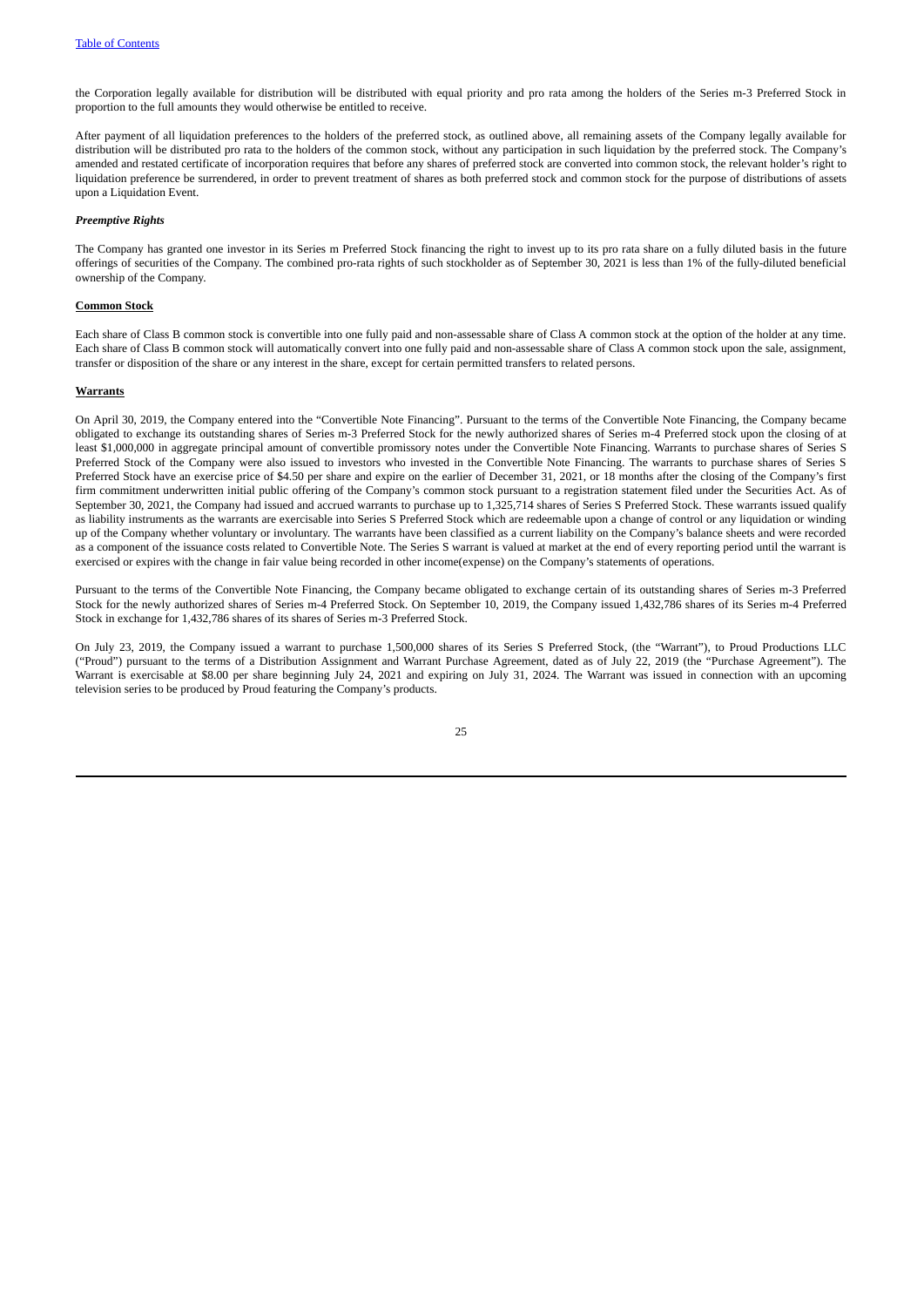the Corporation legally available for distribution will be distributed with equal priority and pro rata among the holders of the Series m-3 Preferred Stock in proportion to the full amounts they would otherwise be entitled to receive.

After payment of all liquidation preferences to the holders of the preferred stock, as outlined above, all remaining assets of the Company legally available for distribution will be distributed pro rata to the holders of the common stock, without any participation in such liquidation by the preferred stock. The Company's amended and restated certificate of incorporation requires that before any shares of preferred stock are converted into common stock, the relevant holder's right to liquidation preference be surrendered, in order to prevent treatment of shares as both preferred stock and common stock for the purpose of distributions of assets upon a Liquidation Event.

#### *Preemptive Rights*

The Company has granted one investor in its Series m Preferred Stock financing the right to invest up to its pro rata share on a fully diluted basis in the future offerings of securities of the Company. The combined pro-rata rights of such stockholder as of September 30, 2021 is less than 1% of the fully-diluted beneficial ownership of the Company.

#### **Common Stock**

Each share of Class B common stock is convertible into one fully paid and non-assessable share of Class A common stock at the option of the holder at any time. Each share of Class B common stock will automatically convert into one fully paid and non-assessable share of Class A common stock upon the sale, assignment, transfer or disposition of the share or any interest in the share, except for certain permitted transfers to related persons.

#### **Warrants**

On April 30, 2019, the Company entered into the "Convertible Note Financing". Pursuant to the terms of the Convertible Note Financing, the Company became obligated to exchange its outstanding shares of Series m-3 Preferred Stock for the newly authorized shares of Series m-4 Preferred stock upon the closing of at least \$1,000,000 in aggregate principal amount of convertible promissory notes under the Convertible Note Financing. Warrants to purchase shares of Series S Preferred Stock of the Company were also issued to investors who invested in the Convertible Note Financing. The warrants to purchase shares of Series S Preferred Stock have an exercise price of \$4.50 per share and expire on the earlier of December 31, 2021, or 18 months after the closing of the Company's first firm commitment underwritten initial public offering of the Company's common stock pursuant to a registration statement filed under the Securities Act. As of September 30, 2021, the Company had issued and accrued warrants to purchase up to 1,325,714 shares of Series S Preferred Stock. These warrants issued qualify as liability instruments as the warrants are exercisable into Series S Preferred Stock which are redeemable upon a change of control or any liquidation or winding up of the Company whether voluntary or involuntary. The warrants have been classified as a current liability on the Company's balance sheets and were recorded as a component of the issuance costs related to Convertible Note. The Series S warrant is valued at market at the end of every reporting period until the warrant is exercised or expires with the change in fair value being recorded in other income(expense) on the Company's statements of operations.

Pursuant to the terms of the Convertible Note Financing, the Company became obligated to exchange certain of its outstanding shares of Series m-3 Preferred Stock for the newly authorized shares of Series m-4 Preferred Stock. On September 10, 2019, the Company issued 1,432,786 shares of its Series m-4 Preferred Stock in exchange for 1,432,786 shares of its shares of Series m-3 Preferred Stock.

On July 23, 2019, the Company issued a warrant to purchase 1,500,000 shares of its Series S Preferred Stock, (the "Warrant"), to Proud Productions LLC ("Proud") pursuant to the terms of a Distribution Assignment and Warrant Purchase Agreement, dated as of July 22, 2019 (the "Purchase Agreement"). The Warrant is exercisable at \$8.00 per share beginning July 24, 2021 and expiring on July 31, 2024. The Warrant was issued in connection with an upcoming television series to be produced by Proud featuring the Company's products.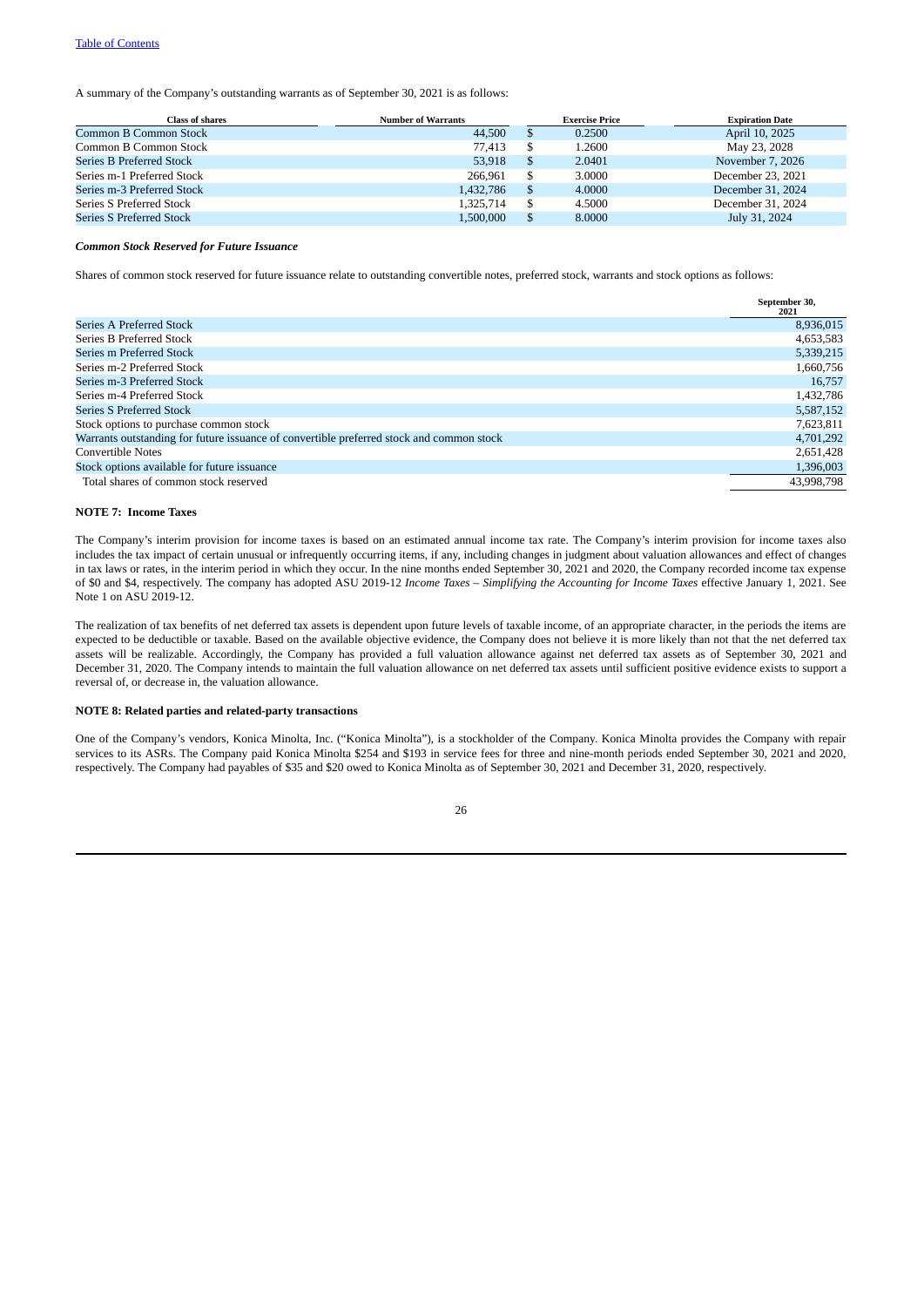A summary of the Company's outstanding warrants as of September 30, 2021 is as follows:

| <b>Class of shares</b>     | <b>Number of Warrants</b> | <b>Exercise Price</b> |        | <b>Expiration Date</b> |
|----------------------------|---------------------------|-----------------------|--------|------------------------|
| Common B Common Stock      | 44,500                    | <sup>S</sup>          | 0.2500 | April 10, 2025         |
| Common B Common Stock      | 77.413                    | S                     | 1.2600 | May 23, 2028           |
| Series B Preferred Stock   | 53,918                    | $\mathbf{s}$          | 2.0401 | November 7, 2026       |
| Series m-1 Preferred Stock | 266.961                   | S                     | 3.0000 | December 23, 2021      |
| Series m-3 Preferred Stock | 1,432,786                 | \$                    | 4.0000 | December 31, 2024      |
| Series S Preferred Stock   | 1,325,714                 | S                     | 4.5000 | December 31, 2024      |
| Series S Preferred Stock   | 1,500,000                 | S                     | 8.0000 | July 31, 2024          |

### *Common Stock Reserved for Future Issuance*

Shares of common stock reserved for future issuance relate to outstanding convertible notes, preferred stock, warrants and stock options as follows:

|                                                                                          | September 30,<br>2021 |
|------------------------------------------------------------------------------------------|-----------------------|
| <b>Series A Preferred Stock</b>                                                          | 8,936,015             |
| Series B Preferred Stock                                                                 | 4,653,583             |
| Series m Preferred Stock                                                                 | 5,339,215             |
| Series m-2 Preferred Stock                                                               | 1,660,756             |
| Series m-3 Preferred Stock                                                               | 16,757                |
| Series m-4 Preferred Stock                                                               | 1,432,786             |
| Series S Preferred Stock                                                                 | 5,587,152             |
| Stock options to purchase common stock                                                   | 7,623,811             |
| Warrants outstanding for future issuance of convertible preferred stock and common stock | 4,701,292             |
| <b>Convertible Notes</b>                                                                 | 2,651,428             |
| Stock options available for future issuance                                              | 1,396,003             |
| Total shares of common stock reserved                                                    | 43.998.798            |

# **NOTE 7: Income Taxes**

The Company's interim provision for income taxes is based on an estimated annual income tax rate. The Company's interim provision for income taxes also includes the tax impact of certain unusual or infrequently occurring items, if any, including changes in judgment about valuation allowances and effect of changes in tax laws or rates, in the interim period in which they occur. In the nine months ended September 30, 2021 and 2020, the Company recorded income tax expense of \$0 and \$4, respectively. The company has adopted ASU 2019-12 *Income Taxes – Simplifying the Accounting for Income Taxes* effective January 1, 2021. See Note 1 on ASU 2019-12.

The realization of tax benefits of net deferred tax assets is dependent upon future levels of taxable income, of an appropriate character, in the periods the items are expected to be deductible or taxable. Based on the available objective evidence, the Company does not believe it is more likely than not that the net deferred tax assets will be realizable. Accordingly, the Company has provided a full valuation allowance against net deferred tax assets as of September 30, 2021 and December 31, 2020. The Company intends to maintain the full valuation allowance on net deferred tax assets until sufficient positive evidence exists to support a reversal of, or decrease in, the valuation allowance.

## **NOTE 8: Related parties and related-party transactions**

One of the Company's vendors, Konica Minolta, Inc. ("Konica Minolta"), is a stockholder of the Company. Konica Minolta provides the Company with repair services to its ASRs. The Company paid Konica Minolta \$254 and \$193 in service fees for three and nine-month periods ended September 30, 2021 and 2020, respectively. The Company had payables of \$35 and \$20 owed to Konica Minolta as of September 30, 2021 and December 31, 2020, respectively.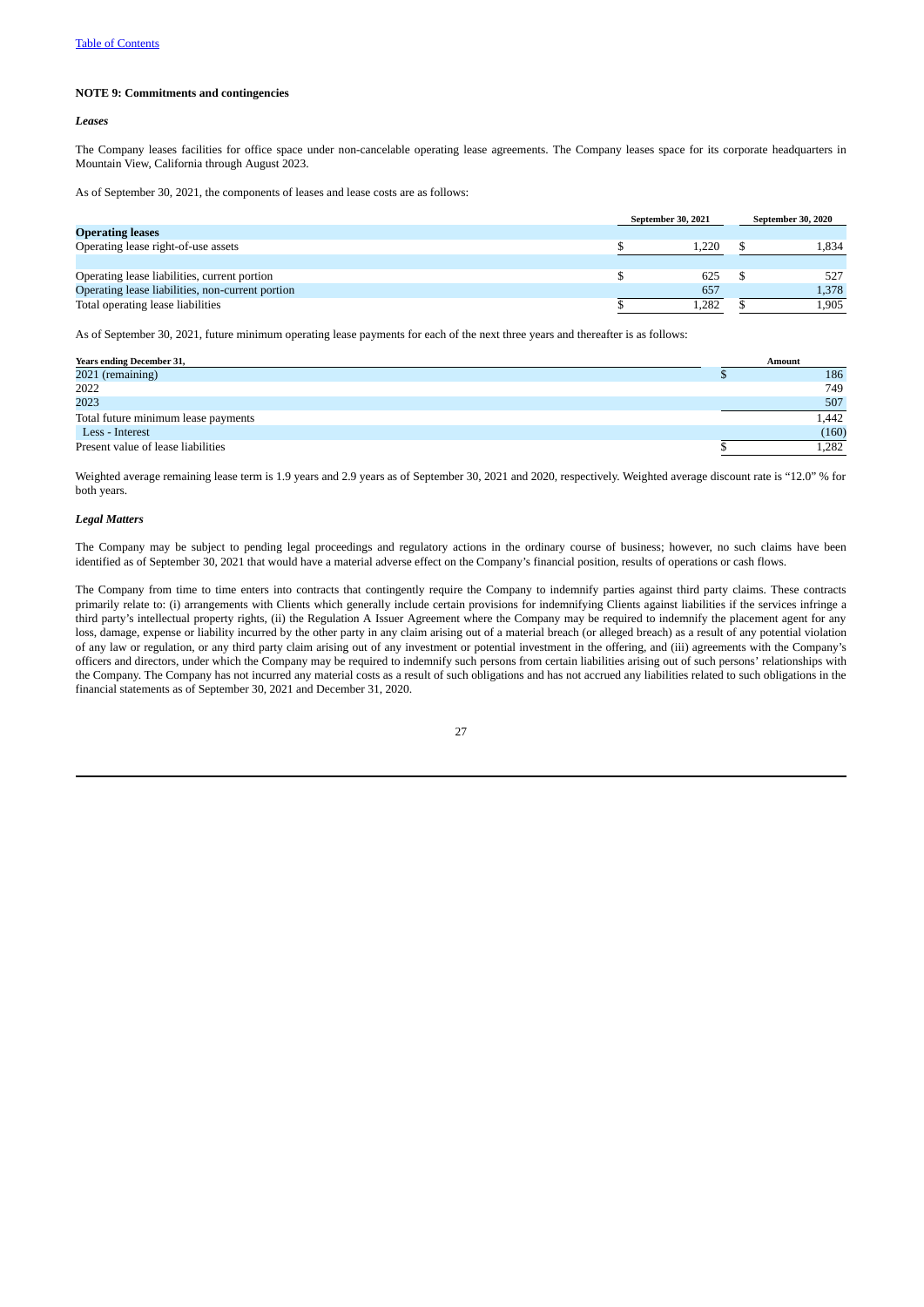# **NOTE 9: Commitments and contingencies**

#### *Leases*

The Company leases facilities for office space under non-cancelable operating lease agreements. The Company leases space for its corporate headquarters in Mountain View, California through August 2023.

As of September 30, 2021, the components of leases and lease costs are as follows:

| <b>September 30, 2021</b> |  | September 30, 2020 |
|---------------------------|--|--------------------|
|                           |  |                    |
| .220                      |  | 1.834              |
|                           |  |                    |
| 625                       |  | 527                |
| 657                       |  | 1.378              |
| .282                      |  | 1.905              |
|                           |  |                    |

As of September 30, 2021, future minimum operating lease payments for each of the next three years and thereafter is as follows:

| <b>Years ending December 31,</b>    | Amount |
|-------------------------------------|--------|
| 2021 (remaining)                    | 186    |
| 2022                                | 749    |
| 2023                                | 507    |
| Total future minimum lease payments | 1.442  |
| Less - Interest                     | (160)  |
| Present value of lease liabilities  | 1,282  |

Weighted average remaining lease term is 1.9 years and 2.9 years as of September 30, 2021 and 2020, respectively. Weighted average discount rate is "12.0" % for both years.

# *Legal Matters*

The Company may be subject to pending legal proceedings and regulatory actions in the ordinary course of business; however, no such claims have been identified as of September 30, 2021 that would have a material adverse effect on the Company's financial position, results of operations or cash flows.

The Company from time to time enters into contracts that contingently require the Company to indemnify parties against third party claims. These contracts primarily relate to: (i) arrangements with Clients which generally include certain provisions for indemnifying Clients against liabilities if the services infringe a third party's intellectual property rights, (ii) the Regulation A Issuer Agreement where the Company may be required to indemnify the placement agent for any loss, damage, expense or liability incurred by the other party in any claim arising out of a material breach (or alleged breach) as a result of any potential violation of any law or regulation, or any third party claim arising out of any investment or potential investment in the offering, and (iii) agreements with the Company's officers and directors, under which the Company may be required to indemnify such persons from certain liabilities arising out of such persons' relationships with the Company. The Company has not incurred any material costs as a result of such obligations and has not accrued any liabilities related to such obligations in the financial statements as of September 30, 2021 and December 31, 2020.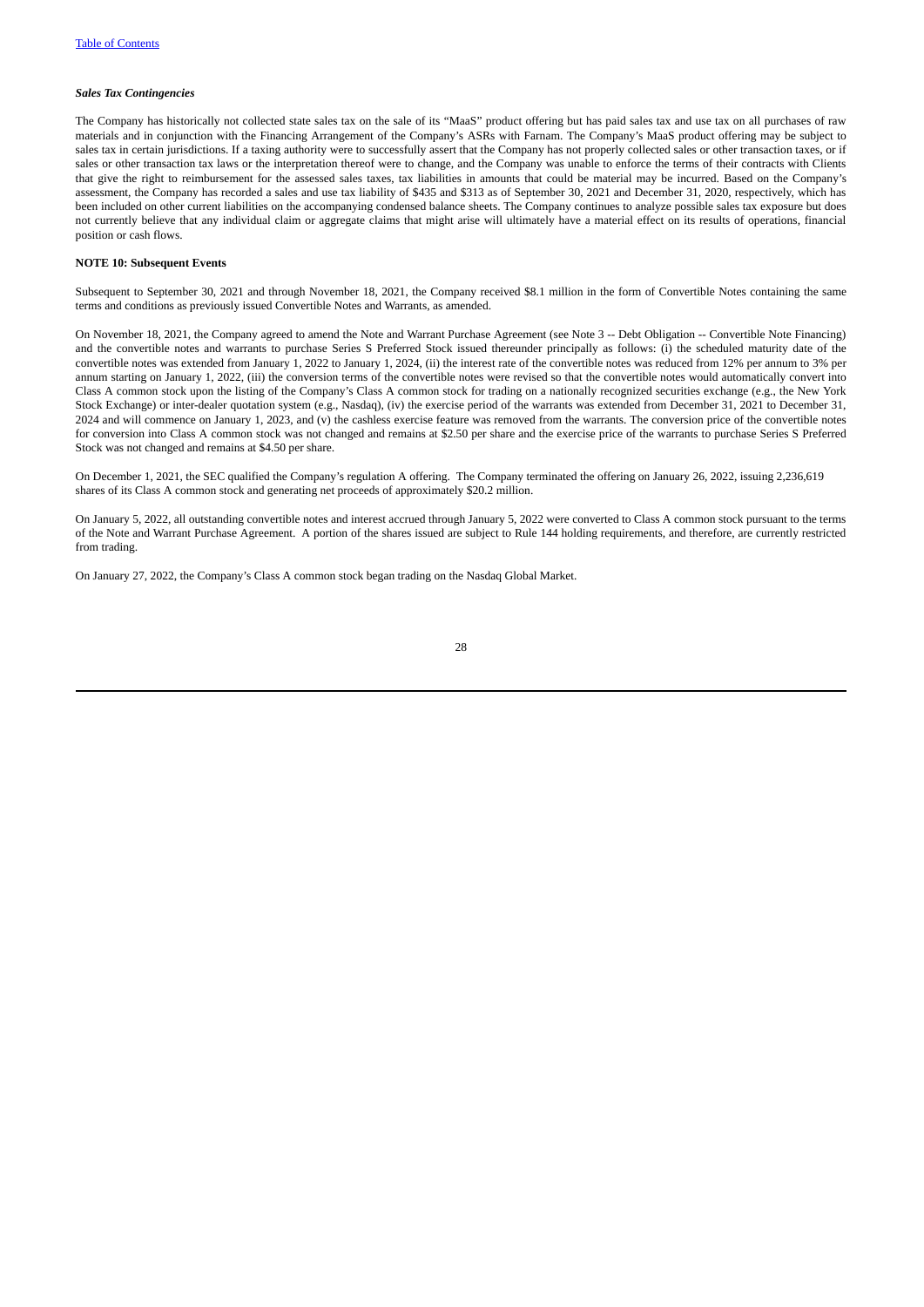# *Sales Tax Contingencies*

The Company has historically not collected state sales tax on the sale of its "MaaS" product offering but has paid sales tax and use tax on all purchases of raw materials and in conjunction with the Financing Arrangement of the Company's ASRs with Farnam. The Company's MaaS product offering may be subject to sales tax in certain jurisdictions. If a taxing authority were to successfully assert that the Company has not properly collected sales or other transaction taxes, or if sales or other transaction tax laws or the interpretation thereof were to change, and the Company was unable to enforce the terms of their contracts with Clients that give the right to reimbursement for the assessed sales taxes, tax liabilities in amounts that could be material may be incurred. Based on the Company's assessment, the Company has recorded a sales and use tax liability of \$435 and \$313 as of September 30, 2021 and December 31, 2020, respectively, which has been included on other current liabilities on the accompanying condensed balance sheets. The Company continues to analyze possible sales tax exposure but does not currently believe that any individual claim or aggregate claims that might arise will ultimately have a material effect on its results of operations, financial position or cash flows.

#### **NOTE 10: Subsequent Events**

Subsequent to September 30, 2021 and through November 18, 2021, the Company received \$8.1 million in the form of Convertible Notes containing the same terms and conditions as previously issued Convertible Notes and Warrants, as amended.

On November 18, 2021, the Company agreed to amend the Note and Warrant Purchase Agreement (see Note 3 -- Debt Obligation -- Convertible Note Financing) and the convertible notes and warrants to purchase Series S Preferred Stock issued thereunder principally as follows: (i) the scheduled maturity date of the convertible notes was extended from January 1, 2022 to January 1, 2024, (ii) the interest rate of the convertible notes was reduced from 12% per annum to 3% per annum starting on January 1, 2022, (iii) the conversion terms of the convertible notes were revised so that the convertible notes would automatically convert into Class A common stock upon the listing of the Company's Class A common stock for trading on a nationally recognized securities exchange (e.g., the New York Stock Exchange) or inter-dealer quotation system (e.g., Nasdaq), (iv) the exercise period of the warrants was extended from December 31, 2021 to December 31, 2024 and will commence on January 1, 2023, and (v) the cashless exercise feature was removed from the warrants. The conversion price of the convertible notes for conversion into Class A common stock was not changed and remains at \$2.50 per share and the exercise price of the warrants to purchase Series S Preferred Stock was not changed and remains at \$4.50 per share.

On December 1, 2021, the SEC qualified the Company's regulation A offering. The Company terminated the offering on January 26, 2022, issuing 2,236,619 shares of its Class A common stock and generating net proceeds of approximately \$20.2 million.

On January 5, 2022, all outstanding convertible notes and interest accrued through January 5, 2022 were converted to Class A common stock pursuant to the terms of the Note and Warrant Purchase Agreement. A portion of the shares issued are subject to Rule 144 holding requirements, and therefore, are currently restricted from trading.

On January 27, 2022, the Company's Class A common stock began trading on the Nasdaq Global Market.

| ۰, |              |
|----|--------------|
|    | I<br>w<br>۰, |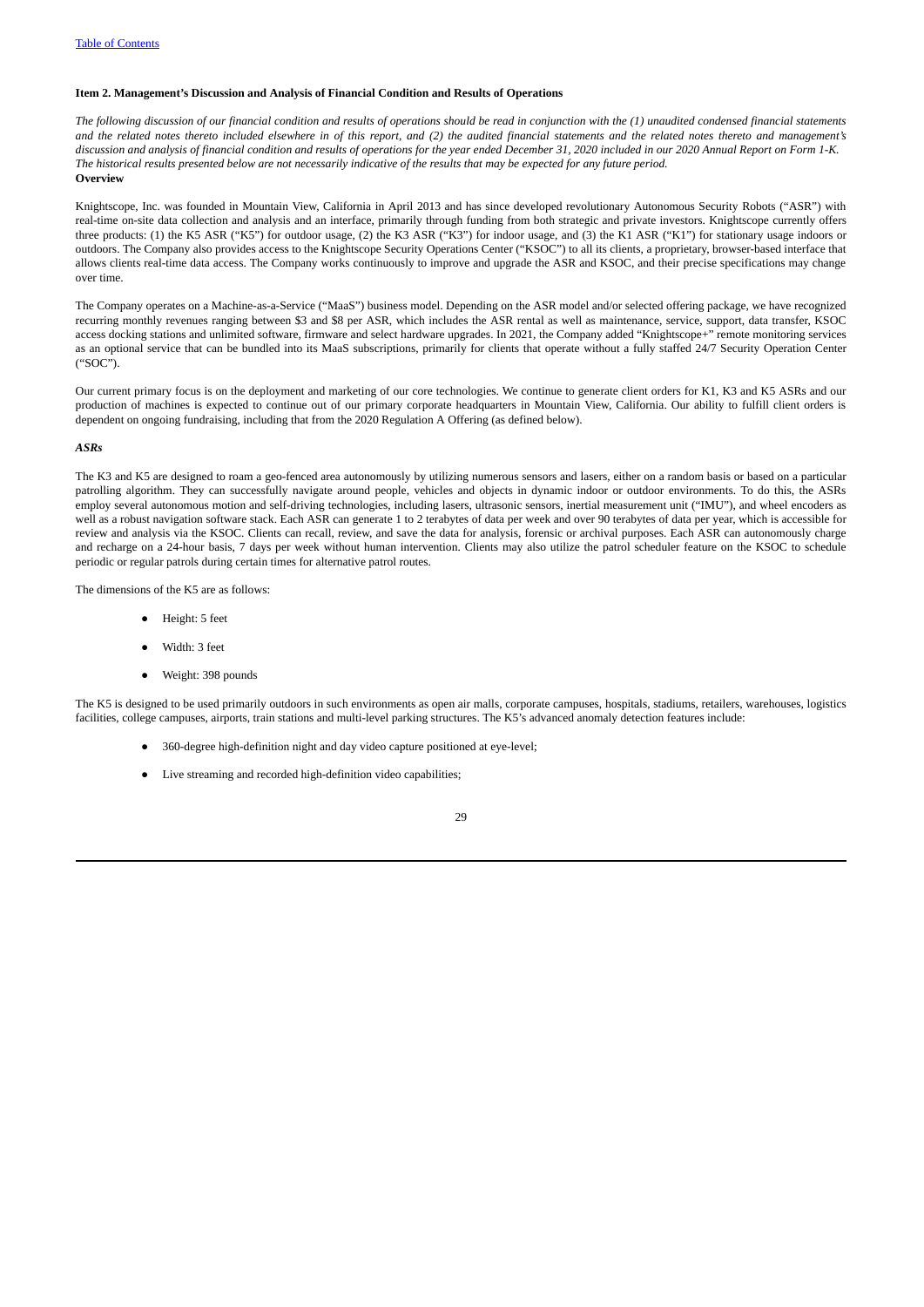# <span id="page-28-0"></span>**Item 2. Management's Discussion and Analysis of Financial Condition and Results of Operations**

The following discussion of our financial condition and results of operations should be read in conjunction with the (1) unaudited condensed financial statements and the related notes thereto included elsewhere in of this report, and (2) the audited financial statements and the related notes thereto and management's discussion and analysis of financial condition and results of operations for the year ended December 31, 2020 included in our 2020 Annual Report on Form 1-K. The historical results presented below are not necessarily indicative of the results that may be expected for any future period. **Overview**

Knightscope, Inc. was founded in Mountain View, California in April 2013 and has since developed revolutionary Autonomous Security Robots ("ASR") with real-time on-site data collection and analysis and an interface, primarily through funding from both strategic and private investors. Knightscope currently offers three products: (1) the K5 ASR ("K5") for outdoor usage, (2) the K3 ASR ("K3") for indoor usage, and (3) the K1 ASR ("K1") for stationary usage indoors or outdoors. The Company also provides access to the Knightscope Security Operations Center ("KSOC") to all its clients, a proprietary, browser-based interface that allows clients real-time data access. The Company works continuously to improve and upgrade the ASR and KSOC, and their precise specifications may change over time.

The Company operates on a Machine-as-a-Service ("MaaS") business model. Depending on the ASR model and/or selected offering package, we have recognized recurring monthly revenues ranging between \$3 and \$8 per ASR, which includes the ASR rental as well as maintenance, service, support, data transfer, KSOC access docking stations and unlimited software, firmware and select hardware upgrades. In 2021, the Company added "Knightscope+" remote monitoring services as an optional service that can be bundled into its MaaS subscriptions, primarily for clients that operate without a fully staffed 24/7 Security Operation Center ("SOC").

Our current primary focus is on the deployment and marketing of our core technologies. We continue to generate client orders for K1, K3 and K5 ASRs and our production of machines is expected to continue out of our primary corporate headquarters in Mountain View, California. Our ability to fulfill client orders is dependent on ongoing fundraising, including that from the 2020 Regulation A Offering (as defined below).

#### *ASRs*

The K3 and K5 are designed to roam a geo-fenced area autonomously by utilizing numerous sensors and lasers, either on a random basis or based on a particular patrolling algorithm. They can successfully navigate around people, vehicles and objects in dynamic indoor or outdoor environments. To do this, the ASRs employ several autonomous motion and self-driving technologies, including lasers, ultrasonic sensors, inertial measurement unit ("IMU"), and wheel encoders as well as a robust navigation software stack. Each ASR can generate 1 to 2 terabytes of data per week and over 90 terabytes of data per year, which is accessible for review and analysis via the KSOC. Clients can recall, review, and save the data for analysis, forensic or archival purposes. Each ASR can autonomously charge and recharge on a 24-hour basis, 7 days per week without human intervention. Clients may also utilize the patrol scheduler feature on the KSOC to schedule periodic or regular patrols during certain times for alternative patrol routes.

The dimensions of the K5 are as follows:

- Height: 5 feet
- $Width: 3$  feet
- Weight: 398 pounds

The K5 is designed to be used primarily outdoors in such environments as open air malls, corporate campuses, hospitals, stadiums, retailers, warehouses, logistics facilities, college campuses, airports, train stations and multi-level parking structures. The K5's advanced anomaly detection features include:

- 360-degree high-definition night and day video capture positioned at eye-level;
- Live streaming and recorded high-definition video capabilities;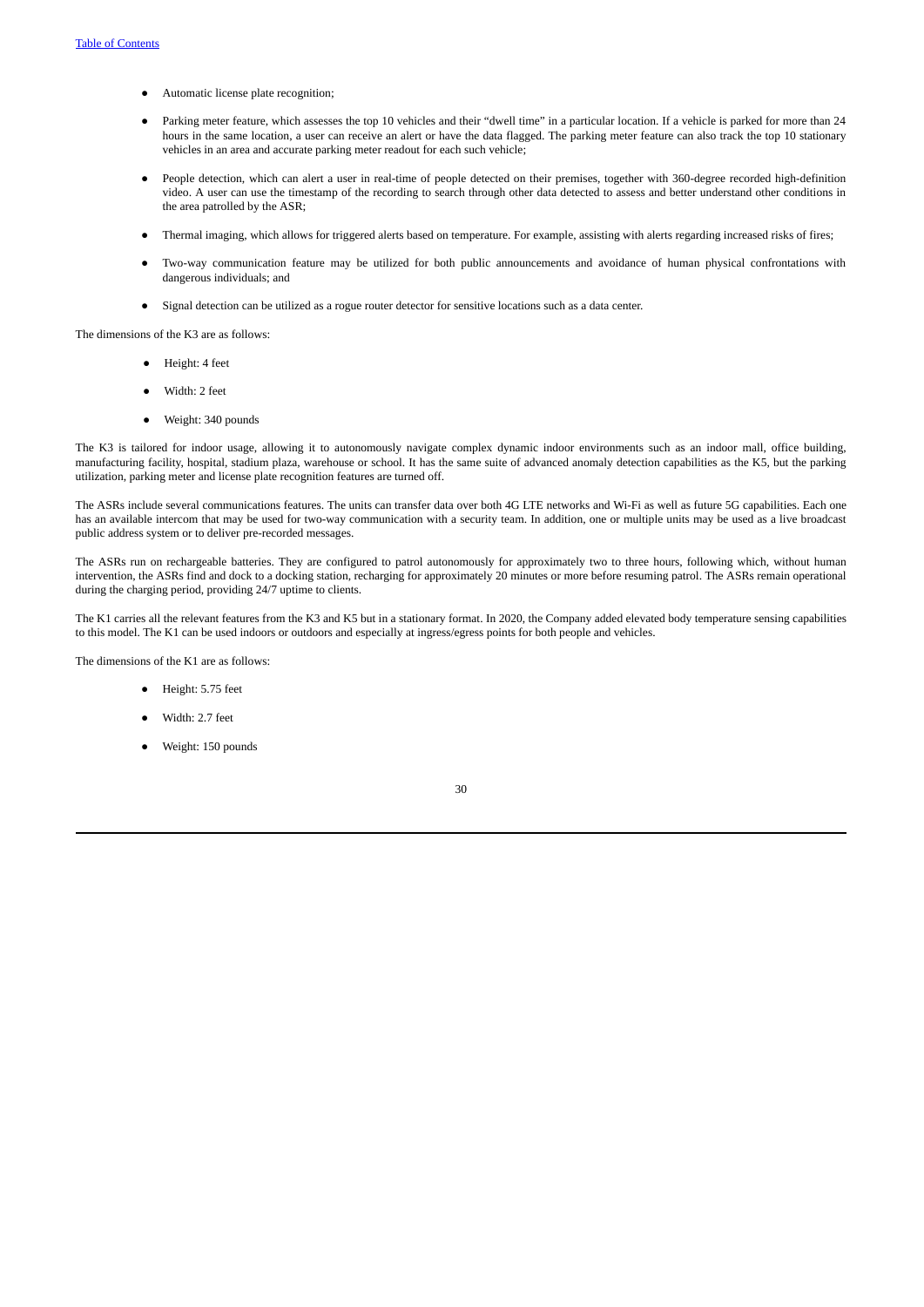- Automatic license plate recognition;
- Parking meter feature, which assesses the top 10 vehicles and their "dwell time" in a particular location. If a vehicle is parked for more than 24 hours in the same location, a user can receive an alert or have the data flagged. The parking meter feature can also track the top 10 stationary vehicles in an area and accurate parking meter readout for each such vehicle;
- People detection, which can alert a user in real-time of people detected on their premises, together with 360-degree recorded high-definition video. A user can use the timestamp of the recording to search through other data detected to assess and better understand other conditions in the area patrolled by the ASR;
- Thermal imaging, which allows for triggered alerts based on temperature. For example, assisting with alerts regarding increased risks of fires;
- Two-way communication feature may be utilized for both public announcements and avoidance of human physical confrontations with dangerous individuals; and
- Signal detection can be utilized as a rogue router detector for sensitive locations such as a data center.

The dimensions of the K3 are as follows:

- Height: 4 feet
- Width: 2 feet
- Weight: 340 pounds

The K3 is tailored for indoor usage, allowing it to autonomously navigate complex dynamic indoor environments such as an indoor mall, office building, manufacturing facility, hospital, stadium plaza, warehouse or school. It has the same suite of advanced anomaly detection capabilities as the K5, but the parking utilization, parking meter and license plate recognition features are turned off.

The ASRs include several communications features. The units can transfer data over both 4G LTE networks and Wi-Fi as well as future 5G capabilities. Each one has an available intercom that may be used for two-way communication with a security team. In addition, one or multiple units may be used as a live broadcast public address system or to deliver pre-recorded messages.

The ASRs run on rechargeable batteries. They are configured to patrol autonomously for approximately two to three hours, following which, without human intervention, the ASRs find and dock to a docking station, recharging for approximately 20 minutes or more before resuming patrol. The ASRs remain operational during the charging period, providing 24/7 uptime to clients.

The K1 carries all the relevant features from the K3 and K5 but in a stationary format. In 2020, the Company added elevated body temperature sensing capabilities to this model. The K1 can be used indoors or outdoors and especially at ingress/egress points for both people and vehicles.

The dimensions of the K1 are as follows:

- Height: 5.75 feet
- Width: 2.7 feet
- Weight: 150 pounds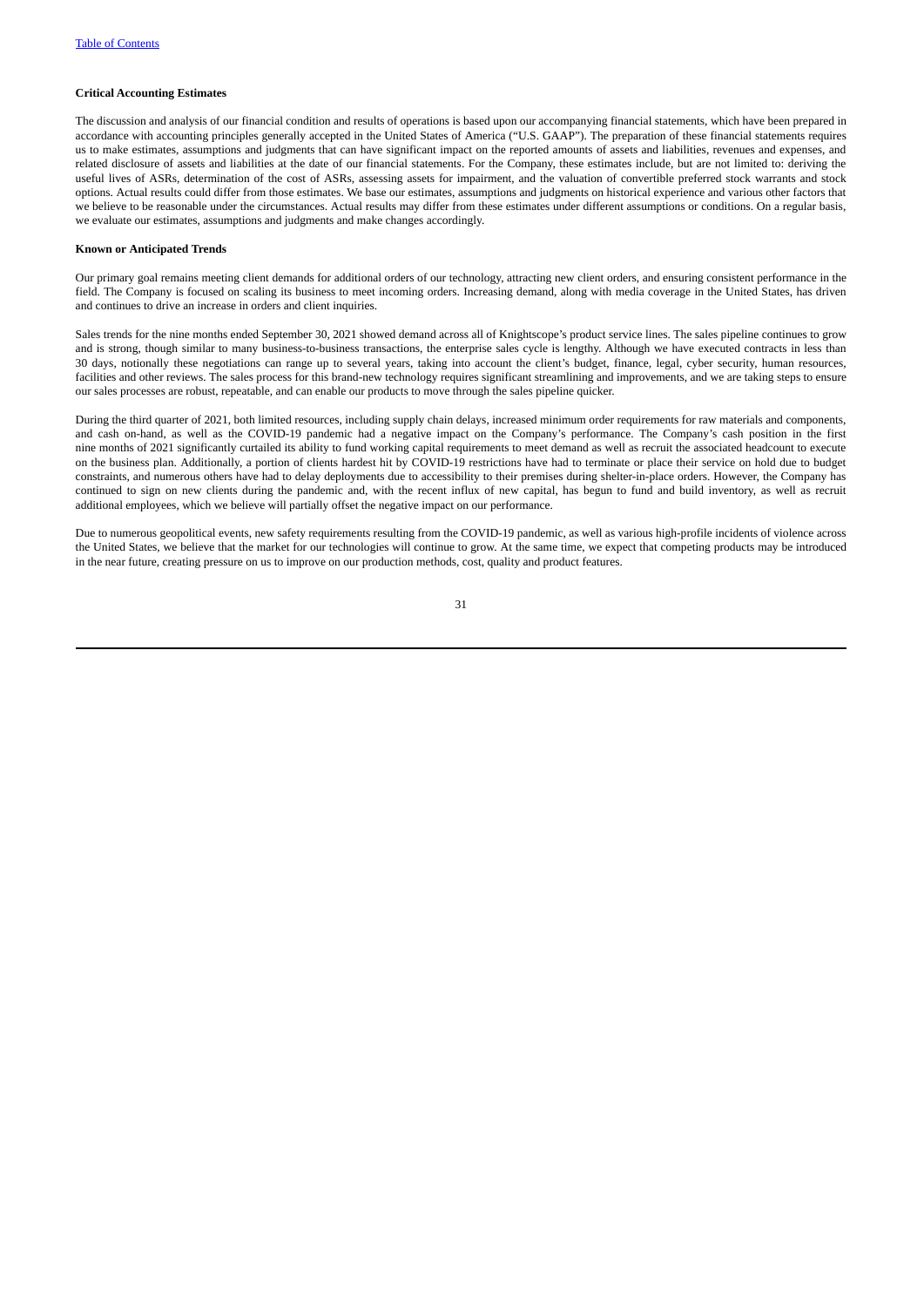# **Critical Accounting Estimates**

The discussion and analysis of our financial condition and results of operations is based upon our accompanying financial statements, which have been prepared in accordance with accounting principles generally accepted in the United States of America ("U.S. GAAP"). The preparation of these financial statements requires us to make estimates, assumptions and judgments that can have significant impact on the reported amounts of assets and liabilities, revenues and expenses, and related disclosure of assets and liabilities at the date of our financial statements. For the Company, these estimates include, but are not limited to: deriving the useful lives of ASRs, determination of the cost of ASRs, assessing assets for impairment, and the valuation of convertible preferred stock warrants and stock options. Actual results could differ from those estimates. We base our estimates, assumptions and judgments on historical experience and various other factors that we believe to be reasonable under the circumstances. Actual results may differ from these estimates under different assumptions or conditions. On a regular basis, we evaluate our estimates, assumptions and judgments and make changes accordingly.

#### **Known or Anticipated Trends**

Our primary goal remains meeting client demands for additional orders of our technology, attracting new client orders, and ensuring consistent performance in the field. The Company is focused on scaling its business to meet incoming orders. Increasing demand, along with media coverage in the United States, has driven and continues to drive an increase in orders and client inquiries.

Sales trends for the nine months ended September 30, 2021 showed demand across all of Knightscope's product service lines. The sales pipeline continues to grow and is strong, though similar to many business-to-business transactions, the enterprise sales cycle is lengthy. Although we have executed contracts in less than 30 days, notionally these negotiations can range up to several years, taking into account the client's budget, finance, legal, cyber security, human resources, facilities and other reviews. The sales process for this brand-new technology requires significant streamlining and improvements, and we are taking steps to ensure our sales processes are robust, repeatable, and can enable our products to move through the sales pipeline quicker.

During the third quarter of 2021, both limited resources, including supply chain delays, increased minimum order requirements for raw materials and components, and cash on-hand, as well as the COVID-19 pandemic had a negative impact on the Company's performance. The Company's cash position in the first nine months of 2021 significantly curtailed its ability to fund working capital requirements to meet demand as well as recruit the associated headcount to execute on the business plan. Additionally, a portion of clients hardest hit by COVID-19 restrictions have had to terminate or place their service on hold due to budget constraints, and numerous others have had to delay deployments due to accessibility to their premises during shelter-in-place orders. However, the Company has continued to sign on new clients during the pandemic and, with the recent influx of new capital, has begun to fund and build inventory, as well as recruit additional employees, which we believe will partially offset the negative impact on our performance.

Due to numerous geopolitical events, new safety requirements resulting from the COVID-19 pandemic, as well as various high-profile incidents of violence across the United States, we believe that the market for our technologies will continue to grow. At the same time, we expect that competing products may be introduced in the near future, creating pressure on us to improve on our production methods, cost, quality and product features.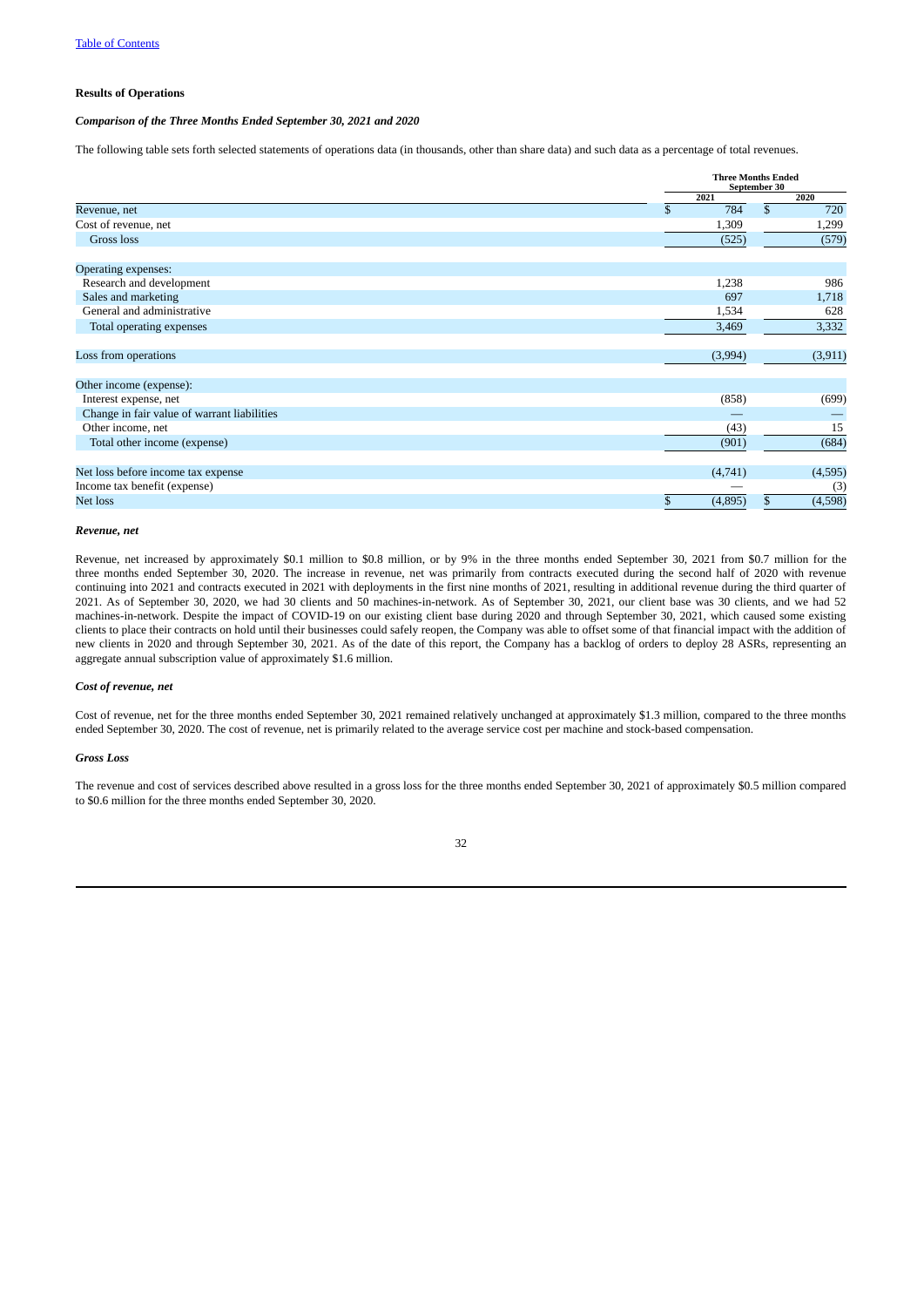# **Results of Operations**

# *Comparison of the Three Months Ended September 30, 2021 and 2020*

The following table sets forth selected statements of operations data (in thousands, other than share data) and such data as a percentage of total revenues.

|                                             |           | <b>Three Months Ended</b><br>September 30 |
|---------------------------------------------|-----------|-------------------------------------------|
|                                             | 2021      | 2020                                      |
| Revenue, net                                | 784<br>\$ | 720<br>$\mathbb{S}$                       |
| Cost of revenue, net                        | 1,309     | 1,299                                     |
| Gross loss                                  | (525)     | (579)                                     |
| Operating expenses:                         |           |                                           |
| Research and development                    | 1,238     | 986                                       |
| Sales and marketing                         | 697       | 1,718                                     |
| General and administrative                  | 1,534     | 628                                       |
| Total operating expenses                    | 3,469     | 3,332                                     |
| Loss from operations                        | (3,994)   | (3, 911)                                  |
| Other income (expense):                     |           |                                           |
| Interest expense, net                       | (858)     | (699)                                     |
| Change in fair value of warrant liabilities |           |                                           |
| Other income, net                           |           | 15<br>(43)                                |
| Total other income (expense)                | (901)     | (684)                                     |
| Net loss before income tax expense          | (4,741)   | (4,595)                                   |
| Income tax benefit (expense)                |           | (3)                                       |
| Net loss                                    | (4,895)   | (4,598)                                   |

#### *Revenue, net*

Revenue, net increased by approximately \$0.1 million to \$0.8 million, or by 9% in the three months ended September 30, 2021 from \$0.7 million for the three months ended September 30, 2020. The increase in revenue, net was primarily from contracts executed during the second half of 2020 with revenue continuing into 2021 and contracts executed in 2021 with deployments in the first nine months of 2021, resulting in additional revenue during the third quarter of 2021. As of September 30, 2020, we had 30 clients and 50 machines-in-network. As of September 30, 2021, our client base was 30 clients, and we had 52 machines-in-network. Despite the impact of COVID-19 on our existing client base during 2020 and through September 30, 2021, which caused some existing clients to place their contracts on hold until their businesses could safely reopen, the Company was able to offset some of that financial impact with the addition of new clients in 2020 and through September 30, 2021. As of the date of this report, the Company has a backlog of orders to deploy 28 ASRs, representing an aggregate annual subscription value of approximately \$1.6 million.

# *Cost of revenue, net*

Cost of revenue, net for the three months ended September 30, 2021 remained relatively unchanged at approximately \$1.3 million, compared to the three months ended September 30, 2020. The cost of revenue, net is primarily related to the average service cost per machine and stock-based compensation.

# *Gross Loss*

The revenue and cost of services described above resulted in a gross loss for the three months ended September 30, 2021 of approximately \$0.5 million compared to \$0.6 million for the three months ended September 30, 2020.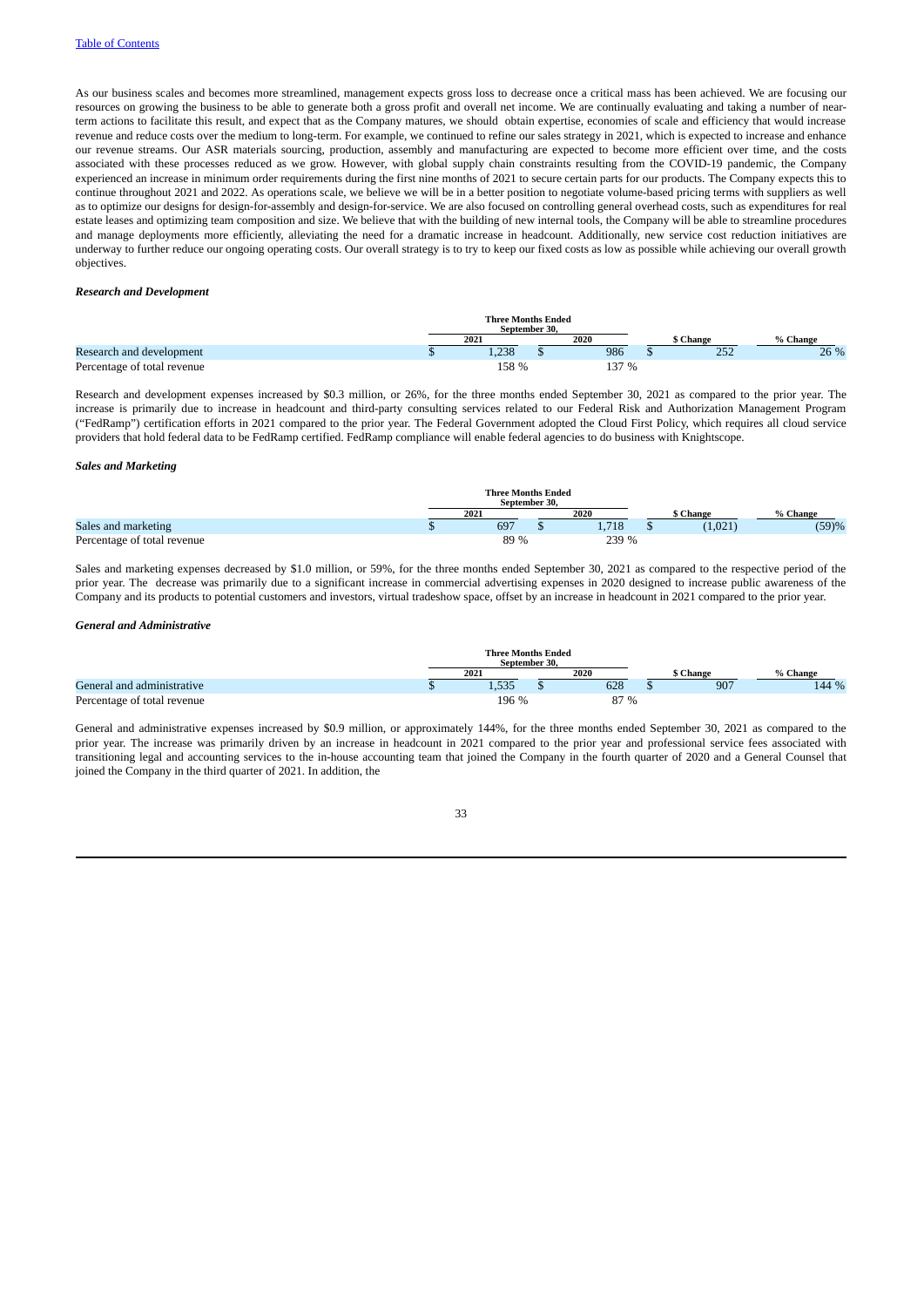As our business scales and becomes more streamlined, management expects gross loss to decrease once a critical mass has been achieved. We are focusing our resources on growing the business to be able to generate both a gross profit and overall net income. We are continually evaluating and taking a number of nearterm actions to facilitate this result, and expect that as the Company matures, we should obtain expertise, economies of scale and efficiency that would increase revenue and reduce costs over the medium to long-term. For example, we continued to refine our sales strategy in 2021, which is expected to increase and enhance our revenue streams. Our ASR materials sourcing, production, assembly and manufacturing are expected to become more efficient over time, and the costs associated with these processes reduced as we grow. However, with global supply chain constraints resulting from the COVID-19 pandemic, the Company experienced an increase in minimum order requirements during the first nine months of 2021 to secure certain parts for our products. The Company expects this to continue throughout 2021 and 2022. As operations scale, we believe we will be in a better position to negotiate volume-based pricing terms with suppliers as well as to optimize our designs for design-for-assembly and design-for-service. We are also focused on controlling general overhead costs, such as expenditures for real estate leases and optimizing team composition and size. We believe that with the building of new internal tools, the Company will be able to streamline procedures and manage deployments more efficiently, alleviating the need for a dramatic increase in headcount. Additionally, new service cost reduction initiatives are underway to further reduce our ongoing operating costs. Our overall strategy is to try to keep our fixed costs as low as possible while achieving our overall growth objectives.

#### *Research and Development*

|                             | <b>Three Months Ended</b><br>September 30. |      |        |          |
|-----------------------------|--------------------------------------------|------|--------|----------|
|                             | 2021                                       | 2020 | Change | % Change |
| Research and development    | 720                                        | 986  | 252    | 26 %     |
| Percentage of total revenue | 158 %                                      | 37 % |        |          |

Research and development expenses increased by \$0.3 million, or 26%, for the three months ended September 30, 2021 as compared to the prior year. The increase is primarily due to increase in headcount and third-party consulting services related to our Federal Risk and Authorization Management Program ("FedRamp") certification efforts in 2021 compared to the prior year. The Federal Government adopted the Cloud First Policy, which requires all cloud service providers that hold federal data to be FedRamp certified. FedRamp compliance will enable federal agencies to do business with Knightscope.

## *Sales and Marketing*

|                             |      | <b>Three Months Ended</b><br>September 30. |  |       |  |         |          |
|-----------------------------|------|--------------------------------------------|--|-------|--|---------|----------|
|                             | 2021 |                                            |  | 2020  |  | Change  | % Change |
| Sales and marketing         |      | 697                                        |  | 1.718 |  | (1.021) | (59)%    |
| Percentage of total revenue |      | 89 %                                       |  | 239 % |  |         |          |

Sales and marketing expenses decreased by \$1.0 million, or 59%, for the three months ended September 30, 2021 as compared to the respective period of the prior year. The decrease was primarily due to a significant increase in commercial advertising expenses in 2020 designed to increase public awareness of the Company and its products to potential customers and investors, virtual tradeshow space, offset by an increase in headcount in 2021 compared to the prior year.

#### *General and Administrative*

|                             | <b>Three Months Ended</b> | September 30. |      |        |          |
|-----------------------------|---------------------------|---------------|------|--------|----------|
|                             | 2021                      |               | 2020 | Change | % Change |
| General and administrative  | LJJJ                      |               | 628  | 907    | $144\%$  |
| Percentage of total revenue | 196 %                     |               | 87 % |        |          |

General and administrative expenses increased by \$0.9 million, or approximately 144%, for the three months ended September 30, 2021 as compared to the prior year. The increase was primarily driven by an increase in headcount in 2021 compared to the prior year and professional service fees associated with transitioning legal and accounting services to the in-house accounting team that joined the Company in the fourth quarter of 2020 and a General Counsel that joined the Company in the third quarter of 2021. In addition, the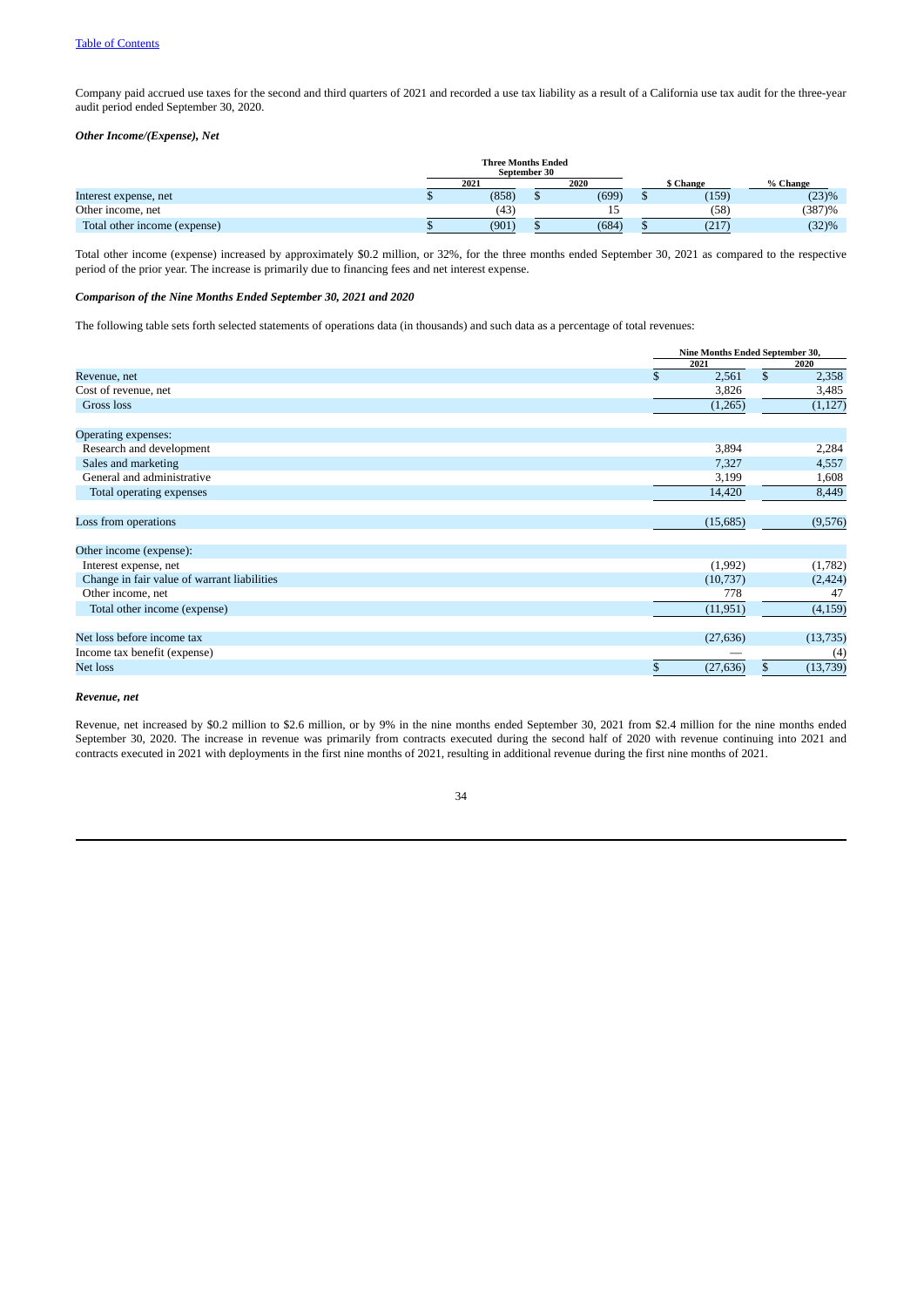Company paid accrued use taxes for the second and third quarters of 2021 and recorded a use tax liability as a result of a California use tax audit for the three-year audit period ended September 30, 2020.

# *Other Income/(Expense), Net*

|                              | <b>Three Months Ended</b><br><b>September 30</b> |       |          |          |
|------------------------------|--------------------------------------------------|-------|----------|----------|
|                              | 2021                                             | 2020  | s Change | % Change |
| Interest expense, net        | (858)                                            | (699) | (159)    | (23)%    |
| Other income, net            | (43                                              | 15    | (58)     | (387)%   |
| Total other income (expense) | (901)                                            | (684) | (217     | (32)%    |

Total other income (expense) increased by approximately \$0.2 million, or 32%, for the three months ended September 30, 2021 as compared to the respective period of the prior year. The increase is primarily due to financing fees and net interest expense.

# *Comparison of the Nine Months Ended September 30, 2021 and 2020*

The following table sets forth selected statements of operations data (in thousands) and such data as a percentage of total revenues:

|                                             |                | Nine Months Ended September 30, |
|---------------------------------------------|----------------|---------------------------------|
|                                             | 2021           | 2020                            |
| Revenue, net                                | \$             | 2,561<br>2,358<br>\$            |
| Cost of revenue, net                        |                | 3,826<br>3,485                  |
| Gross loss                                  |                | (1,265)<br>(1, 127)             |
| Operating expenses:                         |                |                                 |
| Research and development                    |                | 3,894<br>2,284                  |
| Sales and marketing                         |                | 7,327<br>4,557                  |
| General and administrative                  |                | 3,199<br>1,608                  |
| Total operating expenses                    | 14,420         | 8,449                           |
| Loss from operations                        | (15,685)       | (9,576)                         |
| Other income (expense):                     |                |                                 |
| Interest expense, net                       |                | (1,992)<br>(1,782)              |
| Change in fair value of warrant liabilities | (10, 737)      | (2, 424)                        |
| Other income, net                           |                | 778<br>47                       |
| Total other income (expense)                | (11, 951)      | (4, 159)                        |
| Net loss before income tax                  | (27, 636)      | (13, 735)                       |
| Income tax benefit (expense)                |                | (4)                             |
| Net loss                                    | (27, 636)<br>S | (13, 739)                       |

# *Revenue, net*

Revenue, net increased by \$0.2 million to \$2.6 million, or by 9% in the nine months ended September 30, 2021 from \$2.4 million for the nine months ended September 30, 2020. The increase in revenue was primarily from contracts executed during the second half of 2020 with revenue continuing into 2021 and contracts executed in 2021 with deployments in the first nine months of 2021, resulting in additional revenue during the first nine months of 2021.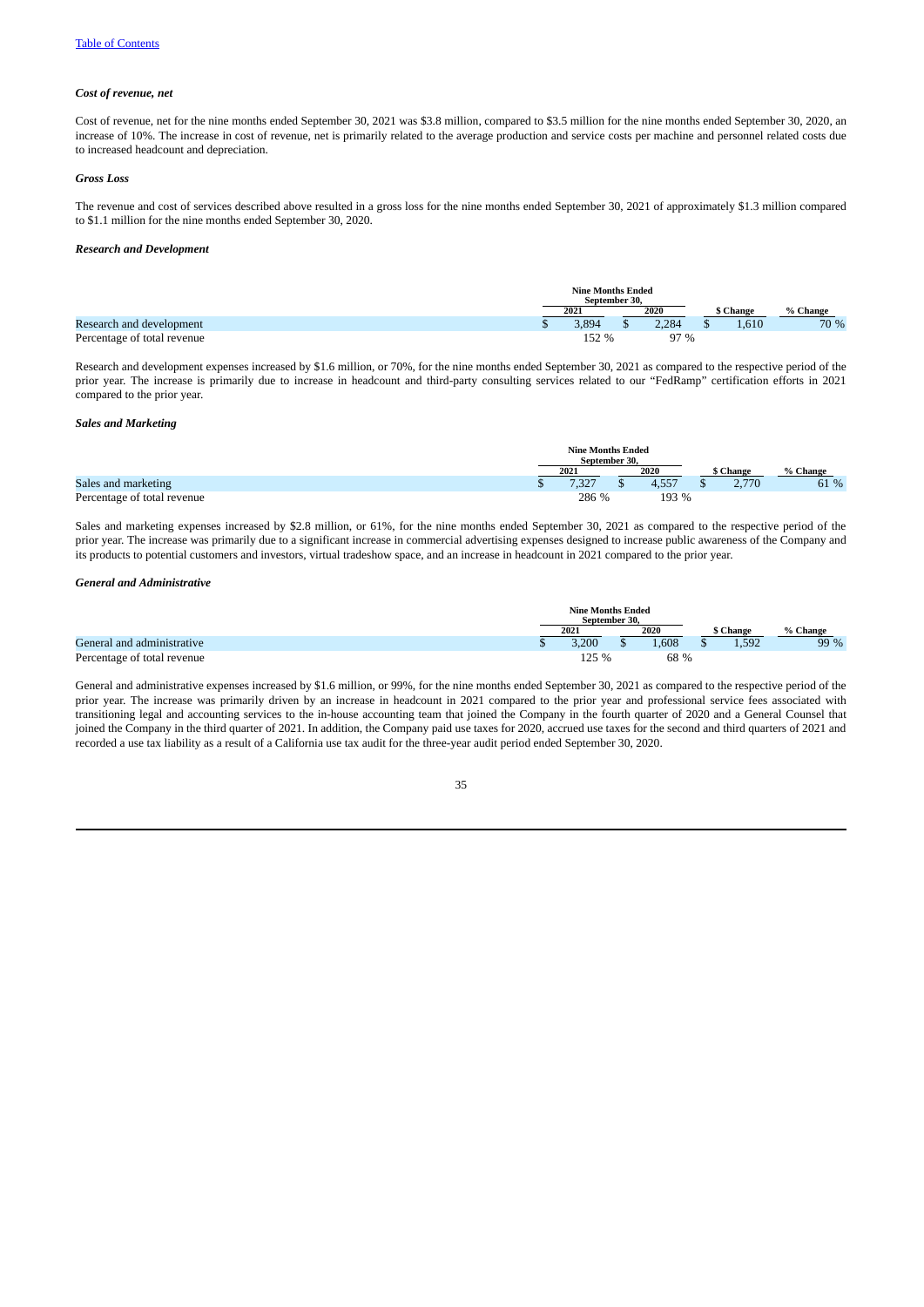# *Cost of revenue, net*

Cost of revenue, net for the nine months ended September 30, 2021 was \$3.8 million, compared to \$3.5 million for the nine months ended September 30, 2020, an increase of 10%. The increase in cost of revenue, net is primarily related to the average production and service costs per machine and personnel related costs due to increased headcount and depreciation.

# *Gross Loss*

The revenue and cost of services described above resulted in a gross loss for the nine months ended September 30, 2021 of approximately \$1.3 million compared to \$1.1 million for the nine months ended September 30, 2020.

### *Research and Development*

|                             | <b>Nine Months Ended</b><br>September 30. |       |        |          |
|-----------------------------|-------------------------------------------|-------|--------|----------|
|                             | 2021                                      | 2020  | Change | % Change |
| Research and development    | 3.894                                     | 2.284 | .610   | 70 %     |
| Percentage of total revenue | 152 %                                     | 97 %  |        |          |

Research and development expenses increased by \$1.6 million, or 70%, for the nine months ended September 30, 2021 as compared to the respective period of the prior year. The increase is primarily due to increase in headcount and third-party consulting services related to our "FedRamp" certification efforts in 2021 compared to the prior year.

## *Sales and Marketing*

|                             | <b>Nine Months Ended</b><br>September 30. |       |        |          |
|-----------------------------|-------------------------------------------|-------|--------|----------|
|                             | 2021                                      | 2020  | Change | % Change |
| Sales and marketing         | 7,327                                     | 4.557 | 2.770  | 61 %     |
| Percentage of total revenue | 286 %                                     | 193 % |        |          |

Sales and marketing expenses increased by \$2.8 million, or 61%, for the nine months ended September 30, 2021 as compared to the respective period of the prior year. The increase was primarily due to a significant increase in commercial advertising expenses designed to increase public awareness of the Company and its products to potential customers and investors, virtual tradeshow space, and an increase in headcount in 2021 compared to the prior year.

### *General and Administrative*

|                             | <b>Nine Months Ended</b><br>September 30. |      |        |          |
|-----------------------------|-------------------------------------------|------|--------|----------|
|                             | 2021                                      | 2020 | Change | % Change |
| General and administrative  | 3.200                                     | .608 | 1.592  | 99 %     |
| Percentage of total revenue | 125 %                                     | 68 % |        |          |

General and administrative expenses increased by \$1.6 million, or 99%, for the nine months ended September 30, 2021 as compared to the respective period of the prior year. The increase was primarily driven by an increase in headcount in 2021 compared to the prior year and professional service fees associated with transitioning legal and accounting services to the in-house accounting team that joined the Company in the fourth quarter of 2020 and a General Counsel that joined the Company in the third quarter of 2021. In addition, the Company paid use taxes for 2020, accrued use taxes for the second and third quarters of 2021 and recorded a use tax liability as a result of a California use tax audit for the three-year audit period ended September 30, 2020.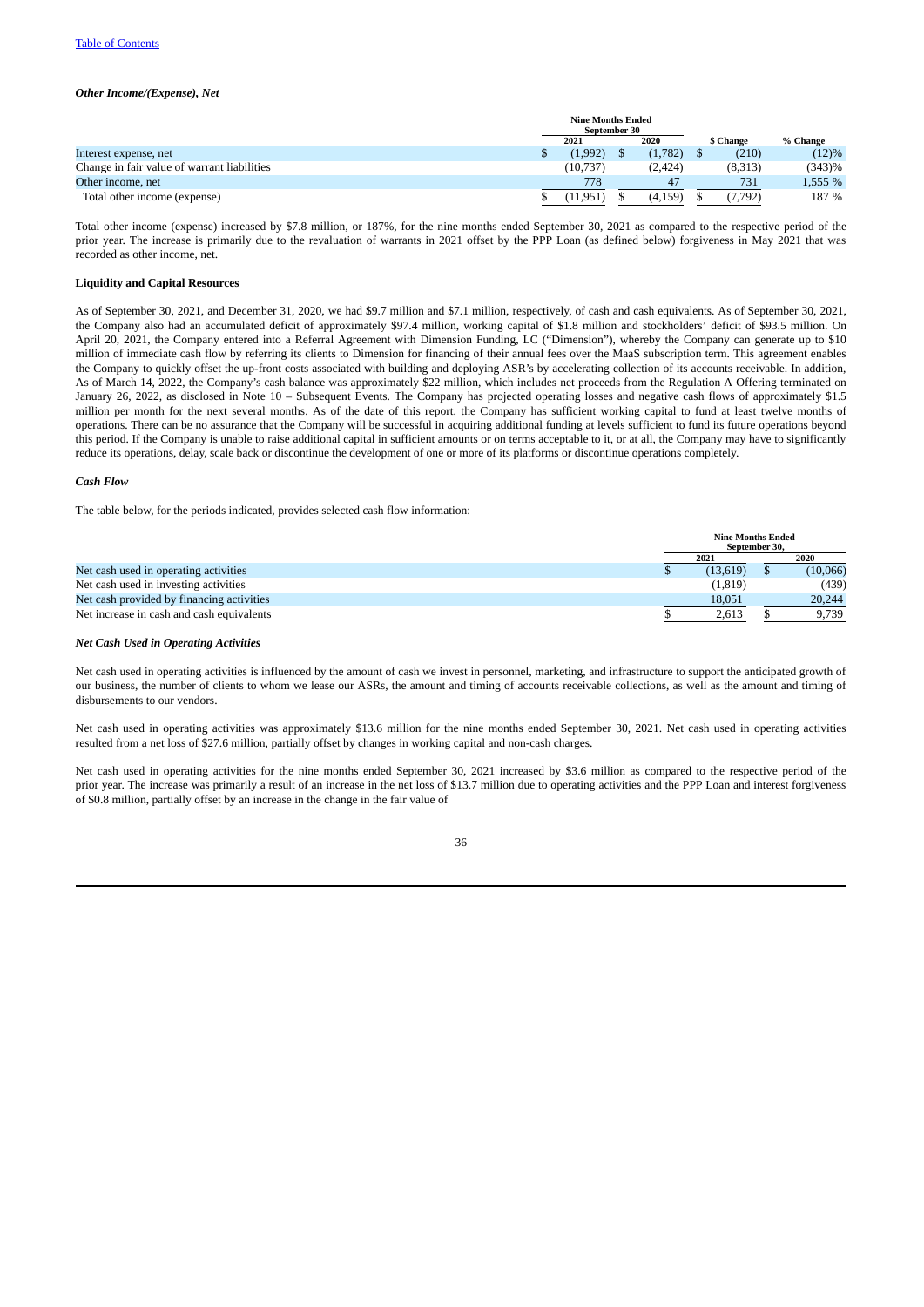# *Other Income/(Expense), Net*

|                                             | <b>Nine Months Ended</b><br>September 30 |          |           |           |  |  |
|---------------------------------------------|------------------------------------------|----------|-----------|-----------|--|--|
|                                             | 2021                                     | 2020     | \$ Change | % Change  |  |  |
| Interest expense, net                       | (1,992)                                  | (1,782)  | (210)     | (12)%     |  |  |
| Change in fair value of warrant liabilities | (10, 737)                                | (2, 424) | (8,313)   | $(343)\%$ |  |  |
| Other income, net                           | 778                                      | 47       | 731       | 1,555 %   |  |  |
| Total other income (expense)                | (11.951)                                 | (4, 159) | (7,792)   | 187 %     |  |  |

Total other income (expense) increased by \$7.8 million, or 187%, for the nine months ended September 30, 2021 as compared to the respective period of the prior year. The increase is primarily due to the revaluation of warrants in 2021 offset by the PPP Loan (as defined below) forgiveness in May 2021 that was recorded as other income, net.

# **Liquidity and Capital Resources**

As of September 30, 2021, and December 31, 2020, we had \$9.7 million and \$7.1 million, respectively, of cash and cash equivalents. As of September 30, 2021, the Company also had an accumulated deficit of approximately \$97.4 million, working capital of \$1.8 million and stockholders' deficit of \$93.5 million. On April 20, 2021, the Company entered into a Referral Agreement with Dimension Funding, LC ("Dimension"), whereby the Company can generate up to \$10 million of immediate cash flow by referring its clients to Dimension for financing of their annual fees over the MaaS subscription term. This agreement enables the Company to quickly offset the up-front costs associated with building and deploying ASR's by accelerating collection of its accounts receivable. In addition, As of March 14, 2022, the Company's cash balance was approximately \$22 million, which includes net proceeds from the Regulation A Offering terminated on January 26, 2022, as disclosed in Note 10 – Subsequent Events. The Company has projected operating losses and negative cash flows of approximately \$1.5 million per month for the next several months. As of the date of this report, the Company has sufficient working capital to fund at least twelve months of operations. There can be no assurance that the Company will be successful in acquiring additional funding at levels sufficient to fund its future operations beyond this period. If the Company is unable to raise additional capital in sufficient amounts or on terms acceptable to it, or at all, the Company may have to significantly reduce its operations, delay, scale back or discontinue the development of one or more of its platforms or discontinue operations completely.

#### *Cash Flow*

The table below, for the periods indicated, provides selected cash flow information:

|                                           | <b>Nine Months Ended</b><br>September 30. |          |
|-------------------------------------------|-------------------------------------------|----------|
|                                           | 2021                                      | 2020     |
| Net cash used in operating activities     | (13.619)                                  | (10,066) |
| Net cash used in investing activities     | (1, 819)                                  | (439)    |
| Net cash provided by financing activities | 18.051                                    | 20,244   |
| Net increase in cash and cash equivalents | 2.613                                     | 9.739    |

#### *Net Cash Used in Operating Activities*

Net cash used in operating activities is influenced by the amount of cash we invest in personnel, marketing, and infrastructure to support the anticipated growth of our business, the number of clients to whom we lease our ASRs, the amount and timing of accounts receivable collections, as well as the amount and timing of disbursements to our vendors.

Net cash used in operating activities was approximately \$13.6 million for the nine months ended September 30, 2021. Net cash used in operating activities resulted from a net loss of \$27.6 million, partially offset by changes in working capital and non-cash charges.

Net cash used in operating activities for the nine months ended September 30, 2021 increased by \$3.6 million as compared to the respective period of the prior year. The increase was primarily a result of an increase in the net loss of \$13.7 million due to operating activities and the PPP Loan and interest forgiveness of \$0.8 million, partially offset by an increase in the change in the fair value of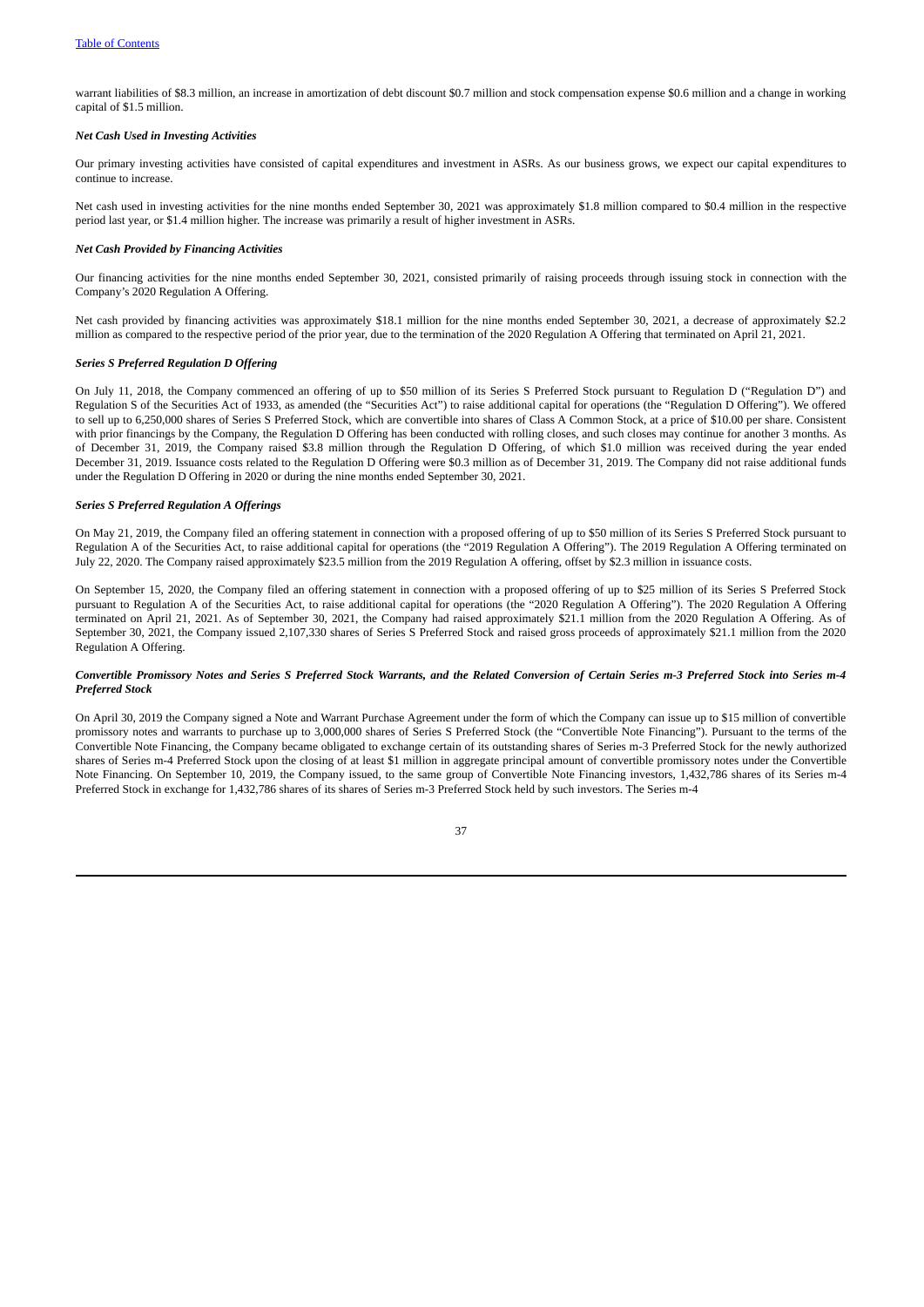warrant liabilities of \$8.3 million, an increase in amortization of debt discount \$0.7 million and stock compensation expense \$0.6 million and a change in working capital of \$1.5 million.

# *Net Cash Used in Investing Activities*

Our primary investing activities have consisted of capital expenditures and investment in ASRs. As our business grows, we expect our capital expenditures to continue to increase.

Net cash used in investing activities for the nine months ended September 30, 2021 was approximately \$1.8 million compared to \$0.4 million in the respective period last year, or \$1.4 million higher. The increase was primarily a result of higher investment in ASRs.

# *Net Cash Provided by Financing Activities*

Our financing activities for the nine months ended September 30, 2021, consisted primarily of raising proceeds through issuing stock in connection with the Company's 2020 Regulation A Offering.

Net cash provided by financing activities was approximately \$18.1 million for the nine months ended September 30, 2021, a decrease of approximately \$2.2 million as compared to the respective period of the prior year, due to the termination of the 2020 Regulation A Offering that terminated on April 21, 2021.

## *Series S Preferred Regulation D Offering*

On July 11, 2018, the Company commenced an offering of up to \$50 million of its Series S Preferred Stock pursuant to Regulation D ("Regulation D") and Regulation S of the Securities Act of 1933, as amended (the "Securities Act") to raise additional capital for operations (the "Regulation D Offering"). We offered to sell up to 6,250,000 shares of Series S Preferred Stock, which are convertible into shares of Class A Common Stock, at a price of \$10.00 per share. Consistent with prior financings by the Company, the Regulation D Offering has been conducted with rolling closes, and such closes may continue for another 3 months. As of December 31, 2019, the Company raised \$3.8 million through the Regulation D Offering, of which \$1.0 million was received during the year ended December 31, 2019. Issuance costs related to the Regulation D Offering were \$0.3 million as of December 31, 2019. The Company did not raise additional funds under the Regulation D Offering in 2020 or during the nine months ended September 30, 2021.

# *Series S Preferred Regulation A Offerings*

On May 21, 2019, the Company filed an offering statement in connection with a proposed offering of up to \$50 million of its Series S Preferred Stock pursuant to Regulation A of the Securities Act, to raise additional capital for operations (the "2019 Regulation A Offering"). The 2019 Regulation A Offering terminated on July 22, 2020. The Company raised approximately \$23.5 million from the 2019 Regulation A offering, offset by \$2.3 million in issuance costs.

On September 15, 2020, the Company filed an offering statement in connection with a proposed offering of up to \$25 million of its Series S Preferred Stock pursuant to Regulation A of the Securities Act, to raise additional capital for operations (the "2020 Regulation A Offering"). The 2020 Regulation A Offering terminated on April 21, 2021. As of September 30, 2021, the Company had raised approximately \$21.1 million from the 2020 Regulation A Offering. As of September 30, 2021, the Company issued 2,107,330 shares of Series S Preferred Stock and raised gross proceeds of approximately \$21.1 million from the 2020 Regulation A Offering.

### Convertible Promissory Notes and Series S Preferred Stock Warrants, and the Related Conversion of Certain Series m-3 Preferred Stock into Series m-4 *Preferred Stock*

On April 30, 2019 the Company signed a Note and Warrant Purchase Agreement under the form of which the Company can issue up to \$15 million of convertible promissory notes and warrants to purchase up to 3,000,000 shares of Series S Preferred Stock (the "Convertible Note Financing"). Pursuant to the terms of the Convertible Note Financing, the Company became obligated to exchange certain of its outstanding shares of Series m-3 Preferred Stock for the newly authorized shares of Series m-4 Preferred Stock upon the closing of at least \$1 million in aggregate principal amount of convertible promissory notes under the Convertible Note Financing. On September 10, 2019, the Company issued, to the same group of Convertible Note Financing investors, 1,432,786 shares of its Series m-4 Preferred Stock in exchange for 1,432,786 shares of its shares of Series m-3 Preferred Stock held by such investors. The Series m-4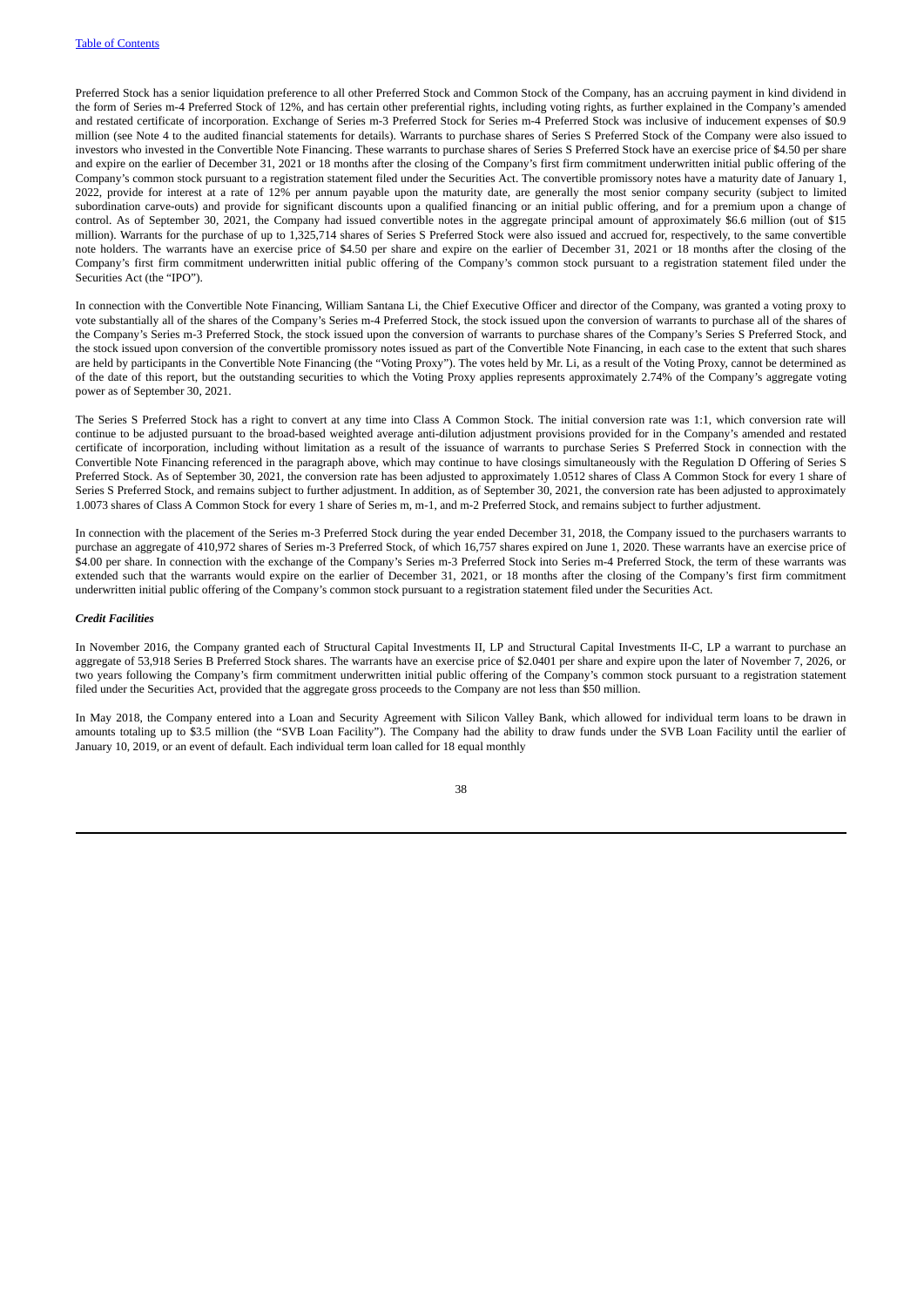Preferred Stock has a senior liquidation preference to all other Preferred Stock and Common Stock of the Company, has an accruing payment in kind dividend in the form of Series m-4 Preferred Stock of 12%, and has certain other preferential rights, including voting rights, as further explained in the Company's amended and restated certificate of incorporation. Exchange of Series m-3 Preferred Stock for Series m-4 Preferred Stock was inclusive of inducement expenses of \$0.9 million (see Note 4 to the audited financial statements for details). Warrants to purchase shares of Series S Preferred Stock of the Company were also issued to investors who invested in the Convertible Note Financing. These warrants to purchase shares of Series S Preferred Stock have an exercise price of \$4.50 per share and expire on the earlier of December 31, 2021 or 18 months after the closing of the Company's first firm commitment underwritten initial public offering of the Company's common stock pursuant to a registration statement filed under the Securities Act. The convertible promissory notes have a maturity date of January 1, 2022, provide for interest at a rate of 12% per annum payable upon the maturity date, are generally the most senior company security (subject to limited subordination carve-outs) and provide for significant discounts upon a qualified financing or an initial public offering, and for a premium upon a change of control. As of September 30, 2021, the Company had issued convertible notes in the aggregate principal amount of approximately \$6.6 million (out of \$15 million). Warrants for the purchase of up to 1,325,714 shares of Series S Preferred Stock were also issued and accrued for, respectively, to the same convertible note holders. The warrants have an exercise price of \$4.50 per share and expire on the earlier of December 31, 2021 or 18 months after the closing of the Company's first firm commitment underwritten initial public offering of the Company's common stock pursuant to a registration statement filed under the Securities Act (the "IPO").

In connection with the Convertible Note Financing, William Santana Li, the Chief Executive Officer and director of the Company, was granted a voting proxy to vote substantially all of the shares of the Company's Series m-4 Preferred Stock, the stock issued upon the conversion of warrants to purchase all of the shares of the Company's Series m-3 Preferred Stock, the stock issued upon the conversion of warrants to purchase shares of the Company's Series S Preferred Stock, and the stock issued upon conversion of the convertible promissory notes issued as part of the Convertible Note Financing, in each case to the extent that such shares are held by participants in the Convertible Note Financing (the "Voting Proxy"). The votes held by Mr. Li, as a result of the Voting Proxy, cannot be determined as of the date of this report, but the outstanding securities to which the Voting Proxy applies represents approximately 2.74% of the Company's aggregate voting power as of September 30, 2021.

The Series S Preferred Stock has a right to convert at any time into Class A Common Stock. The initial conversion rate was 1:1, which conversion rate will continue to be adjusted pursuant to the broad-based weighted average anti-dilution adjustment provisions provided for in the Company's amended and restated certificate of incorporation, including without limitation as a result of the issuance of warrants to purchase Series S Preferred Stock in connection with the Convertible Note Financing referenced in the paragraph above, which may continue to have closings simultaneously with the Regulation D Offering of Series S Preferred Stock. As of September 30, 2021, the conversion rate has been adjusted to approximately 1.0512 shares of Class A Common Stock for every 1 share of Series S Preferred Stock, and remains subject to further adjustment. In addition, as of September 30, 2021, the conversion rate has been adjusted to approximately 1.0073 shares of Class A Common Stock for every 1 share of Series m, m-1, and m-2 Preferred Stock, and remains subject to further adjustment.

In connection with the placement of the Series m-3 Preferred Stock during the year ended December 31, 2018, the Company issued to the purchasers warrants to purchase an aggregate of 410,972 shares of Series m-3 Preferred Stock, of which 16,757 shares expired on June 1, 2020. These warrants have an exercise price of \$4.00 per share. In connection with the exchange of the Company's Series m-3 Preferred Stock into Series m-4 Preferred Stock, the term of these warrants was extended such that the warrants would expire on the earlier of December 31, 2021, or 18 months after the closing of the Company's first firm commitment underwritten initial public offering of the Company's common stock pursuant to a registration statement filed under the Securities Act.

### *Credit Facilities*

In November 2016, the Company granted each of Structural Capital Investments II, LP and Structural Capital Investments II-C, LP a warrant to purchase an aggregate of 53,918 Series B Preferred Stock shares. The warrants have an exercise price of \$2.0401 per share and expire upon the later of November 7, 2026, or two years following the Company's firm commitment underwritten initial public offering of the Company's common stock pursuant to a registration statement filed under the Securities Act, provided that the aggregate gross proceeds to the Company are not less than \$50 million.

In May 2018, the Company entered into a Loan and Security Agreement with Silicon Valley Bank, which allowed for individual term loans to be drawn in amounts totaling up to \$3.5 million (the "SVB Loan Facility"). The Company had the ability to draw funds under the SVB Loan Facility until the earlier of January 10, 2019, or an event of default. Each individual term loan called for 18 equal monthly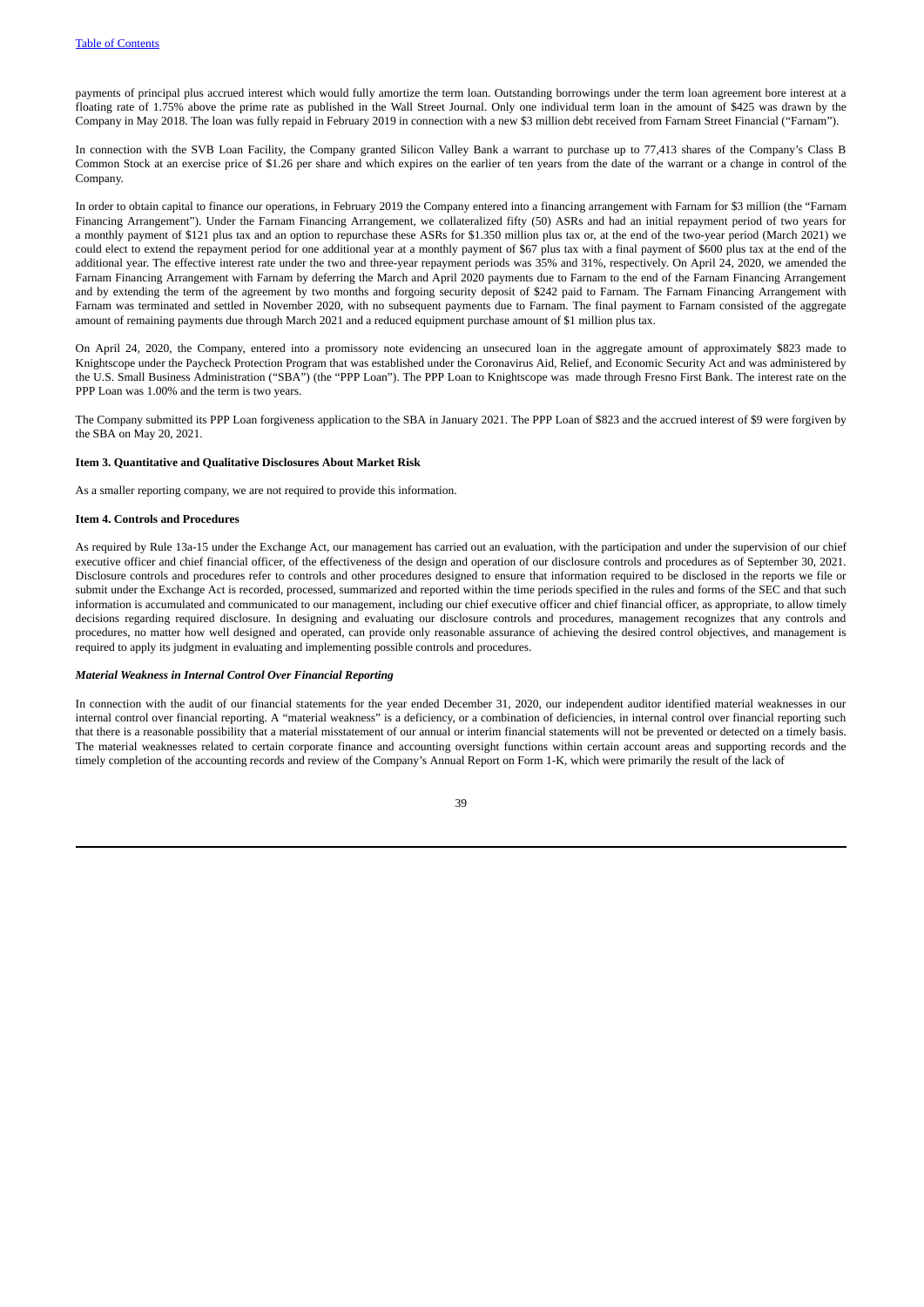payments of principal plus accrued interest which would fully amortize the term loan. Outstanding borrowings under the term loan agreement bore interest at a floating rate of 1.75% above the prime rate as published in the Wall Street Journal. Only one individual term loan in the amount of \$425 was drawn by the Company in May 2018. The loan was fully repaid in February 2019 in connection with a new \$3 million debt received from Farnam Street Financial ("Farnam").

In connection with the SVB Loan Facility, the Company granted Silicon Valley Bank a warrant to purchase up to 77,413 shares of the Company's Class B Common Stock at an exercise price of \$1.26 per share and which expires on the earlier of ten years from the date of the warrant or a change in control of the Company.

In order to obtain capital to finance our operations, in February 2019 the Company entered into a financing arrangement with Farnam for \$3 million (the "Farnam Financing Arrangement"). Under the Farnam Financing Arrangement, we collateralized fifty (50) ASRs and had an initial repayment period of two years for a monthly payment of \$121 plus tax and an option to repurchase these ASRs for \$1.350 million plus tax or, at the end of the two-year period (March 2021) we could elect to extend the repayment period for one additional year at a monthly payment of \$67 plus tax with a final payment of \$600 plus tax at the end of the additional year. The effective interest rate under the two and three-year repayment periods was 35% and 31%, respectively. On April 24, 2020, we amended the Farnam Financing Arrangement with Farnam by deferring the March and April 2020 payments due to Farnam to the end of the Farnam Financing Arrangement and by extending the term of the agreement by two months and forgoing security deposit of \$242 paid to Farnam. The Farnam Financing Arrangement with Farnam was terminated and settled in November 2020, with no subsequent payments due to Farnam. The final payment to Farnam consisted of the aggregate amount of remaining payments due through March 2021 and a reduced equipment purchase amount of \$1 million plus tax.

On April 24, 2020, the Company, entered into a promissory note evidencing an unsecured loan in the aggregate amount of approximately \$823 made to Knightscope under the Paycheck Protection Program that was established under the Coronavirus Aid, Relief, and Economic Security Act and was administered by the U.S. Small Business Administration ("SBA") (the "PPP Loan"). The PPP Loan to Knightscope was made through Fresno First Bank. The interest rate on the PPP Loan was 1.00% and the term is two years.

The Company submitted its PPP Loan forgiveness application to the SBA in January 2021. The PPP Loan of \$823 and the accrued interest of \$9 were forgiven by the SBA on May 20, 2021.

### <span id="page-38-0"></span>**Item 3. Quantitative and Qualitative Disclosures About Market Risk**

As a smaller reporting company, we are not required to provide this information.

# <span id="page-38-1"></span>**Item 4. Controls and Procedures**

As required by Rule 13a-15 under the Exchange Act, our management has carried out an evaluation, with the participation and under the supervision of our chief executive officer and chief financial officer, of the effectiveness of the design and operation of our disclosure controls and procedures as of September 30, 2021. Disclosure controls and procedures refer to controls and other procedures designed to ensure that information required to be disclosed in the reports we file or submit under the Exchange Act is recorded, processed, summarized and reported within the time periods specified in the rules and forms of the SEC and that such information is accumulated and communicated to our management, including our chief executive officer and chief financial officer, as appropriate, to allow timely decisions regarding required disclosure. In designing and evaluating our disclosure controls and procedures, management recognizes that any controls and procedures, no matter how well designed and operated, can provide only reasonable assurance of achieving the desired control objectives, and management is required to apply its judgment in evaluating and implementing possible controls and procedures.

### *Material Weakness in Internal Control Over Financial Reporting*

In connection with the audit of our financial statements for the year ended December 31, 2020, our independent auditor identified material weaknesses in our internal control over financial reporting. A "material weakness" is a deficiency, or a combination of deficiencies, in internal control over financial reporting such that there is a reasonable possibility that a material misstatement of our annual or interim financial statements will not be prevented or detected on a timely basis. The material weaknesses related to certain corporate finance and accounting oversight functions within certain account areas and supporting records and the timely completion of the accounting records and review of the Company's Annual Report on Form 1-K, which were primarily the result of the lack of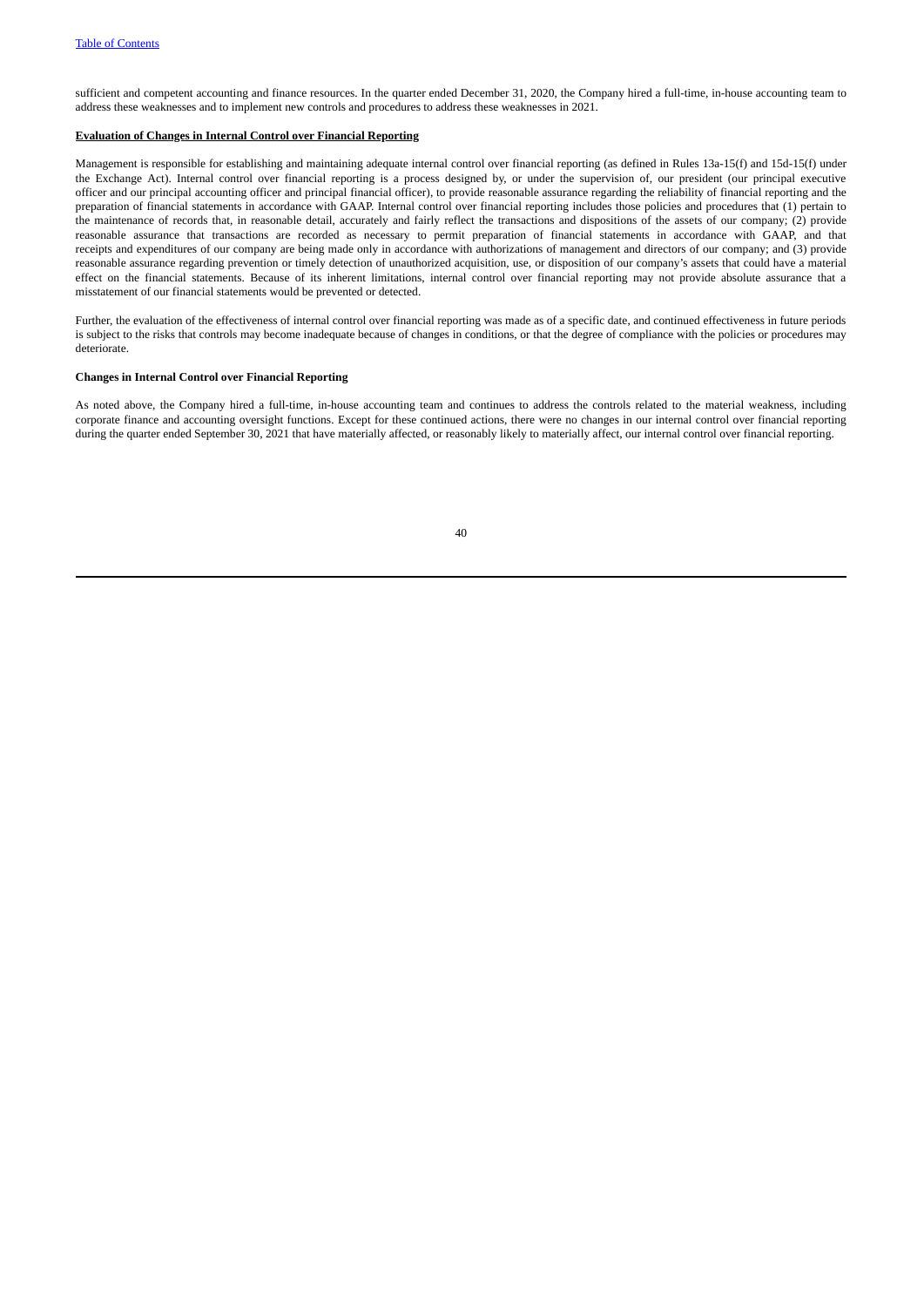sufficient and competent accounting and finance resources. In the quarter ended December 31, 2020, the Company hired a full-time, in-house accounting team to address these weaknesses and to implement new controls and procedures to address these weaknesses in 2021.

# **Evaluation of Changes in Internal Control over Financial Reporting**

Management is responsible for establishing and maintaining adequate internal control over financial reporting (as defined in Rules 13a-15(f) and 15d-15(f) under the Exchange Act). Internal control over financial reporting is a process designed by, or under the supervision of, our president (our principal executive officer and our principal accounting officer and principal financial officer), to provide reasonable assurance regarding the reliability of financial reporting and the preparation of financial statements in accordance with GAAP. Internal control over financial reporting includes those policies and procedures that (1) pertain to the maintenance of records that, in reasonable detail, accurately and fairly reflect the transactions and dispositions of the assets of our company; (2) provide reasonable assurance that transactions are recorded as necessary to permit preparation of financial statements in accordance with GAAP, and that receipts and expenditures of our company are being made only in accordance with authorizations of management and directors of our company; and (3) provide reasonable assurance regarding prevention or timely detection of unauthorized acquisition, use, or disposition of our company's assets that could have a material effect on the financial statements. Because of its inherent limitations, internal control over financial reporting may not provide absolute assurance that a misstatement of our financial statements would be prevented or detected.

Further, the evaluation of the effectiveness of internal control over financial reporting was made as of a specific date, and continued effectiveness in future periods is subject to the risks that controls may become inadequate because of changes in conditions, or that the degree of compliance with the policies or procedures may deteriorate.

### **Changes in Internal Control over Financial Reporting**

As noted above, the Company hired a full-time, in-house accounting team and continues to address the controls related to the material weakness, including corporate finance and accounting oversight functions. Except for these continued actions, there were no changes in our internal control over financial reporting during the quarter ended September 30, 2021 that have materially affected, or reasonably likely to materially affect, our internal control over financial reporting.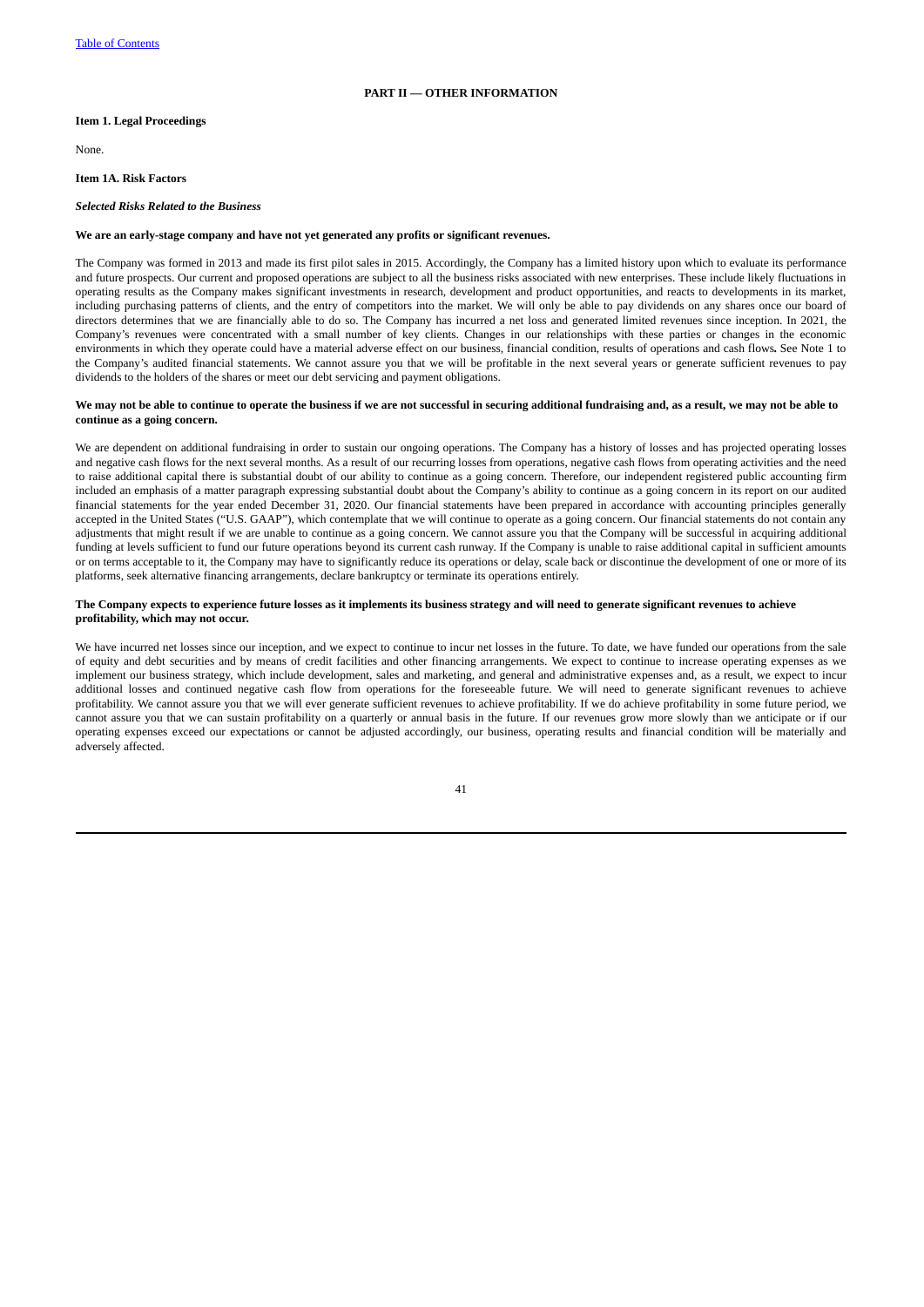# **PART II — OTHER INFORMATION**

### <span id="page-40-1"></span><span id="page-40-0"></span>**Item 1. Legal Proceedings**

None.

# <span id="page-40-2"></span>**Item 1A. Risk Factors**

#### *Selected Risks Related to the Business*

## **We are an early-stage company and have not yet generated any profits or significant revenues.**

The Company was formed in 2013 and made its first pilot sales in 2015. Accordingly, the Company has a limited history upon which to evaluate its performance and future prospects. Our current and proposed operations are subject to all the business risks associated with new enterprises. These include likely fluctuations in operating results as the Company makes significant investments in research, development and product opportunities, and reacts to developments in its market, including purchasing patterns of clients, and the entry of competitors into the market. We will only be able to pay dividends on any shares once our board of directors determines that we are financially able to do so. The Company has incurred a net loss and generated limited revenues since inception. In 2021, the Company's revenues were concentrated with a small number of key clients. Changes in our relationships with these parties or changes in the economic environments in which they operate could have a material adverse effect on our business, financial condition, results of operations and cash flows*.* See Note 1 to the Company's audited financial statements. We cannot assure you that we will be profitable in the next several years or generate sufficient revenues to pay dividends to the holders of the shares or meet our debt servicing and payment obligations.

### We may not be able to continue to operate the business if we are not successful in securing additional fundraising and, as a result, we may not be able to **continue as a going concern.**

We are dependent on additional fundraising in order to sustain our ongoing operations. The Company has a history of losses and has projected operating losses and negative cash flows for the next several months. As a result of our recurring losses from operations, negative cash flows from operating activities and the need to raise additional capital there is substantial doubt of our ability to continue as a going concern. Therefore, our independent registered public accounting firm included an emphasis of a matter paragraph expressing substantial doubt about the Company's ability to continue as a going concern in its report on our audited financial statements for the year ended December 31, 2020. Our financial statements have been prepared in accordance with accounting principles generally accepted in the United States ("U.S. GAAP"), which contemplate that we will continue to operate as a going concern. Our financial statements do not contain any adjustments that might result if we are unable to continue as a going concern. We cannot assure you that the Company will be successful in acquiring additional funding at levels sufficient to fund our future operations beyond its current cash runway. If the Company is unable to raise additional capital in sufficient amounts or on terms acceptable to it, the Company may have to significantly reduce its operations or delay, scale back or discontinue the development of one or more of its platforms, seek alternative financing arrangements, declare bankruptcy or terminate its operations entirely.

# The Company expects to experience future losses as it implements its business strategy and will need to generate significant revenues to achieve **profitability, which may not occur.**

We have incurred net losses since our inception, and we expect to continue to incur net losses in the future. To date, we have funded our operations from the sale of equity and debt securities and by means of credit facilities and other financing arrangements. We expect to continue to increase operating expenses as we implement our business strategy, which include development, sales and marketing, and general and administrative expenses and, as a result, we expect to incur additional losses and continued negative cash flow from operations for the foreseeable future. We will need to generate significant revenues to achieve profitability. We cannot assure you that we will ever generate sufficient revenues to achieve profitability. If we do achieve profitability in some future period, we cannot assure you that we can sustain profitability on a quarterly or annual basis in the future. If our revenues grow more slowly than we anticipate or if our operating expenses exceed our expectations or cannot be adjusted accordingly, our business, operating results and financial condition will be materially and adversely affected.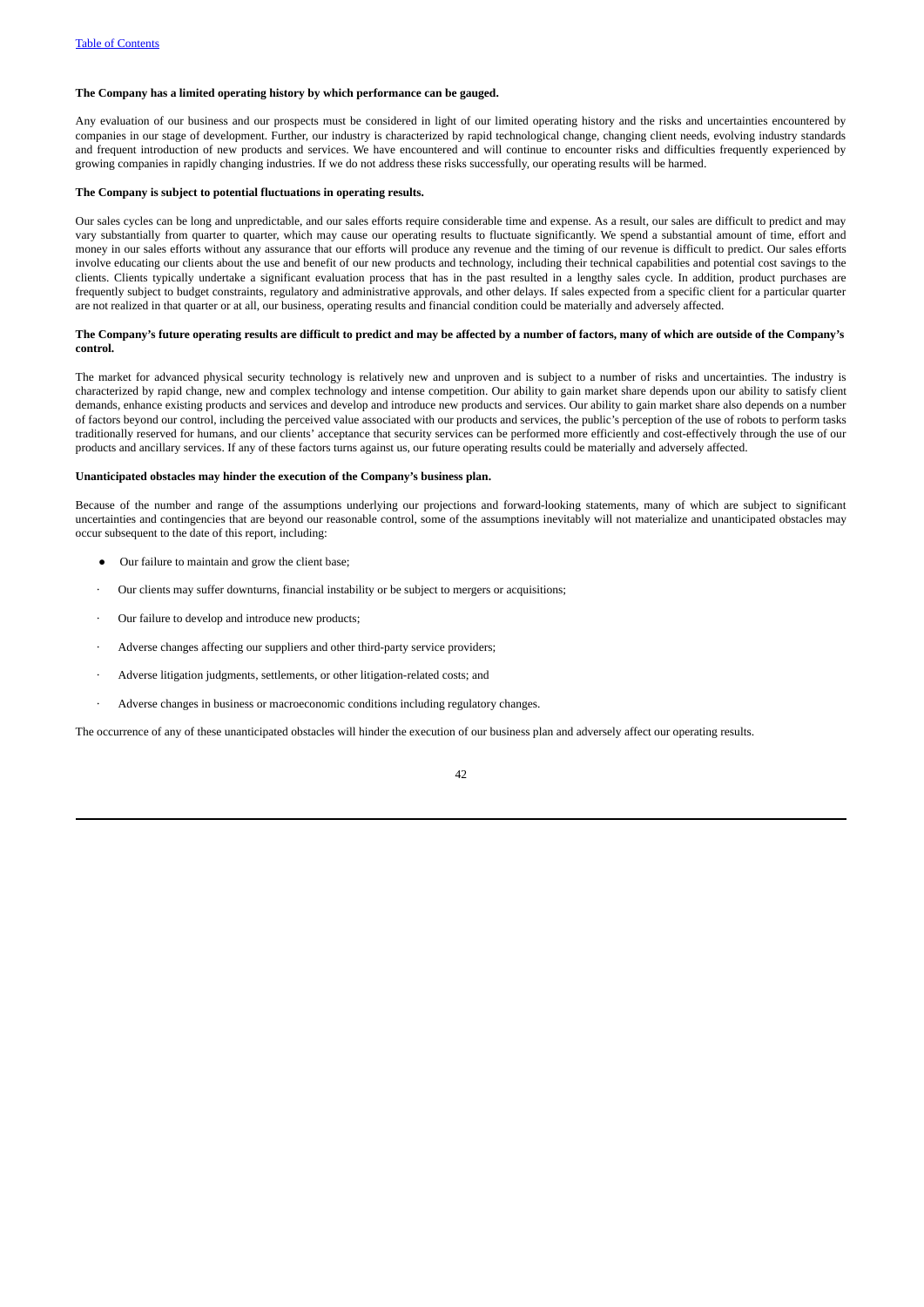# **The Company has a limited operating history by which performance can be gauged.**

Any evaluation of our business and our prospects must be considered in light of our limited operating history and the risks and uncertainties encountered by companies in our stage of development. Further, our industry is characterized by rapid technological change, changing client needs, evolving industry standards and frequent introduction of new products and services. We have encountered and will continue to encounter risks and difficulties frequently experienced by growing companies in rapidly changing industries. If we do not address these risks successfully, our operating results will be harmed.

# **The Company is subject to potential fluctuations in operating results.**

Our sales cycles can be long and unpredictable, and our sales efforts require considerable time and expense. As a result, our sales are difficult to predict and may vary substantially from quarter to quarter, which may cause our operating results to fluctuate significantly. We spend a substantial amount of time, effort and money in our sales efforts without any assurance that our efforts will produce any revenue and the timing of our revenue is difficult to predict. Our sales efforts involve educating our clients about the use and benefit of our new products and technology, including their technical capabilities and potential cost savings to the clients. Clients typically undertake a significant evaluation process that has in the past resulted in a lengthy sales cycle. In addition, product purchases are frequently subject to budget constraints, regulatory and administrative approvals, and other delays. If sales expected from a specific client for a particular quarter are not realized in that quarter or at all, our business, operating results and financial condition could be materially and adversely affected.

# The Company's future operating results are difficult to predict and may be affected by a number of factors, many of which are outside of the Company's **control.**

The market for advanced physical security technology is relatively new and unproven and is subject to a number of risks and uncertainties. The industry is characterized by rapid change, new and complex technology and intense competition. Our ability to gain market share depends upon our ability to satisfy client demands, enhance existing products and services and develop and introduce new products and services. Our ability to gain market share also depends on a number of factors beyond our control, including the perceived value associated with our products and services, the public's perception of the use of robots to perform tasks traditionally reserved for humans, and our clients' acceptance that security services can be performed more efficiently and cost-effectively through the use of our products and ancillary services. If any of these factors turns against us, our future operating results could be materially and adversely affected.

### **Unanticipated obstacles may hinder the execution of the Company's business plan.**

Because of the number and range of the assumptions underlying our projections and forward-looking statements, many of which are subject to significant uncertainties and contingencies that are beyond our reasonable control, some of the assumptions inevitably will not materialize and unanticipated obstacles may occur subsequent to the date of this report, including:

- Our failure to maintain and grow the client base;
- · Our clients may suffer downturns, financial instability or be subject to mergers or acquisitions;
- Our failure to develop and introduce new products;
- Adverse changes affecting our suppliers and other third-party service providers;
- · Adverse litigation judgments, settlements, or other litigation-related costs; and
- Adverse changes in business or macroeconomic conditions including regulatory changes.

The occurrence of any of these unanticipated obstacles will hinder the execution of our business plan and adversely affect our operating results.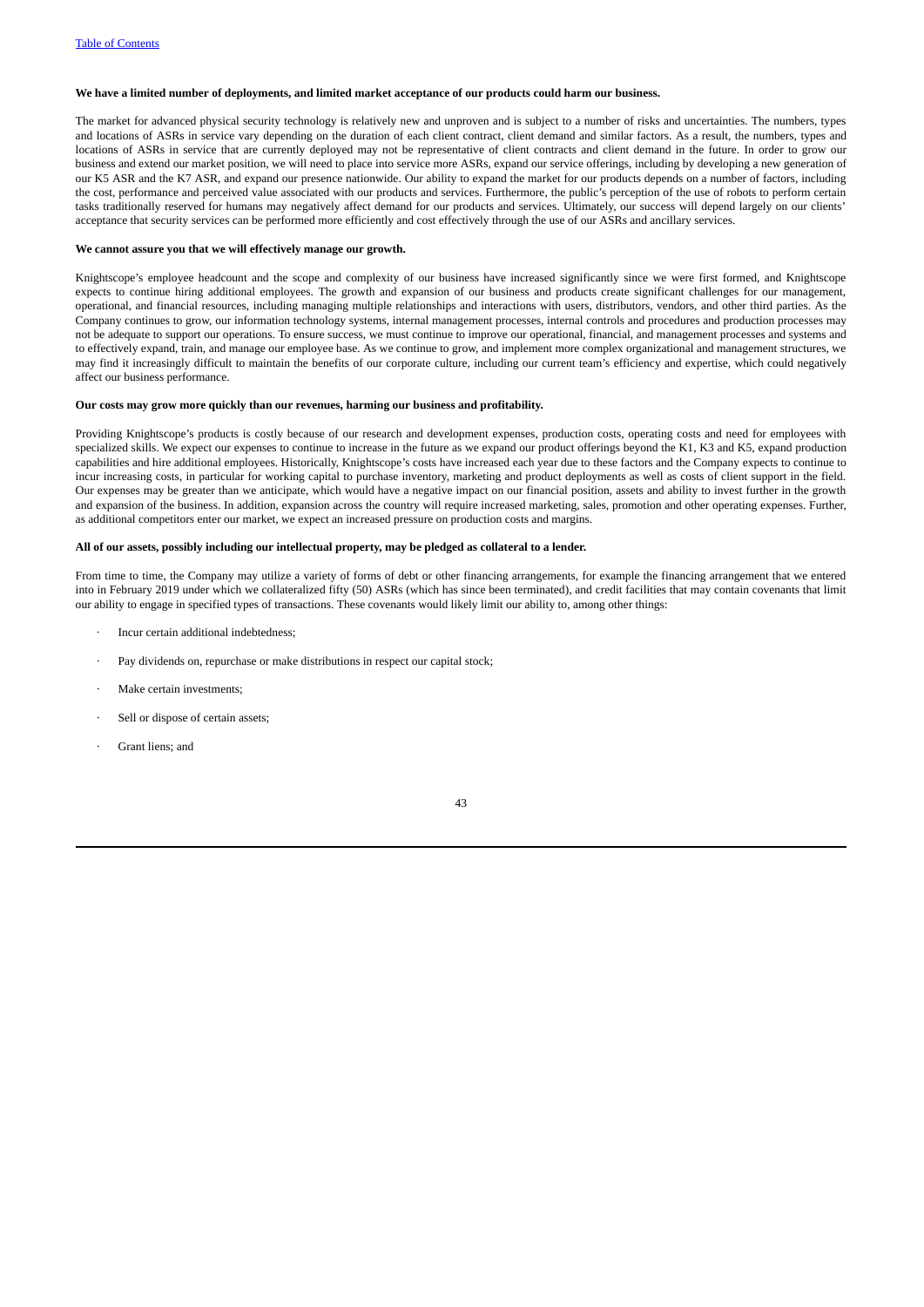# We have a limited number of deployments, and limited market acceptance of our products could harm our business.

The market for advanced physical security technology is relatively new and unproven and is subject to a number of risks and uncertainties. The numbers, types and locations of ASRs in service vary depending on the duration of each client contract, client demand and similar factors. As a result, the numbers, types and locations of ASRs in service that are currently deployed may not be representative of client contracts and client demand in the future. In order to grow our business and extend our market position, we will need to place into service more ASRs, expand our service offerings, including by developing a new generation of our K5 ASR and the K7 ASR, and expand our presence nationwide. Our ability to expand the market for our products depends on a number of factors, including the cost, performance and perceived value associated with our products and services. Furthermore, the public's perception of the use of robots to perform certain tasks traditionally reserved for humans may negatively affect demand for our products and services. Ultimately, our success will depend largely on our clients' acceptance that security services can be performed more efficiently and cost effectively through the use of our ASRs and ancillary services.

# **We cannot assure you that we will effectively manage our growth.**

Knightscope's employee headcount and the scope and complexity of our business have increased significantly since we were first formed, and Knightscope expects to continue hiring additional employees. The growth and expansion of our business and products create significant challenges for our management, operational, and financial resources, including managing multiple relationships and interactions with users, distributors, vendors, and other third parties. As the Company continues to grow, our information technology systems, internal management processes, internal controls and procedures and production processes may not be adequate to support our operations. To ensure success, we must continue to improve our operational, financial, and management processes and systems and to effectively expand, train, and manage our employee base. As we continue to grow, and implement more complex organizational and management structures, we may find it increasingly difficult to maintain the benefits of our corporate culture, including our current team's efficiency and expertise, which could negatively affect our business performance.

### **Our costs may grow more quickly than our revenues, harming our business and profitability.**

Providing Knightscope's products is costly because of our research and development expenses, production costs, operating costs and need for employees with specialized skills. We expect our expenses to continue to increase in the future as we expand our product offerings beyond the K1, K3 and K5, expand production capabilities and hire additional employees. Historically, Knightscope's costs have increased each year due to these factors and the Company expects to continue to incur increasing costs, in particular for working capital to purchase inventory, marketing and product deployments as well as costs of client support in the field. Our expenses may be greater than we anticipate, which would have a negative impact on our financial position, assets and ability to invest further in the growth and expansion of the business. In addition, expansion across the country will require increased marketing, sales, promotion and other operating expenses. Further, as additional competitors enter our market, we expect an increased pressure on production costs and margins.

#### All of our assets, possibly including our intellectual property, may be pledged as collateral to a lender.

From time to time, the Company may utilize a variety of forms of debt or other financing arrangements, for example the financing arrangement that we entered into in February 2019 under which we collateralized fifty (50) ASRs (which has since been terminated), and credit facilities that may contain covenants that limit our ability to engage in specified types of transactions. These covenants would likely limit our ability to, among other things:

- · Incur certain additional indebtedness;
- Pay dividends on, repurchase or make distributions in respect our capital stock;
- · Make certain investments;
- Sell or dispose of certain assets;
- Grant liens: and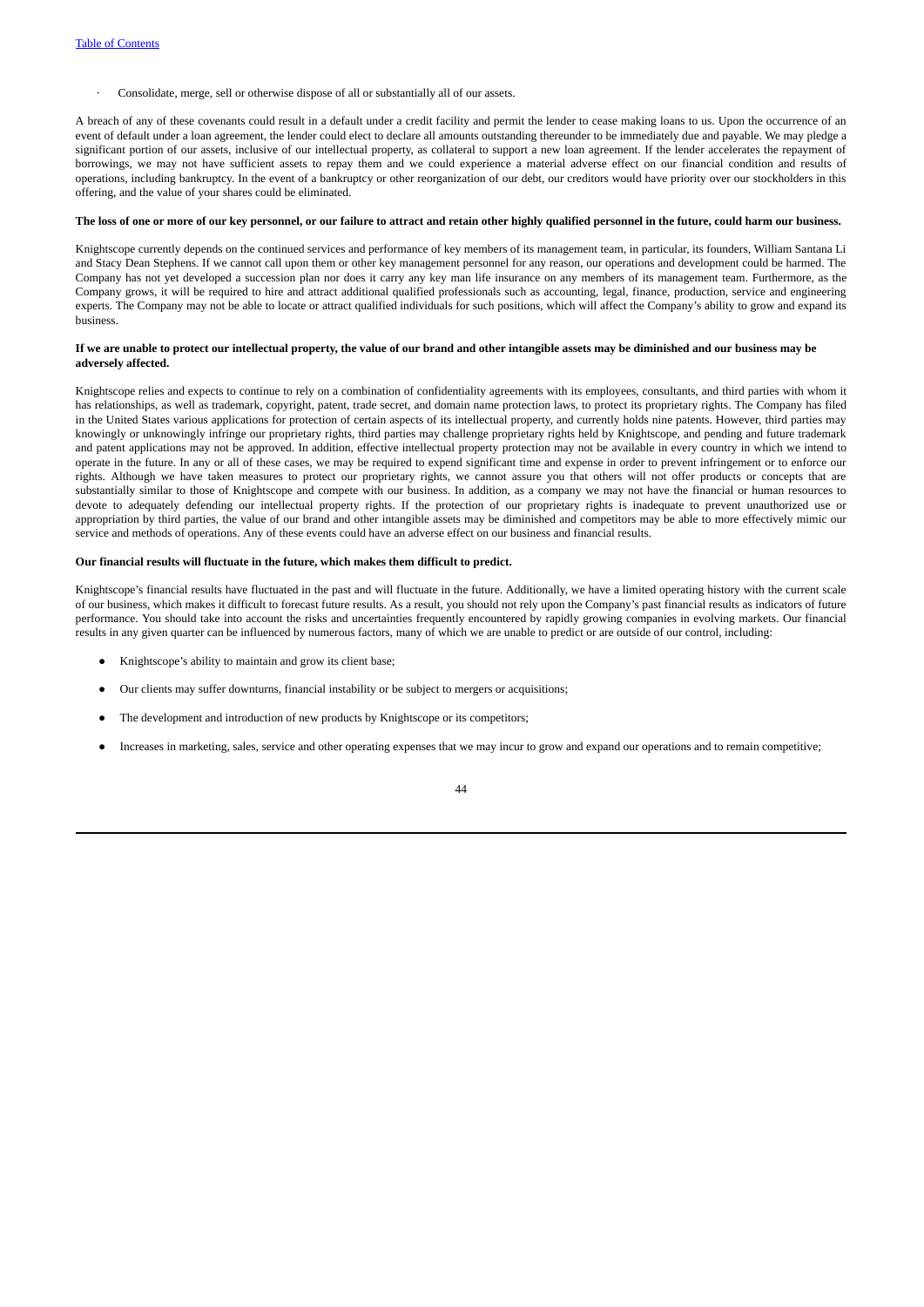· Consolidate, merge, sell or otherwise dispose of all or substantially all of our assets.

A breach of any of these covenants could result in a default under a credit facility and permit the lender to cease making loans to us. Upon the occurrence of an event of default under a loan agreement, the lender could elect to declare all amounts outstanding thereunder to be immediately due and payable. We may pledge a significant portion of our assets, inclusive of our intellectual property, as collateral to support a new loan agreement. If the lender accelerates the repayment of borrowings, we may not have sufficient assets to repay them and we could experience a material adverse effect on our financial condition and results of operations, including bankruptcy. In the event of a bankruptcy or other reorganization of our debt, our creditors would have priority over our stockholders in this offering, and the value of your shares could be eliminated.

#### The loss of one or more of our key personnel, or our failure to attract and retain other highly qualified personnel in the future, could harm our business.

Knightscope currently depends on the continued services and performance of key members of its management team, in particular, its founders, William Santana Li and Stacy Dean Stephens. If we cannot call upon them or other key management personnel for any reason, our operations and development could be harmed. The Company has not yet developed a succession plan nor does it carry any key man life insurance on any members of its management team. Furthermore, as the Company grows, it will be required to hire and attract additional qualified professionals such as accounting, legal, finance, production, service and engineering experts. The Company may not be able to locate or attract qualified individuals for such positions, which will affect the Company's ability to grow and expand its business.

### If we are unable to protect our intellectual property, the value of our brand and other intangible assets may be diminished and our business may be **adversely affected.**

Knightscope relies and expects to continue to rely on a combination of confidentiality agreements with its employees, consultants, and third parties with whom it has relationships, as well as trademark, copyright, patent, trade secret, and domain name protection laws, to protect its proprietary rights. The Company has filed in the United States various applications for protection of certain aspects of its intellectual property, and currently holds nine patents. However, third parties may knowingly or unknowingly infringe our proprietary rights, third parties may challenge proprietary rights held by Knightscope, and pending and future trademark and patent applications may not be approved. In addition, effective intellectual property protection may not be available in every country in which we intend to operate in the future. In any or all of these cases, we may be required to expend significant time and expense in order to prevent infringement or to enforce our rights. Although we have taken measures to protect our proprietary rights, we cannot assure you that others will not offer products or concepts that are substantially similar to those of Knightscope and compete with our business. In addition, as a company we may not have the financial or human resources to devote to adequately defending our intellectual property rights. If the protection of our proprietary rights is inadequate to prevent unauthorized use or appropriation by third parties, the value of our brand and other intangible assets may be diminished and competitors may be able to more effectively mimic our service and methods of operations. Any of these events could have an adverse effect on our business and financial results.

### **Our financial results will fluctuate in the future, which makes them difficult to predict.**

Knightscope's financial results have fluctuated in the past and will fluctuate in the future. Additionally, we have a limited operating history with the current scale of our business, which makes it difficult to forecast future results. As a result, you should not rely upon the Company's past financial results as indicators of future performance. You should take into account the risks and uncertainties frequently encountered by rapidly growing companies in evolving markets. Our financial results in any given quarter can be influenced by numerous factors, many of which we are unable to predict or are outside of our control, including:

- Knightscope's ability to maintain and grow its client base;
- Our clients may suffer downturns, financial instability or be subject to mergers or acquisitions;
- The development and introduction of new products by Knightscope or its competitors;
- Increases in marketing, sales, service and other operating expenses that we may incur to grow and expand our operations and to remain competitive;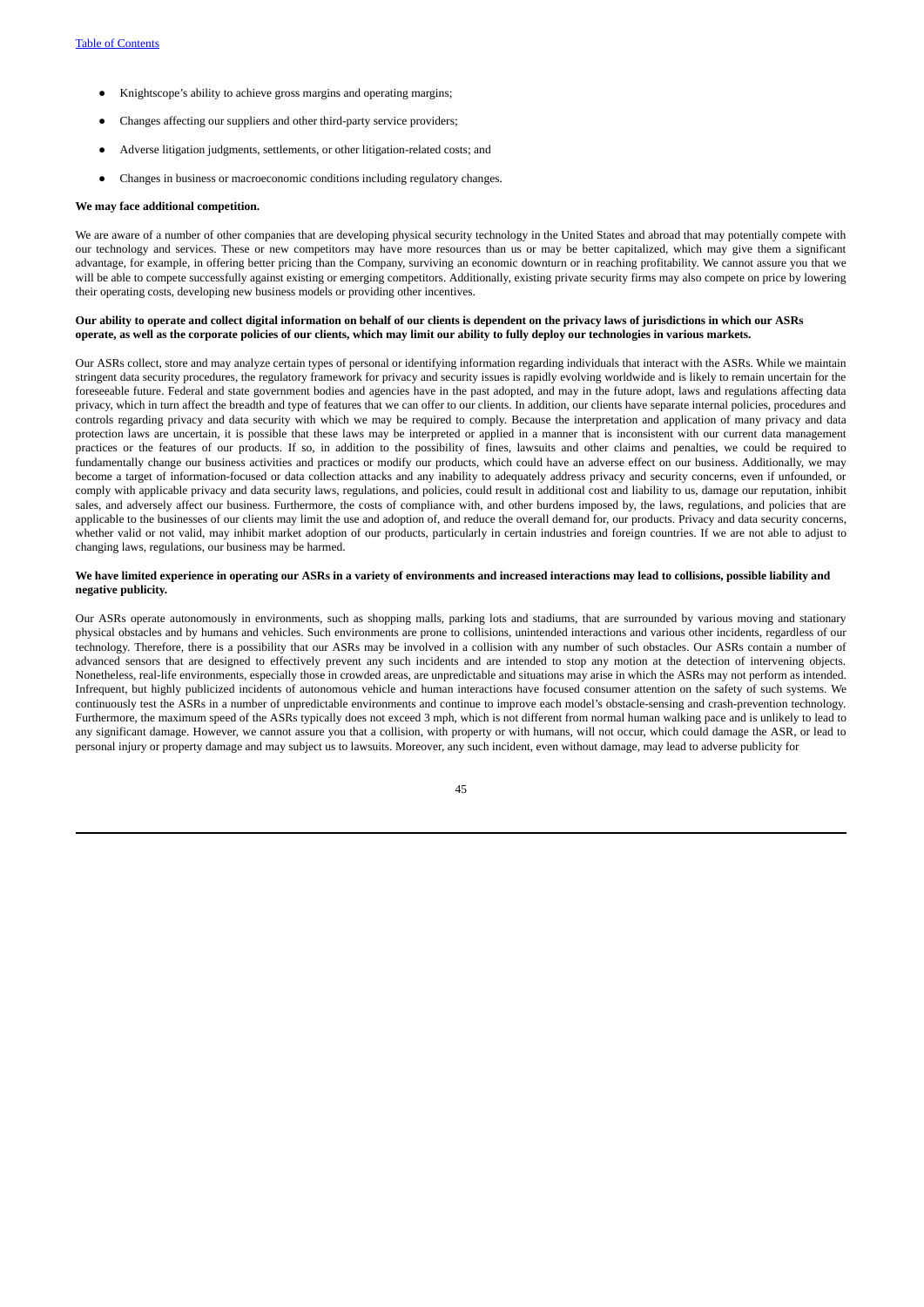- Knightscope's ability to achieve gross margins and operating margins;
- Changes affecting our suppliers and other third-party service providers;
- Adverse litigation judgments, settlements, or other litigation-related costs; and
- Changes in business or macroeconomic conditions including regulatory changes.

#### **We may face additional competition.**

We are aware of a number of other companies that are developing physical security technology in the United States and abroad that may potentially compete with our technology and services. These or new competitors may have more resources than us or may be better capitalized, which may give them a significant advantage, for example, in offering better pricing than the Company, surviving an economic downturn or in reaching profitability. We cannot assure you that we will be able to compete successfully against existing or emerging competitors. Additionally, existing private security firms may also compete on price by lowering their operating costs, developing new business models or providing other incentives.

### Our ability to operate and collect digital information on behalf of our clients is dependent on the privacy laws of jurisdictions in which our ASRs operate, as well as the corporate policies of our clients, which may limit our ability to fully deploy our technologies in various markets.

Our ASRs collect, store and may analyze certain types of personal or identifying information regarding individuals that interact with the ASRs. While we maintain stringent data security procedures, the regulatory framework for privacy and security issues is rapidly evolving worldwide and is likely to remain uncertain for the foreseeable future. Federal and state government bodies and agencies have in the past adopted, and may in the future adopt, laws and regulations affecting data privacy, which in turn affect the breadth and type of features that we can offer to our clients. In addition, our clients have separate internal policies, procedures and controls regarding privacy and data security with which we may be required to comply. Because the interpretation and application of many privacy and data protection laws are uncertain, it is possible that these laws may be interpreted or applied in a manner that is inconsistent with our current data management practices or the features of our products. If so, in addition to the possibility of fines, lawsuits and other claims and penalties, we could be required to fundamentally change our business activities and practices or modify our products, which could have an adverse effect on our business. Additionally, we may become a target of information-focused or data collection attacks and any inability to adequately address privacy and security concerns, even if unfounded, or comply with applicable privacy and data security laws, regulations, and policies, could result in additional cost and liability to us, damage our reputation, inhibit sales, and adversely affect our business. Furthermore, the costs of compliance with, and other burdens imposed by, the laws, regulations, and policies that are applicable to the businesses of our clients may limit the use and adoption of, and reduce the overall demand for, our products. Privacy and data security concerns, whether valid or not valid, may inhibit market adoption of our products, particularly in certain industries and foreign countries. If we are not able to adjust to changing laws, regulations, our business may be harmed.

## We have limited experience in operating our ASRs in a variety of environments and increased interactions may lead to collisions, possible liability and **negative publicity.**

Our ASRs operate autonomously in environments, such as shopping malls, parking lots and stadiums, that are surrounded by various moving and stationary physical obstacles and by humans and vehicles. Such environments are prone to collisions, unintended interactions and various other incidents, regardless of our technology. Therefore, there is a possibility that our ASRs may be involved in a collision with any number of such obstacles. Our ASRs contain a number of advanced sensors that are designed to effectively prevent any such incidents and are intended to stop any motion at the detection of intervening objects. Nonetheless, real-life environments, especially those in crowded areas, are unpredictable and situations may arise in which the ASRs may not perform as intended. Infrequent, but highly publicized incidents of autonomous vehicle and human interactions have focused consumer attention on the safety of such systems. We continuously test the ASRs in a number of unpredictable environments and continue to improve each model's obstacle-sensing and crash-prevention technology. Furthermore, the maximum speed of the ASRs typically does not exceed 3 mph, which is not different from normal human walking pace and is unlikely to lead to any significant damage. However, we cannot assure you that a collision, with property or with humans, will not occur, which could damage the ASR, or lead to personal injury or property damage and may subject us to lawsuits. Moreover, any such incident, even without damage, may lead to adverse publicity for

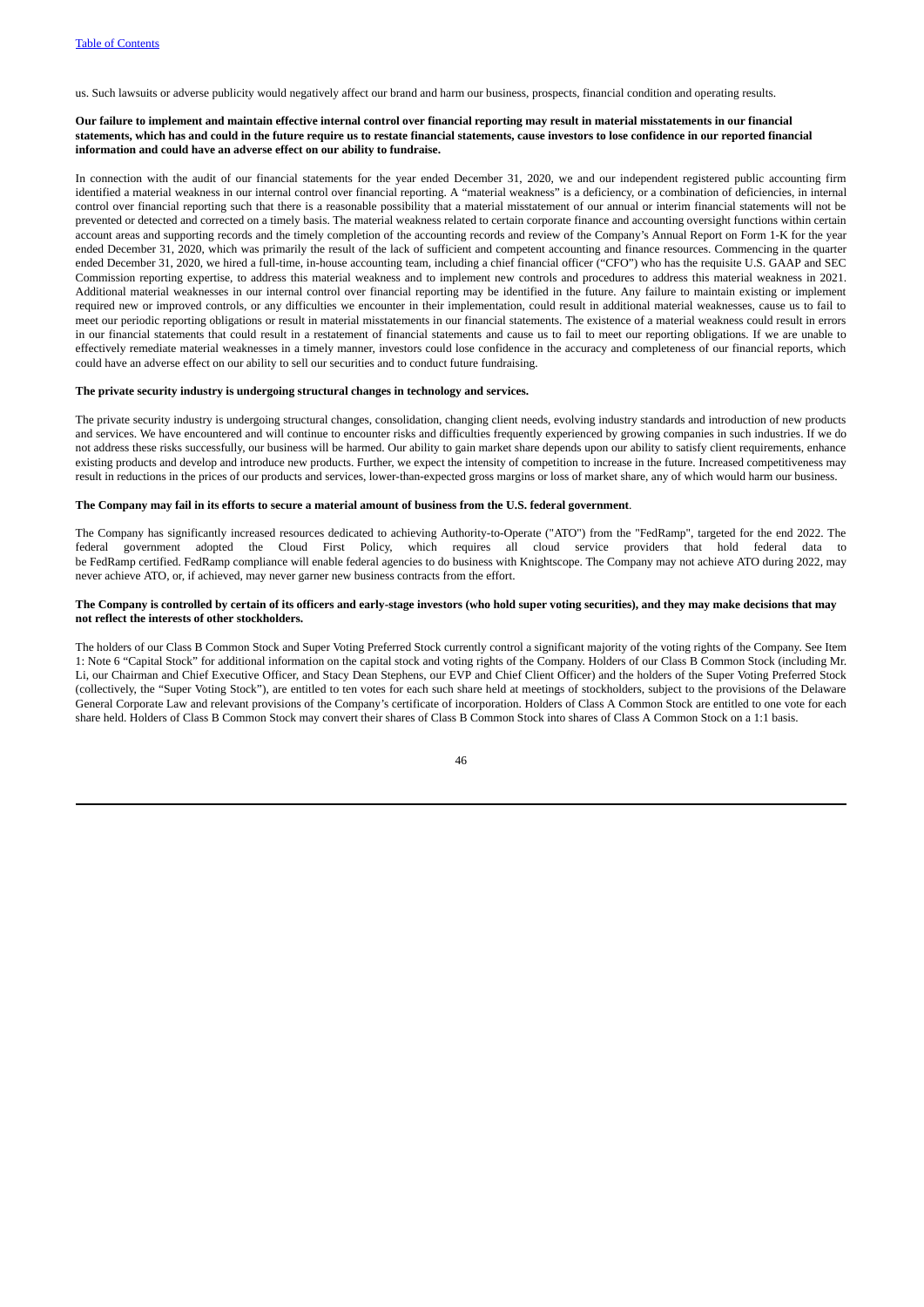us. Such lawsuits or adverse publicity would negatively affect our brand and harm our business, prospects, financial condition and operating results.

#### Our failure to implement and maintain effective internal control over financial reporting may result in material misstatements in our financial statements, which has and could in the future require us to restate financial statements, cause investors to lose confidence in our reported financial **information and could have an adverse effect on our ability to fundraise.**

In connection with the audit of our financial statements for the year ended December 31, 2020, we and our independent registered public accounting firm identified a material weakness in our internal control over financial reporting. A "material weakness" is a deficiency, or a combination of deficiencies, in internal control over financial reporting such that there is a reasonable possibility that a material misstatement of our annual or interim financial statements will not be prevented or detected and corrected on a timely basis. The material weakness related to certain corporate finance and accounting oversight functions within certain account areas and supporting records and the timely completion of the accounting records and review of the Company's Annual Report on Form 1-K for the year ended December 31, 2020, which was primarily the result of the lack of sufficient and competent accounting and finance resources. Commencing in the quarter ended December 31, 2020, we hired a full-time, in-house accounting team, including a chief financial officer ("CFO") who has the requisite U.S. GAAP and SEC Commission reporting expertise, to address this material weakness and to implement new controls and procedures to address this material weakness in 2021. Additional material weaknesses in our internal control over financial reporting may be identified in the future. Any failure to maintain existing or implement required new or improved controls, or any difficulties we encounter in their implementation, could result in additional material weaknesses, cause us to fail to meet our periodic reporting obligations or result in material misstatements in our financial statements. The existence of a material weakness could result in errors in our financial statements that could result in a restatement of financial statements and cause us to fail to meet our reporting obligations. If we are unable to effectively remediate material weaknesses in a timely manner, investors could lose confidence in the accuracy and completeness of our financial reports, which could have an adverse effect on our ability to sell our securities and to conduct future fundraising.

#### **The private security industry is undergoing structural changes in technology and services.**

The private security industry is undergoing structural changes, consolidation, changing client needs, evolving industry standards and introduction of new products and services. We have encountered and will continue to encounter risks and difficulties frequently experienced by growing companies in such industries. If we do not address these risks successfully, our business will be harmed. Our ability to gain market share depends upon our ability to satisfy client requirements, enhance existing products and develop and introduce new products. Further, we expect the intensity of competition to increase in the future. Increased competitiveness may result in reductions in the prices of our products and services, lower-than-expected gross margins or loss of market share, any of which would harm our business.

# The Company may fail in its efforts to secure a material amount of business from the U.S. federal government.

The Company has significantly increased resources dedicated to achieving Authority-to-Operate ("ATO") from the "FedRamp", targeted for the end 2022. The federal government adopted the Cloud First Policy, which requires all cloud service providers that hold federal data to be FedRamp certified. FedRamp compliance will enable federal agencies to do business with Knightscope. The Company may not achieve ATO during 2022, may never achieve ATO, or, if achieved, may never garner new business contracts from the effort.

## The Company is controlled by certain of its officers and early-stage investors (who hold super voting securities), and they may make decisions that may **not reflect the interests of other stockholders.**

The holders of our Class B Common Stock and Super Voting Preferred Stock currently control a significant majority of the voting rights of the Company. See Item 1: Note 6 "Capital Stock" for additional information on the capital stock and voting rights of the Company. Holders of our Class B Common Stock (including Mr. Li, our Chairman and Chief Executive Officer, and Stacy Dean Stephens, our EVP and Chief Client Officer) and the holders of the Super Voting Preferred Stock (collectively, the "Super Voting Stock"), are entitled to ten votes for each such share held at meetings of stockholders, subject to the provisions of the Delaware General Corporate Law and relevant provisions of the Company's certificate of incorporation. Holders of Class A Common Stock are entitled to one vote for each share held. Holders of Class B Common Stock may convert their shares of Class B Common Stock into shares of Class A Common Stock on a 1:1 basis.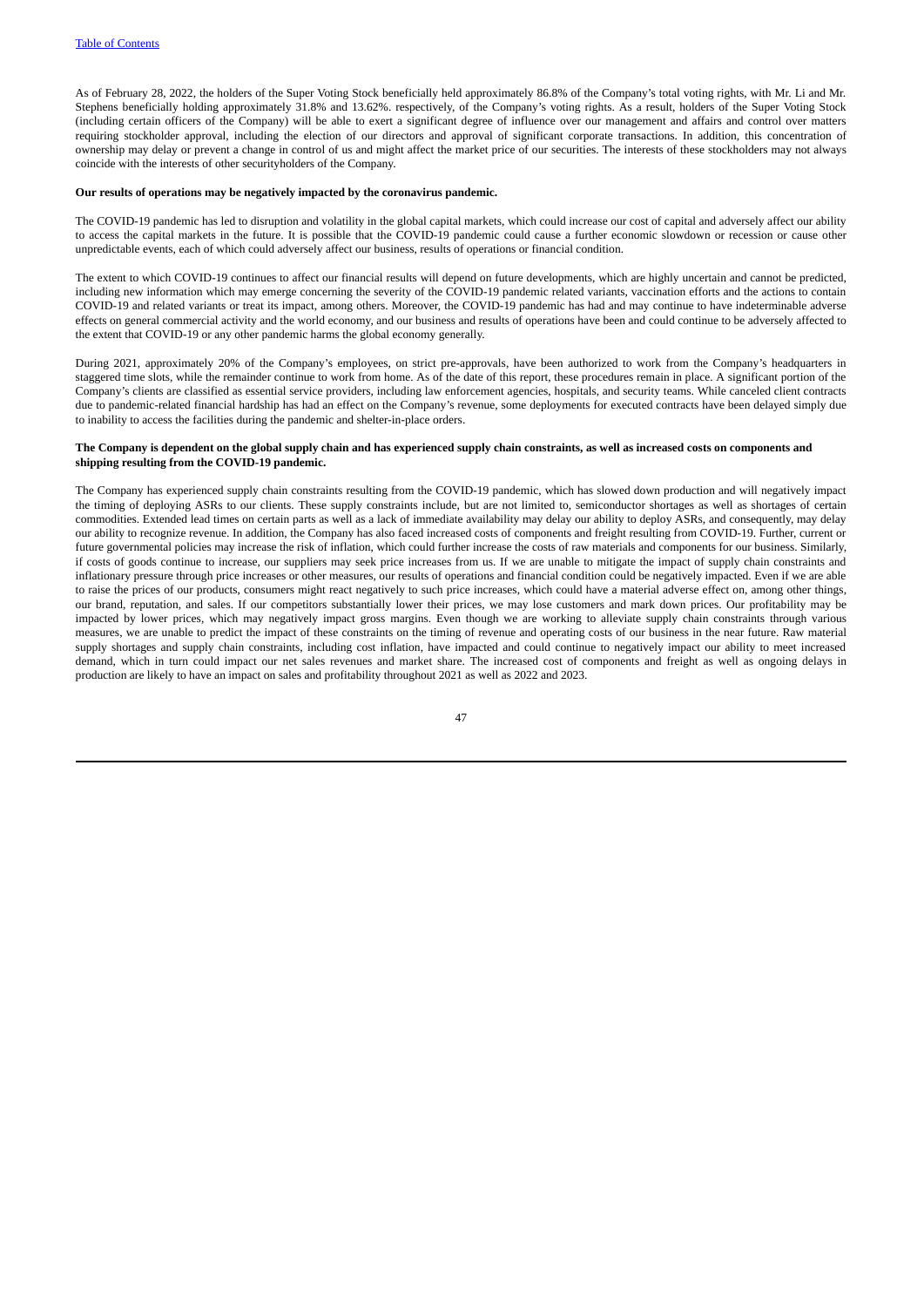As of February 28, 2022, the holders of the Super Voting Stock beneficially held approximately 86.8% of the Company's total voting rights, with Mr. Li and Mr. Stephens beneficially holding approximately 31.8% and 13.62%. respectively, of the Company's voting rights. As a result, holders of the Super Voting Stock (including certain officers of the Company) will be able to exert a significant degree of influence over our management and affairs and control over matters requiring stockholder approval, including the election of our directors and approval of significant corporate transactions. In addition, this concentration of ownership may delay or prevent a change in control of us and might affect the market price of our securities. The interests of these stockholders may not always coincide with the interests of other securityholders of the Company.

### **Our results of operations may be negatively impacted by the coronavirus pandemic.**

The COVID-19 pandemic has led to disruption and volatility in the global capital markets, which could increase our cost of capital and adversely affect our ability to access the capital markets in the future. It is possible that the COVID-19 pandemic could cause a further economic slowdown or recession or cause other unpredictable events, each of which could adversely affect our business, results of operations or financial condition.

The extent to which COVID-19 continues to affect our financial results will depend on future developments, which are highly uncertain and cannot be predicted, including new information which may emerge concerning the severity of the COVID-19 pandemic related variants, vaccination efforts and the actions to contain COVID-19 and related variants or treat its impact, among others. Moreover, the COVID-19 pandemic has had and may continue to have indeterminable adverse effects on general commercial activity and the world economy, and our business and results of operations have been and could continue to be adversely affected to the extent that COVID-19 or any other pandemic harms the global economy generally.

During 2021, approximately 20% of the Company's employees, on strict pre-approvals, have been authorized to work from the Company's headquarters in staggered time slots, while the remainder continue to work from home. As of the date of this report, these procedures remain in place. A significant portion of the Company's clients are classified as essential service providers, including law enforcement agencies, hospitals, and security teams. While canceled client contracts due to pandemic-related financial hardship has had an effect on the Company's revenue, some deployments for executed contracts have been delayed simply due to inability to access the facilities during the pandemic and shelter-in-place orders.

## The Company is dependent on the global supply chain and has experienced supply chain constraints, as well as increased costs on components and **shipping resulting from the COVID-19 pandemic.**

The Company has experienced supply chain constraints resulting from the COVID-19 pandemic, which has slowed down production and will negatively impact the timing of deploying ASRs to our clients. These supply constraints include, but are not limited to, semiconductor shortages as well as shortages of certain commodities. Extended lead times on certain parts as well as a lack of immediate availability may delay our ability to deploy ASRs, and consequently, may delay our ability to recognize revenue. In addition, the Company has also faced increased costs of components and freight resulting from COVID-19. Further, current or future governmental policies may increase the risk of inflation, which could further increase the costs of raw materials and components for our business. Similarly, if costs of goods continue to increase, our suppliers may seek price increases from us. If we are unable to mitigate the impact of supply chain constraints and inflationary pressure through price increases or other measures, our results of operations and financial condition could be negatively impacted. Even if we are able to raise the prices of our products, consumers might react negatively to such price increases, which could have a material adverse effect on, among other things, our brand, reputation, and sales. If our competitors substantially lower their prices, we may lose customers and mark down prices. Our profitability may be impacted by lower prices, which may negatively impact gross margins. Even though we are working to alleviate supply chain constraints through various measures, we are unable to predict the impact of these constraints on the timing of revenue and operating costs of our business in the near future. Raw material supply shortages and supply chain constraints, including cost inflation, have impacted and could continue to negatively impact our ability to meet increased demand, which in turn could impact our net sales revenues and market share. The increased cost of components and freight as well as ongoing delays in production are likely to have an impact on sales and profitability throughout 2021 as well as 2022 and 2023.

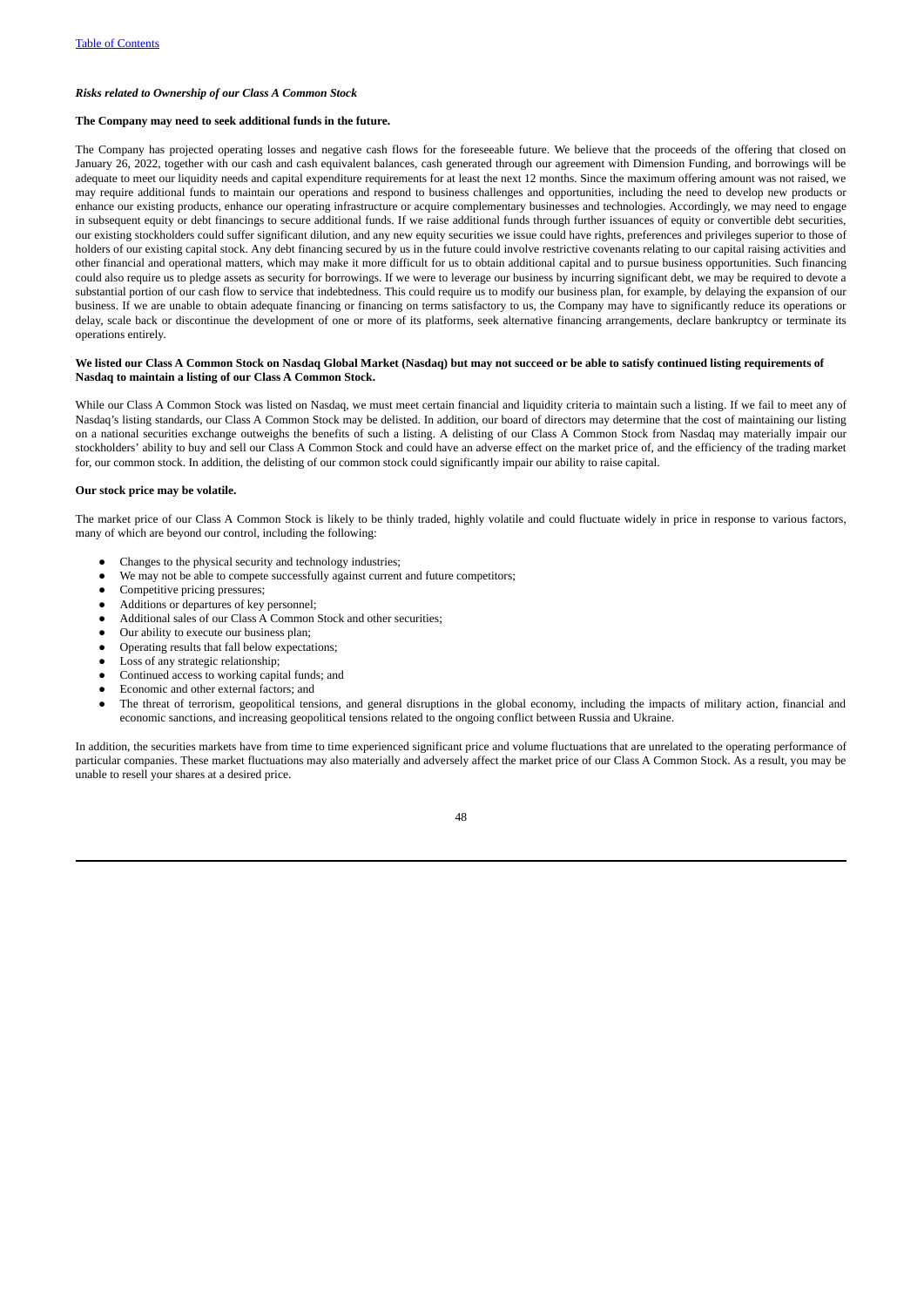# *Risks related to Ownership of our Class A Common Stock*

### **The Company may need to seek additional funds in the future.**

The Company has projected operating losses and negative cash flows for the foreseeable future. We believe that the proceeds of the offering that closed on January 26, 2022, together with our cash and cash equivalent balances, cash generated through our agreement with Dimension Funding, and borrowings will be adequate to meet our liquidity needs and capital expenditure requirements for at least the next 12 months. Since the maximum offering amount was not raised, we may require additional funds to maintain our operations and respond to business challenges and opportunities, including the need to develop new products or enhance our existing products, enhance our operating infrastructure or acquire complementary businesses and technologies. Accordingly, we may need to engage in subsequent equity or debt financings to secure additional funds. If we raise additional funds through further issuances of equity or convertible debt securities, our existing stockholders could suffer significant dilution, and any new equity securities we issue could have rights, preferences and privileges superior to those of holders of our existing capital stock. Any debt financing secured by us in the future could involve restrictive covenants relating to our capital raising activities and other financial and operational matters, which may make it more difficult for us to obtain additional capital and to pursue business opportunities. Such financing could also require us to pledge assets as security for borrowings. If we were to leverage our business by incurring significant debt, we may be required to devote a substantial portion of our cash flow to service that indebtedness. This could require us to modify our business plan, for example, by delaying the expansion of our business. If we are unable to obtain adequate financing or financing on terms satisfactory to us, the Company may have to significantly reduce its operations or delay, scale back or discontinue the development of one or more of its platforms, seek alternative financing arrangements, declare bankruptcy or terminate its operations entirely.

# We listed our Class A Common Stock on Nasdaq Global Market (Nasdaq) but may not succeed or be able to satisfy continued listing requirements of **Nasdaq to maintain a listing of our Class A Common Stock.**

While our Class A Common Stock was listed on Nasdaq, we must meet certain financial and liquidity criteria to maintain such a listing. If we fail to meet any of Nasdaq's listing standards, our Class A Common Stock may be delisted. In addition, our board of directors may determine that the cost of maintaining our listing on a national securities exchange outweighs the benefits of such a listing. A delisting of our Class A Common Stock from Nasdaq may materially impair our stockholders' ability to buy and sell our Class A Common Stock and could have an adverse effect on the market price of, and the efficiency of the trading market for, our common stock. In addition, the delisting of our common stock could significantly impair our ability to raise capital.

#### **Our stock price may be volatile.**

The market price of our Class A Common Stock is likely to be thinly traded, highly volatile and could fluctuate widely in price in response to various factors, many of which are beyond our control, including the following:

- Changes to the physical security and technology industries;
- We may not be able to compete successfully against current and future competitors;
- Competitive pricing pressures;
- Additions or departures of key personnel;
- Additional sales of our Class A Common Stock and other securities;
- Our ability to execute our business plan:
- Operating results that fall below expectations:
- Loss of any strategic relationship;
- Continued access to working capital funds; and
- Economic and other external factors; and
- The threat of terrorism, geopolitical tensions, and general disruptions in the global economy, including the impacts of military action, financial and economic sanctions, and increasing geopolitical tensions related to the ongoing conflict between Russia and Ukraine.

In addition, the securities markets have from time to time experienced significant price and volume fluctuations that are unrelated to the operating performance of particular companies. These market fluctuations may also materially and adversely affect the market price of our Class A Common Stock. As a result, you may be unable to resell your shares at a desired price.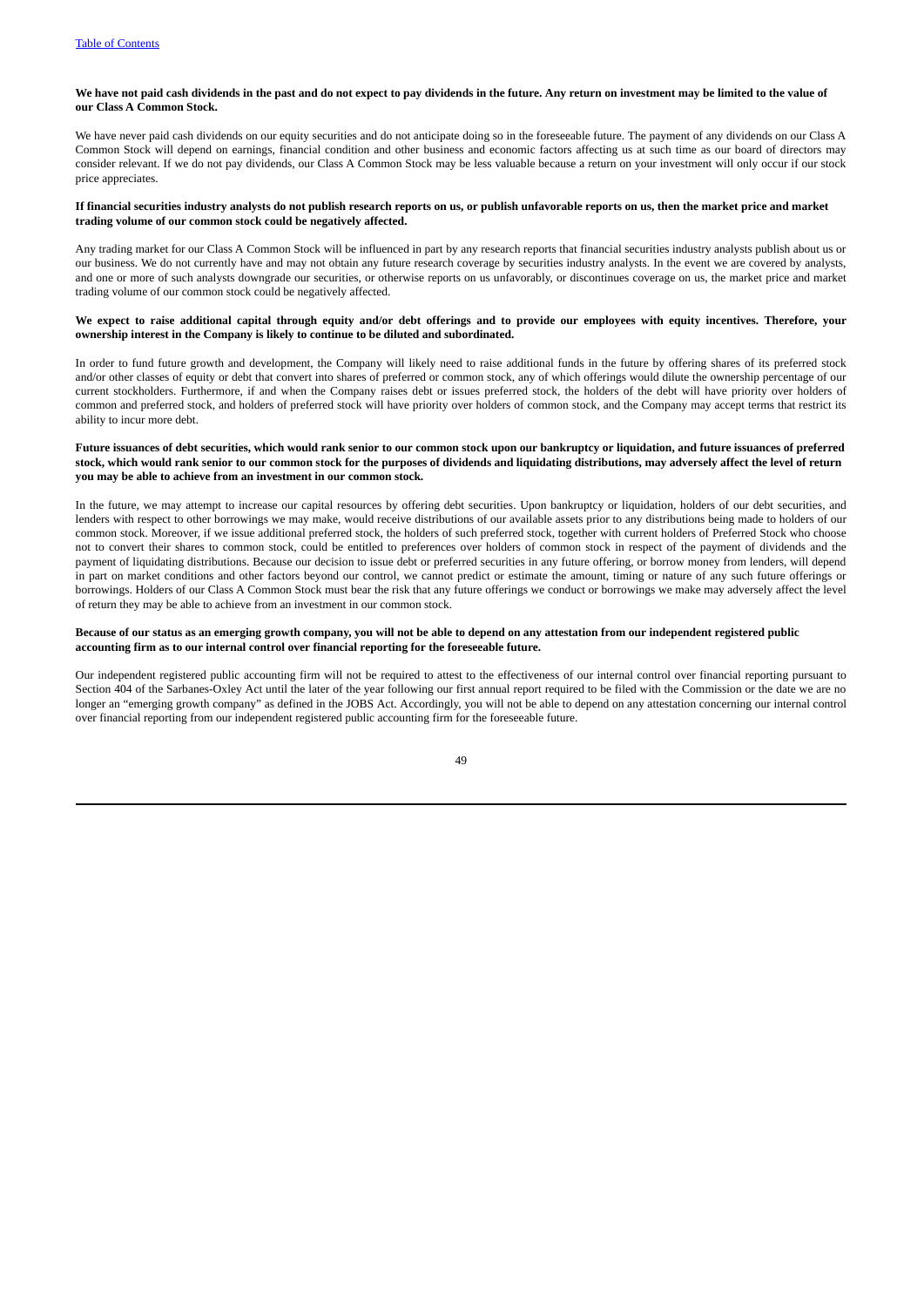# We have not paid cash dividends in the past and do not expect to pay dividends in the future. Any return on investment may be limited to the value of **our Class A Common Stock.**

We have never paid cash dividends on our equity securities and do not anticipate doing so in the foreseeable future. The payment of any dividends on our Class A Common Stock will depend on earnings, financial condition and other business and economic factors affecting us at such time as our board of directors may consider relevant. If we do not pay dividends, our Class A Common Stock may be less valuable because a return on your investment will only occur if our stock price appreciates.

### If financial securities industry analysts do not publish research reports on us, or publish unfavorable reports on us, then the market price and market **trading volume of our common stock could be negatively affected.**

Any trading market for our Class A Common Stock will be influenced in part by any research reports that financial securities industry analysts publish about us or our business. We do not currently have and may not obtain any future research coverage by securities industry analysts. In the event we are covered by analysts, and one or more of such analysts downgrade our securities, or otherwise reports on us unfavorably, or discontinues coverage on us, the market price and market trading volume of our common stock could be negatively affected.

### We expect to raise additional capital through equity and/or debt offerings and to provide our employees with equity incentives. Therefore, your **ownership interest in the Company is likely to continue to be diluted and subordinated.**

In order to fund future growth and development, the Company will likely need to raise additional funds in the future by offering shares of its preferred stock and/or other classes of equity or debt that convert into shares of preferred or common stock, any of which offerings would dilute the ownership percentage of our current stockholders. Furthermore, if and when the Company raises debt or issues preferred stock, the holders of the debt will have priority over holders of common and preferred stock, and holders of preferred stock will have priority over holders of common stock, and the Company may accept terms that restrict its ability to incur more debt.

## Future issuances of debt securities, which would rank senior to our common stock upon our bankruptcy or liquidation, and future issuances of preferred stock, which would rank senior to our common stock for the purposes of dividends and liquidating distributions, may adversely affect the level of return **you may be able to achieve from an investment in our common stock***.*

In the future, we may attempt to increase our capital resources by offering debt securities. Upon bankruptcy or liquidation, holders of our debt securities, and lenders with respect to other borrowings we may make, would receive distributions of our available assets prior to any distributions being made to holders of our common stock. Moreover, if we issue additional preferred stock, the holders of such preferred stock, together with current holders of Preferred Stock who choose not to convert their shares to common stock, could be entitled to preferences over holders of common stock in respect of the payment of dividends and the payment of liquidating distributions. Because our decision to issue debt or preferred securities in any future offering, or borrow money from lenders, will depend in part on market conditions and other factors beyond our control, we cannot predict or estimate the amount, timing or nature of any such future offerings or borrowings. Holders of our Class A Common Stock must bear the risk that any future offerings we conduct or borrowings we make may adversely affect the level of return they may be able to achieve from an investment in our common stock.

### Because of our status as an emerging growth company, you will not be able to depend on any attestation from our independent registered public **accounting firm as to our internal control over financial reporting for the foreseeable future.**

Our independent registered public accounting firm will not be required to attest to the effectiveness of our internal control over financial reporting pursuant to Section 404 of the Sarbanes-Oxley Act until the later of the year following our first annual report required to be filed with the Commission or the date we are no longer an "emerging growth company" as defined in the JOBS Act. Accordingly, you will not be able to depend on any attestation concerning our internal control over financial reporting from our independent registered public accounting firm for the foreseeable future.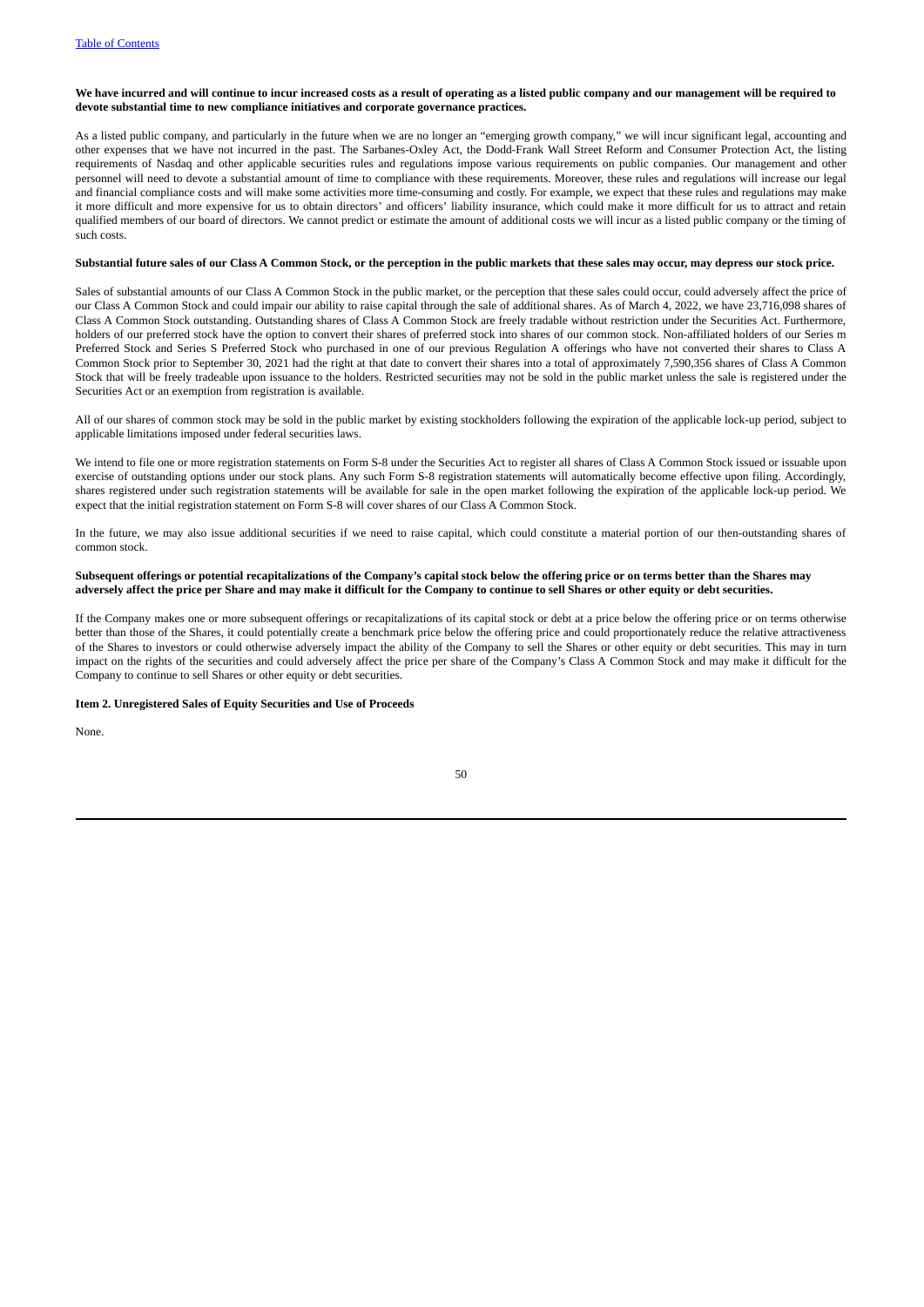# We have incurred and will continue to incur increased costs as a result of operating as a listed public company and our management will be required to **devote substantial time to new compliance initiatives and corporate governance practices.**

As a listed public company, and particularly in the future when we are no longer an "emerging growth company," we will incur significant legal, accounting and other expenses that we have not incurred in the past. The Sarbanes-Oxley Act, the Dodd-Frank Wall Street Reform and Consumer Protection Act, the listing requirements of Nasdaq and other applicable securities rules and regulations impose various requirements on public companies. Our management and other personnel will need to devote a substantial amount of time to compliance with these requirements. Moreover, these rules and regulations will increase our legal and financial compliance costs and will make some activities more time-consuming and costly. For example, we expect that these rules and regulations may make it more difficult and more expensive for us to obtain directors' and officers' liability insurance, which could make it more difficult for us to attract and retain qualified members of our board of directors. We cannot predict or estimate the amount of additional costs we will incur as a listed public company or the timing of such costs.

# Substantial future sales of our Class A Common Stock, or the perception in the public markets that these sales may occur, may depress our stock price.

Sales of substantial amounts of our Class A Common Stock in the public market, or the perception that these sales could occur, could adversely affect the price of our Class A Common Stock and could impair our ability to raise capital through the sale of additional shares. As of March 4, 2022, we have 23,716,098 shares of Class A Common Stock outstanding. Outstanding shares of Class A Common Stock are freely tradable without restriction under the Securities Act. Furthermore, holders of our preferred stock have the option to convert their shares of preferred stock into shares of our common stock. Non-affiliated holders of our Series m Preferred Stock and Series S Preferred Stock who purchased in one of our previous Regulation A offerings who have not converted their shares to Class A Common Stock prior to September 30, 2021 had the right at that date to convert their shares into a total of approximately 7,590,356 shares of Class A Common Stock that will be freely tradeable upon issuance to the holders. Restricted securities may not be sold in the public market unless the sale is registered under the Securities Act or an exemption from registration is available.

All of our shares of common stock may be sold in the public market by existing stockholders following the expiration of the applicable lock-up period, subject to applicable limitations imposed under federal securities laws.

We intend to file one or more registration statements on Form S-8 under the Securities Act to register all shares of Class A Common Stock issued or issuable upon exercise of outstanding options under our stock plans. Any such Form S-8 registration statements will automatically become effective upon filing. Accordingly, shares registered under such registration statements will be available for sale in the open market following the expiration of the applicable lock-up period. We expect that the initial registration statement on Form S-8 will cover shares of our Class A Common Stock.

In the future, we may also issue additional securities if we need to raise capital, which could constitute a material portion of our then-outstanding shares of common stock.

# Subsequent offerings or potential recapitalizations of the Company's capital stock below the offering price or on terms better than the Shares may adversely affect the price per Share and may make it difficult for the Company to continue to sell Shares or other equity or debt securities.

If the Company makes one or more subsequent offerings or recapitalizations of its capital stock or debt at a price below the offering price or on terms otherwise better than those of the Shares, it could potentially create a benchmark price below the offering price and could proportionately reduce the relative attractiveness of the Shares to investors or could otherwise adversely impact the ability of the Company to sell the Shares or other equity or debt securities. This may in turn impact on the rights of the securities and could adversely affect the price per share of the Company's Class A Common Stock and may make it difficult for the Company to continue to sell Shares or other equity or debt securities.

### <span id="page-49-0"></span>**Item 2. Unregistered Sales of Equity Securities and Use of Proceeds**

None.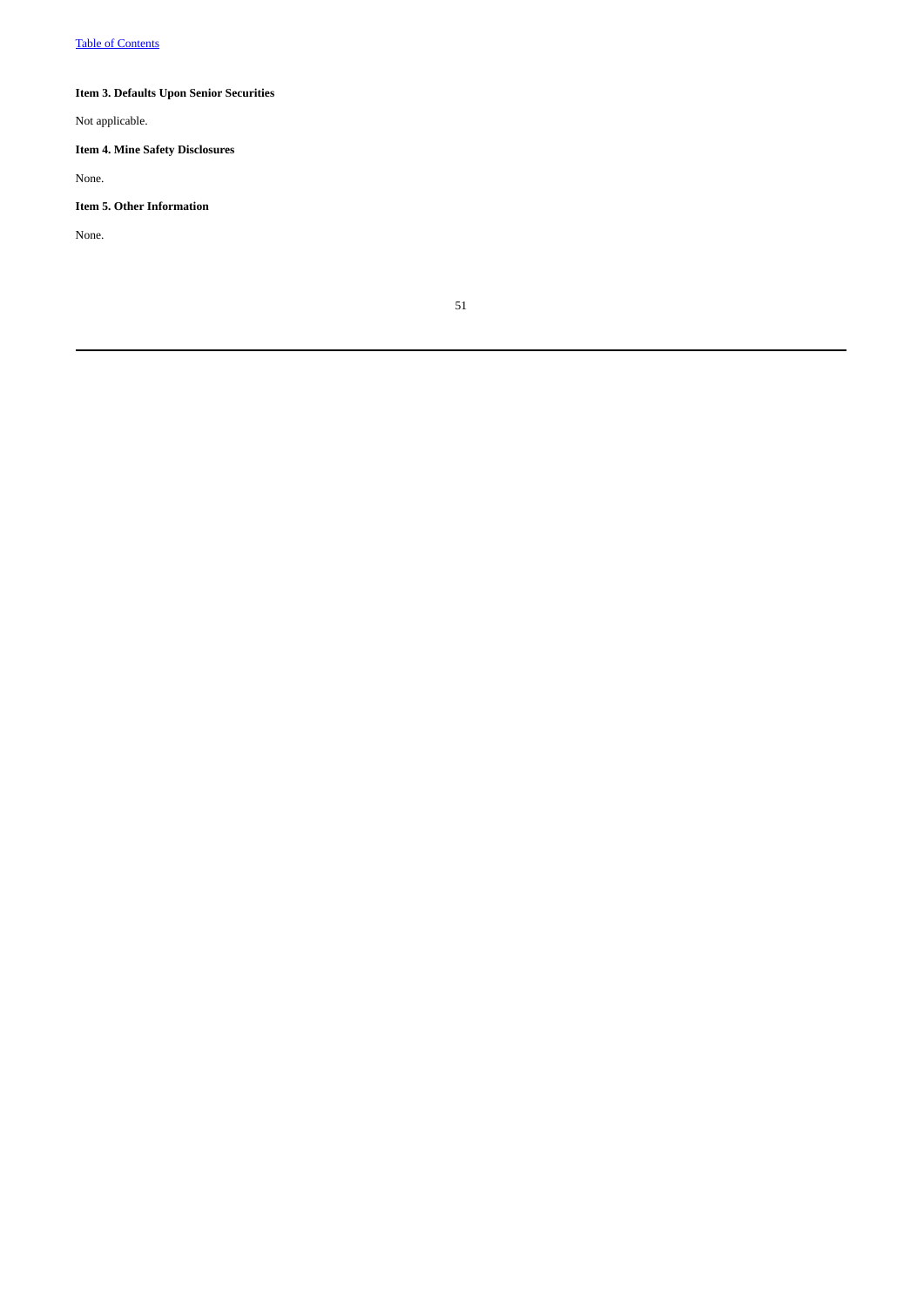# <span id="page-50-0"></span>**Item 3. Defaults Upon Senior Securities**

Not applicable.

# <span id="page-50-1"></span>**Item 4. Mine Safety Disclosures**

None.

# <span id="page-50-2"></span>**Item 5. Other Information**

None.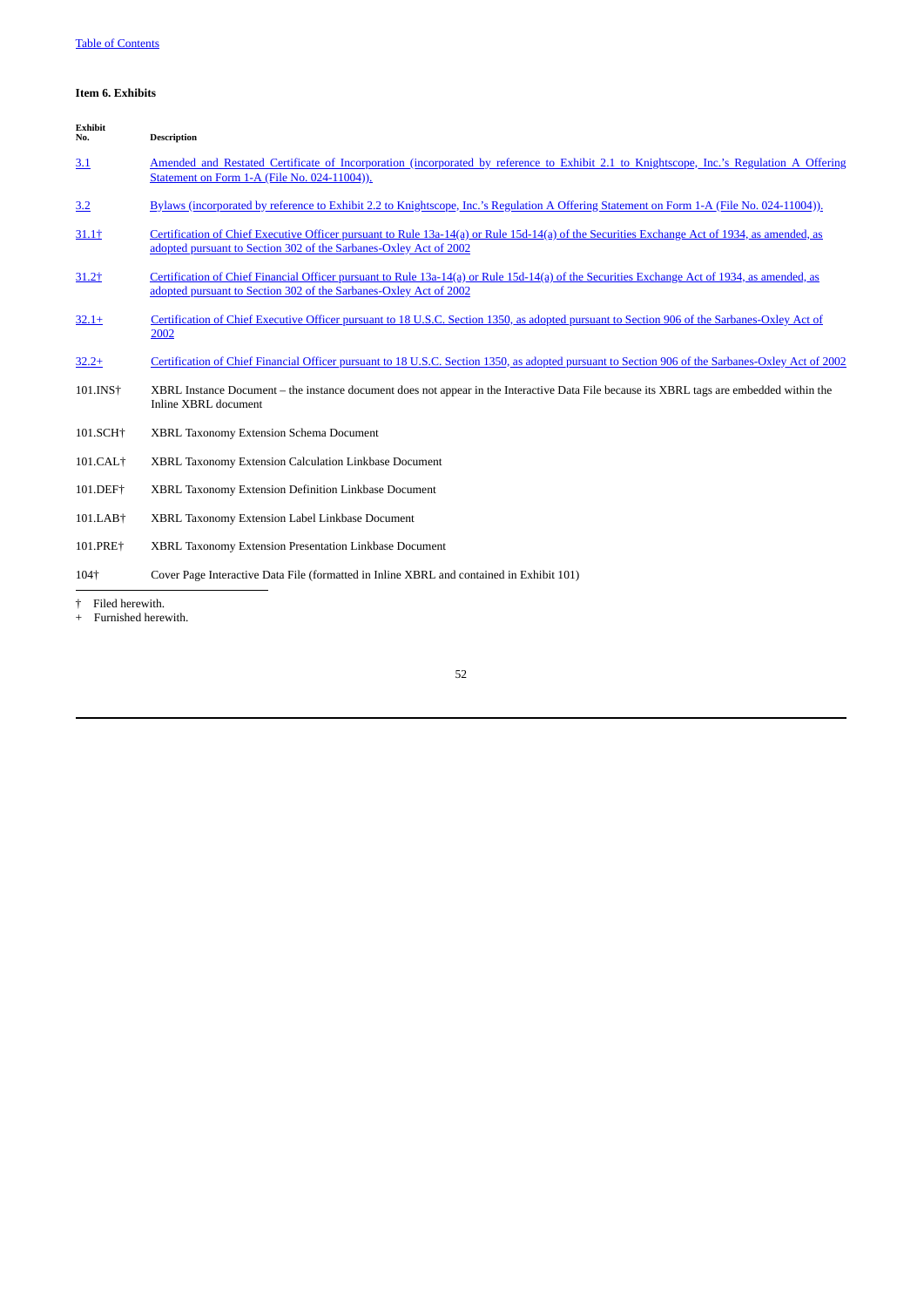# <span id="page-51-0"></span>**Item 6. Exhibits**

| Exhibit<br>No.       | <b>Description</b>                                                                                                                                                                                                |
|----------------------|-------------------------------------------------------------------------------------------------------------------------------------------------------------------------------------------------------------------|
| 3.1                  | Amended and Restated Certificate of Incorporation (incorporated by reference to Exhibit 2.1 to Knightscope, Inc.'s Regulation A Offering<br>Statement on Form 1-A (File No. 024-11004)).                          |
| 3.2                  | Bylaws (incorporated by reference to Exhibit 2.2 to Knightscope, Inc.'s Regulation A Offering Statement on Form 1-A (File No. 024-11004)).                                                                        |
| $31.1+$              | Certification of Chief Executive Officer pursuant to Rule 13a-14(a) or Rule 15d-14(a) of the Securities Exchange Act of 1934, as amended, as<br>adopted pursuant to Section 302 of the Sarbanes-Oxley Act of 2002 |
| $31.2+$              | Certification of Chief Financial Officer pursuant to Rule 13a-14(a) or Rule 15d-14(a) of the Securities Exchange Act of 1934, as amended, as<br>adopted pursuant to Section 302 of the Sarbanes-Oxley Act of 2002 |
| $32.1+$              | Certification of Chief Executive Officer pursuant to 18 U.S.C. Section 1350, as adopted pursuant to Section 906 of the Sarbanes-Oxley Act of<br>2002                                                              |
| $32.2+$              | Certification of Chief Financial Officer pursuant to 18 U.S.C. Section 1350, as adopted pursuant to Section 906 of the Sarbanes-Oxley Act of 2002                                                                 |
| 101.INS+             | XBRL Instance Document – the instance document does not appear in the Interactive Data File because its XBRL tags are embedded within the<br>Inline XBRL document                                                 |
| 101.SCH+             | XBRL Taxonomy Extension Schema Document                                                                                                                                                                           |
| 101.CAL+             | XBRL Taxonomy Extension Calculation Linkbase Document                                                                                                                                                             |
| 101.DEF <sup>+</sup> | XBRL Taxonomy Extension Definition Linkbase Document                                                                                                                                                              |
| 101.LAB+             | XBRL Taxonomy Extension Label Linkbase Document                                                                                                                                                                   |
| 101.PRE+             | XBRL Taxonomy Extension Presentation Linkbase Document                                                                                                                                                            |
| 104+                 | Cover Page Interactive Data File (formatted in Inline XBRL and contained in Exhibit 101)                                                                                                                          |

† Filed herewith.

+ Furnished herewith.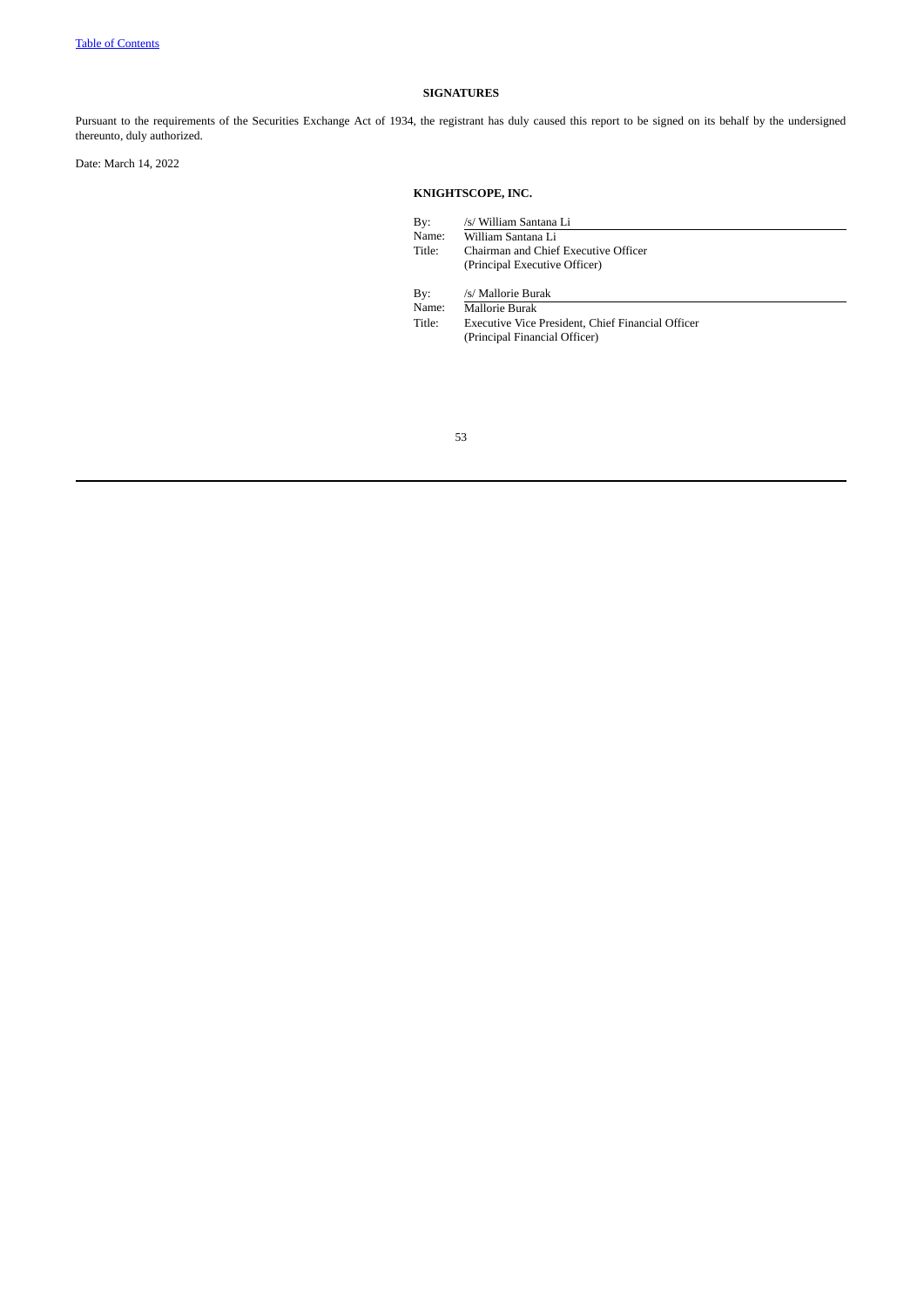# **SIGNATURES**

<span id="page-52-0"></span>Pursuant to the requirements of the Securities Exchange Act of 1934, the registrant has duly caused this report to be signed on its behalf by the undersigned thereunto, duly authorized.

Date: March 14, 2022

# **KNIGHTSCOPE, INC.**

| By:    | /s/ William Santana Li                            |
|--------|---------------------------------------------------|
| Name:  | William Santana Li                                |
| Title: | Chairman and Chief Executive Officer              |
|        | (Principal Executive Officer)                     |
| By:    | /s/ Mallorie Burak                                |
| Name:  | Mallorie Burak                                    |
| Title: | Executive Vice President, Chief Financial Officer |

(Principal Financial Officer)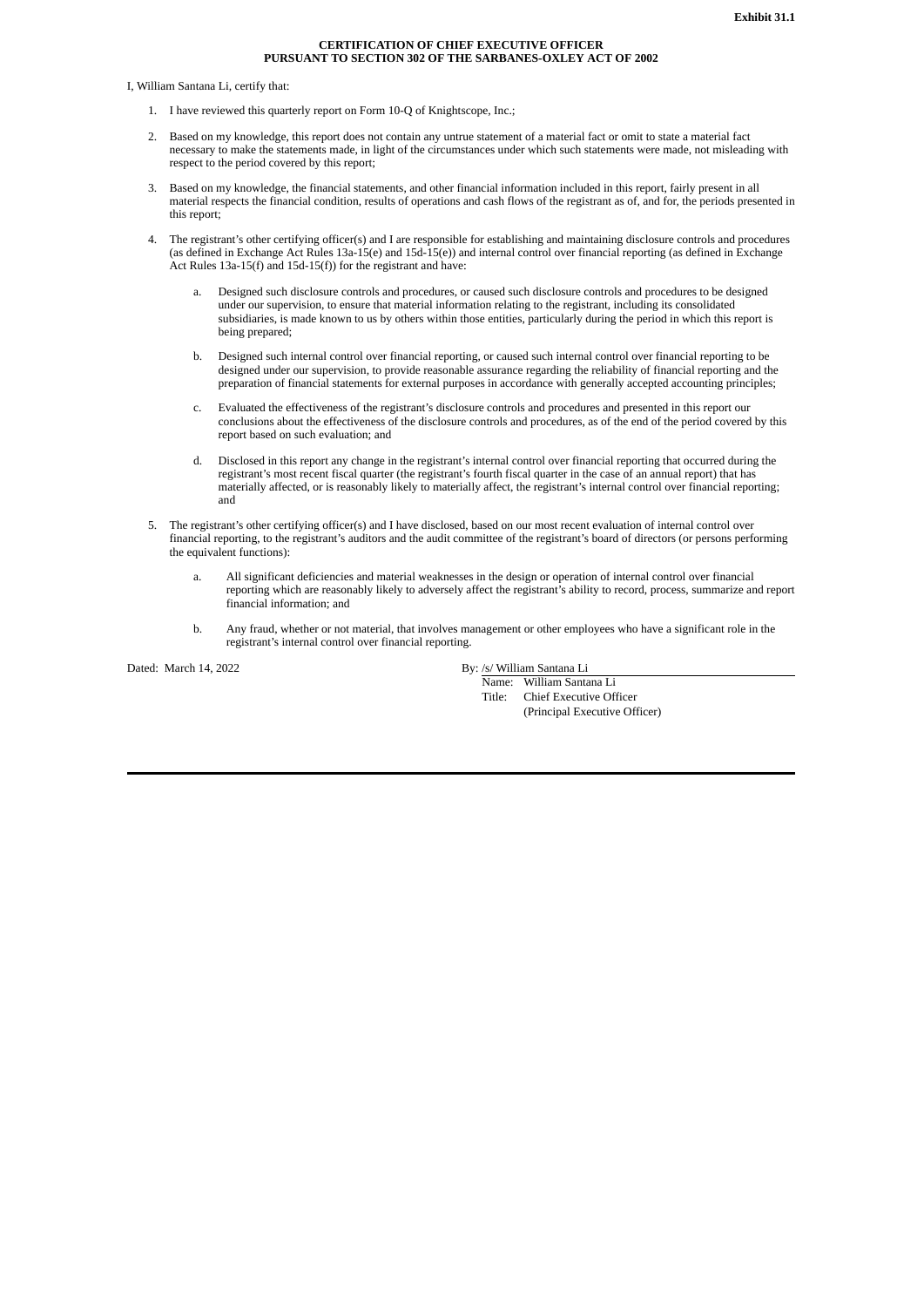# **CERTIFICATION OF CHIEF EXECUTIVE OFFICER PURSUANT TO SECTION 302 OF THE SARBANES-OXLEY ACT OF 2002**

<span id="page-53-0"></span>I, William Santana Li, certify that:

- 1. I have reviewed this quarterly report on Form 10-Q of Knightscope, Inc.;
- 2. Based on my knowledge, this report does not contain any untrue statement of a material fact or omit to state a material fact necessary to make the statements made, in light of the circumstances under which such statements were made, not misleading with respect to the period covered by this report;
- 3. Based on my knowledge, the financial statements, and other financial information included in this report, fairly present in all material respects the financial condition, results of operations and cash flows of the registrant as of, and for, the periods presented in this report;
- 4. The registrant's other certifying officer(s) and I are responsible for establishing and maintaining disclosure controls and procedures (as defined in Exchange Act Rules 13a-15(e) and 15d-15(e)) and internal control over financial reporting (as defined in Exchange Act Rules 13a-15(f) and 15d-15(f)) for the registrant and have:
	- a. Designed such disclosure controls and procedures, or caused such disclosure controls and procedures to be designed under our supervision, to ensure that material information relating to the registrant, including its consolidated subsidiaries, is made known to us by others within those entities, particularly during the period in which this report is being prepared;
	- b. Designed such internal control over financial reporting, or caused such internal control over financial reporting to be designed under our supervision, to provide reasonable assurance regarding the reliability of financial reporting and the preparation of financial statements for external purposes in accordance with generally accepted accounting principles;
	- c. Evaluated the effectiveness of the registrant's disclosure controls and procedures and presented in this report our conclusions about the effectiveness of the disclosure controls and procedures, as of the end of the period covered by this report based on such evaluation; and
	- d. Disclosed in this report any change in the registrant's internal control over financial reporting that occurred during the registrant's most recent fiscal quarter (the registrant's fourth fiscal quarter in the case of an annual report) that has materially affected, or is reasonably likely to materially affect, the registrant's internal control over financial reporting; and
- 5. The registrant's other certifying officer(s) and I have disclosed, based on our most recent evaluation of internal control over financial reporting, to the registrant's auditors and the audit committee of the registrant's board of directors (or persons performing the equivalent functions):
	- a. All significant deficiencies and material weaknesses in the design or operation of internal control over financial reporting which are reasonably likely to adversely affect the registrant's ability to record, process, summarize and report financial information; and
	- b. Any fraud, whether or not material, that involves management or other employees who have a significant role in the registrant's internal control over financial reporting.

Dated: March 14, 2022 **By:** /s/ William Santana Li

Name: William Santana Li Title: Chief Executive Officer (Principal Executive Officer)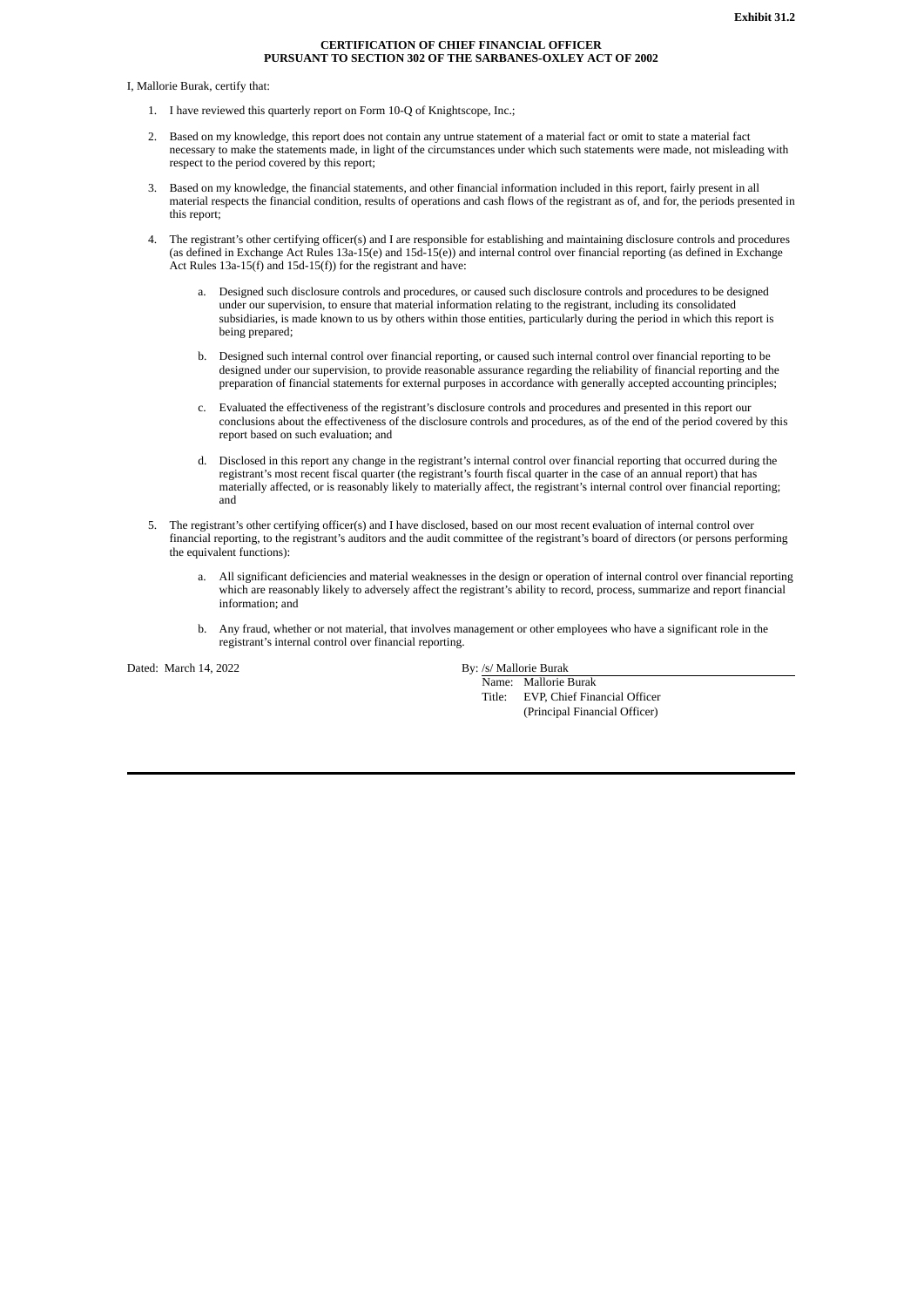# **CERTIFICATION OF CHIEF FINANCIAL OFFICER PURSUANT TO SECTION 302 OF THE SARBANES-OXLEY ACT OF 2002**

<span id="page-54-0"></span>I, Mallorie Burak, certify that:

- 1. I have reviewed this quarterly report on Form 10-Q of Knightscope, Inc.;
- 2. Based on my knowledge, this report does not contain any untrue statement of a material fact or omit to state a material fact necessary to make the statements made, in light of the circumstances under which such statements were made, not misleading with respect to the period covered by this report;
- 3. Based on my knowledge, the financial statements, and other financial information included in this report, fairly present in all material respects the financial condition, results of operations and cash flows of the registrant as of, and for, the periods presented in this report;
- 4. The registrant's other certifying officer(s) and I are responsible for establishing and maintaining disclosure controls and procedures (as defined in Exchange Act Rules 13a-15(e) and 15d-15(e)) and internal control over financial reporting (as defined in Exchange Act Rules 13a-15(f) and 15d-15(f)) for the registrant and have:
	- a. Designed such disclosure controls and procedures, or caused such disclosure controls and procedures to be designed under our supervision, to ensure that material information relating to the registrant, including its consolidated subsidiaries, is made known to us by others within those entities, particularly during the period in which this report is being prepared;
	- b. Designed such internal control over financial reporting, or caused such internal control over financial reporting to be designed under our supervision, to provide reasonable assurance regarding the reliability of financial reporting and the preparation of financial statements for external purposes in accordance with generally accepted accounting principles;
	- c. Evaluated the effectiveness of the registrant's disclosure controls and procedures and presented in this report our conclusions about the effectiveness of the disclosure controls and procedures, as of the end of the period covered by this report based on such evaluation; and
	- d. Disclosed in this report any change in the registrant's internal control over financial reporting that occurred during the registrant's most recent fiscal quarter (the registrant's fourth fiscal quarter in the case of an annual report) that has materially affected, or is reasonably likely to materially affect, the registrant's internal control over financial reporting; and
- 5. The registrant's other certifying officer(s) and I have disclosed, based on our most recent evaluation of internal control over financial reporting, to the registrant's auditors and the audit committee of the registrant's board of directors (or persons performing the equivalent functions):
	- a. All significant deficiencies and material weaknesses in the design or operation of internal control over financial reporting which are reasonably likely to adversely affect the registrant's ability to record, process, summarize and report financial information; and
	- b. Any fraud, whether or not material, that involves management or other employees who have a significant role in the registrant's internal control over financial reporting.

Dated: March 14, 2022 By: /s/ Mallorie Burak

Name: Mallorie Burak Title: EVP, Chief Financial Officer (Principal Financial Officer)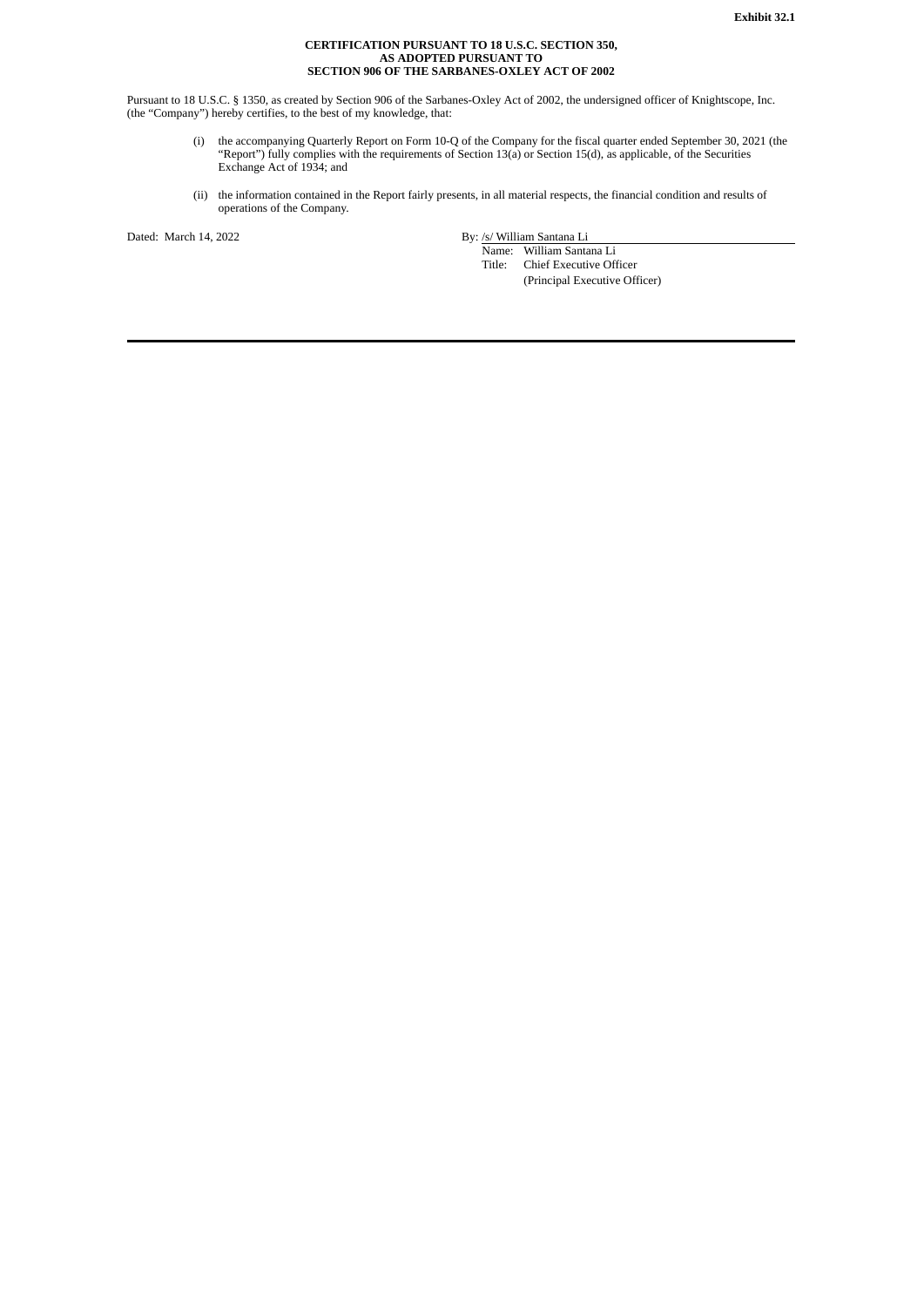# **CERTIFICATION PURSUANT TO 18 U.S.C. SECTION 350, AS ADOPTED PURSUANT TO SECTION 906 OF THE SARBANES-OXLEY ACT OF 2002**

<span id="page-55-0"></span>Pursuant to 18 U.S.C. § 1350, as created by Section 906 of the Sarbanes-Oxley Act of 2002, the undersigned officer of Knightscope, Inc. (the "Company") hereby certifies, to the best of my knowledge, that:

- (i) the accompanying Quarterly Report on Form 10-Q of the Company for the fiscal quarter ended September 30, 2021 (the "Report") fully complies with the requirements of Section 13(a) or Section 15(d), as applicable, of the Securities Exchange Act of 1934; and
- (ii) the information contained in the Report fairly presents, in all material respects, the financial condition and results of operations of the Company.

Dated: March 14, 2022 By: /s/ William Santana Li

Name: William Santana Li Title: Chief Executive Officer (Principal Executive Officer)